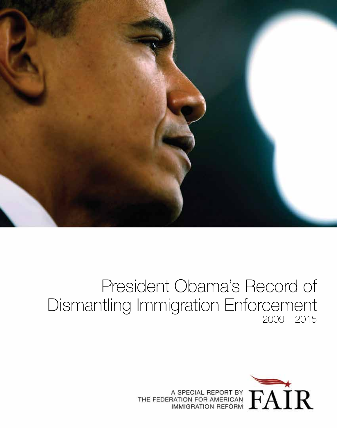

# President Obama's Record of Dismantling Immigration Enforcement 2009 – 2015



THE FEDERATION FOR AMERICAN FAIL REPORT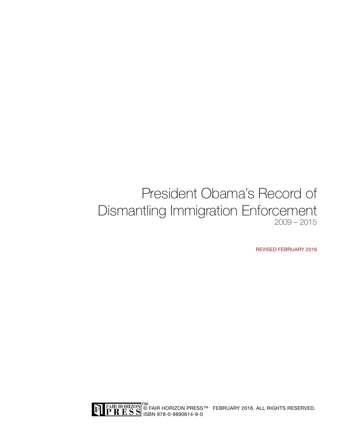## President Obama's Record of Dismantling Immigration Enforcement 2009 – 2015

REVISED FEBRUARY 2016

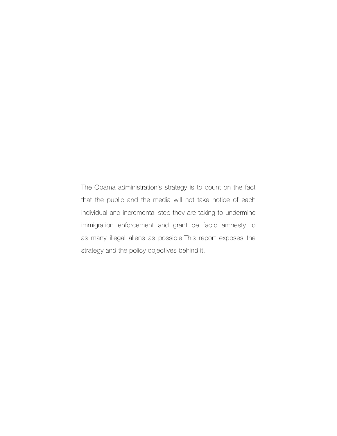The Obama administration's strategy is to count on the fact that the public and the media will not take notice of each individual and incremental step they are taking to undermine immigration enforcement and grant de facto amnesty to as many illegal aliens as possible.This report exposes the strategy and the policy objectives behind it.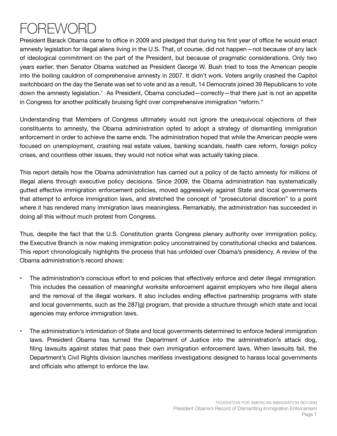# REWO

President Barack Obama came to office in 2009 and pledged that during his first year of office he would enact amnesty legislation for illegal aliens living in the U.S. That, of course, did not happen—not because of any lack of ideological commitment on the part of the President, but because of pragmatic considerations. Only two years earlier, then Senator Obama watched as President George W. Bush tried to toss the American people into the boiling cauldron of comprehensive amnesty in 2007. It didn't work. Voters angrily crashed the Capitol switchboard on the day the Senate was set to vote and as a result, 14 Democrats joined 39 Republicans to vote down the amnesty legislation.1 As President, Obama concluded—correctly—that there just is not an appetite in Congress for another politically bruising fight over comprehensive immigration "reform."

Understanding that Members of Congress ultimately would not ignore the unequivocal objections of their constituents to amnesty, the Obama administration opted to adopt a strategy of dismantling immigration enforcement in order to achieve the same ends. The administration hoped that while the American people were focused on unemployment, crashing real estate values, banking scandals, health care reform, foreign policy crises, and countless other issues, they would not notice what was actually taking place.

This report details how the Obama administration has carried out a policy of de facto amnesty for millions of illegal aliens through executive policy decisions. Since 2009, the Obama administration has systematically gutted effective immigration enforcement policies, moved aggressively against State and local governments that attempt to enforce immigration laws, and stretched the concept of "prosecutorial discretion" to a point where it has rendered many immigration laws meaningless. Remarkably, the administration has succeeded in doing all this without much protest from Congress.

Thus, despite the fact that the U.S. Constitution grants Congress plenary authority over immigration policy, the Executive Branch is now making immigration policy unconstrained by constitutional checks and balances. This report chronologically highlights the process that has unfolded over Obama's presidency. A review of the Obama administration's record shows:

- The administration's conscious effort to end policies that effectively enforce and deter illegal immigration. This includes the cessation of meaningful worksite enforcement against employers who hire illegal aliens and the removal of the illegal workers. It also includes ending effective partnership programs with state and local governments, such as the 287(g) program, that provide a structure through which state and local agencies may enforce immigration laws.
	- The administration's intimidation of State and local governments determined to enforce federal immigration laws. President Obama has turned the Department of Justice into the administration's attack dog, filing lawsuits against states that pass their own immigration enforcement laws. When lawsuits fail, the Department's Civil Rights division launches meritless investigations designed to harass local governments and officials who attempt to enforce the law.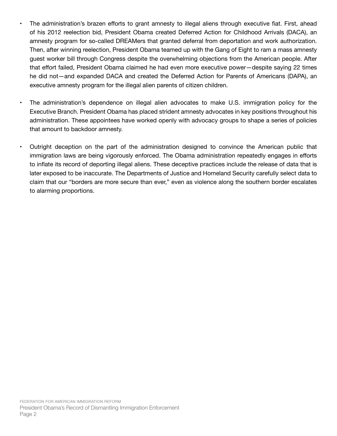- The administration's brazen efforts to grant amnesty to illegal aliens through executive fiat. First, ahead of his 2012 reelection bid, President Obama created Deferred Action for Childhood Arrivals (DACA), an amnesty program for so-called DREAMers that granted deferral from deportation and work authorization. Then, after winning reelection, President Obama teamed up with the Gang of Eight to ram a mass amnesty guest worker bill through Congress despite the overwhelming objections from the American people. After that effort failed, President Obama claimed he had even more executive power—despite saying 22 times he did not—and expanded DACA and created the Deferred Action for Parents of Americans (DAPA), an executive amnesty program for the illegal alien parents of citizen children.
- The administration's dependence on illegal alien advocates to make U.S. immigration policy for the Executive Branch. President Obama has placed strident amnesty advocates in key positions throughout his administration. These appointees have worked openly with advocacy groups to shape a series of policies that amount to backdoor amnesty.
- Outright deception on the part of the administration designed to convince the American public that immigration laws are being vigorously enforced. The Obama administration repeatedly engages in efforts to inflate its record of deporting illegal aliens. These deceptive practices include the release of data that is later exposed to be inaccurate. The Departments of Justice and Homeland Security carefully select data to claim that our "borders are more secure than ever," even as violence along the southern border escalates to alarming proportions.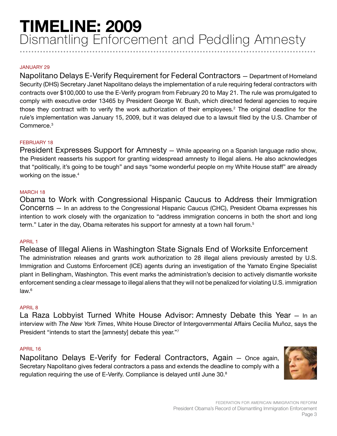## JANUARY 29

Napolitano Delays E-Verify Requirement for Federal Contractors — Department of Homeland Security (DHS) Secretary Janet Napolitano delays the implementation of a rule requiring federal contractors with contracts over \$100,000 to use the E-Verify program from February 20 to May 21. The rule was promulgated to comply with executive order 13465 by President George W. Bush, which directed federal agencies to require those they contract with to verify the work authorization of their employees.<sup>2</sup> The original deadline for the rule's implementation was January 15, 2009, but it was delayed due to a lawsuit filed by the U.S. Chamber of Commerce.3

#### FEBRUARY 18

President Expresses Support for Amnesty - While appearing on a Spanish language radio show, the President reasserts his support for granting widespread amnesty to illegal aliens. He also acknowledges that "politically, it's going to be tough" and says "some wonderful people on my White House staff" are already working on the issue.<sup>4</sup>

#### MARCH 18

Obama to Work with Congressional Hispanic Caucus to Address their Immigration Concerns — In an address to the Congressional Hispanic Caucus (CHC), President Obama expresses his intention to work closely with the organization to "address immigration concerns in both the short and long term." Later in the day, Obama reiterates his support for amnesty at a town hall forum.<sup>5</sup>

#### APRIL 1

Release of Illegal Aliens in Washington State Signals End of Worksite Enforcement The administration releases and grants work authorization to 28 illegal aliens previously arrested by U.S. Immigration and Customs Enforcement (ICE) agents during an investigation of the Yamato Engine Specialist plant in Bellingham, Washington. This event marks the administration's decision to actively dismantle worksite enforcement sending a clear message to illegal aliens that they will not be penalized for violating U.S. immigration law.<sup>6</sup>

#### APRIL 8

La Raza Lobbyist Turned White House Advisor: Amnesty Debate this Year — In an interview with *The New York Times*, White House Director of Intergovernmental Affairs Cecilia Muñoz, says the President "intends to start the [amnesty] debate this year."7

#### APRIL 16

Napolitano Delays E-Verify for Federal Contractors, Again — Once again, Secretary Napolitano gives federal contractors a pass and extends the deadline to comply with a regulation requiring the use of E-Verify. Compliance is delayed until June 30.<sup>8</sup>

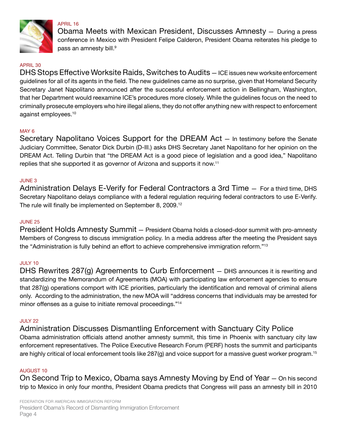

APRIL 16

Obama Meets with Mexican President, Discusses Amnesty — During a press conference in Mexico with President Felipe Calderon, President Obama reiterates his pledge to pass an amnesty bill.<sup>9</sup>

## APRIL 30

DHS Stops Effective Worksite Raids, Switches to Audits — ICE issues new worksite enforcement guidelines for all of its agents in the field. The new guidelines came as no surprise, given that Homeland Security Secretary Janet Napolitano announced after the successful enforcement action in Bellingham, Washington, that her Department would reexamine ICE's procedures more closely. While the guidelines focus on the need to criminally prosecute employers who hire illegal aliens, they do not offer anything new with respect to enforcement against employees.10

## MAY 6

Secretary Napolitano Voices Support for the DREAM Act — In testimony before the Senate Judiciary Committee, Senator Dick Durbin (D-Ill.) asks DHS Secretary Janet Napolitano for her opinion on the DREAM Act. Telling Durbin that "the DREAM Act is a good piece of legislation and a good idea," Napolitano replies that she supported it as governor of Arizona and supports it now.11

#### JUNE 3

Administration Delays E-Verify for Federal Contractors a 3rd Time — For a third time, DHS Secretary Napolitano delays compliance with a federal regulation requiring federal contractors to use E-Verify. The rule will finally be implemented on September 8, 2009.<sup>12</sup>

#### JUNE 25

President Holds Amnesty Summit — President Obama holds a closed-door summit with pro-amnesty Members of Congress to discuss immigration policy. In a media address after the meeting the President says the "Administration is fully behind an effort to achieve comprehensive immigration reform."13

## JULY 10

DHS Rewrites 287(g) Agreements to Curb Enforcement — DHS announces it is rewriting and standardizing the Memorandum of Agreements (MOA) with participating law enforcement agencies to ensure that 287(g) operations comport with ICE priorities, particularly the identification and removal of criminal aliens only. According to the administration, the new MOA will "address concerns that individuals may be arrested for minor offenses as a guise to initiate removal proceedings."<sup>14</sup>

#### JULY 22

Administration Discusses Dismantling Enforcement with Sanctuary City Police Obama administration officials attend another amnesty summit, this time in Phoenix with sanctuary city law enforcement representatives. The Police Executive Research Forum (PERF) hosts the summit and participants are highly critical of local enforcement tools like 287(g) and voice support for a massive guest worker program.<sup>15</sup>

#### AUGUST 10

On Second Trip to Mexico, Obama says Amnesty Moving by End of Year — On his second trip to Mexico in only four months, President Obama predicts that Congress will pass an amnesty bill in 2010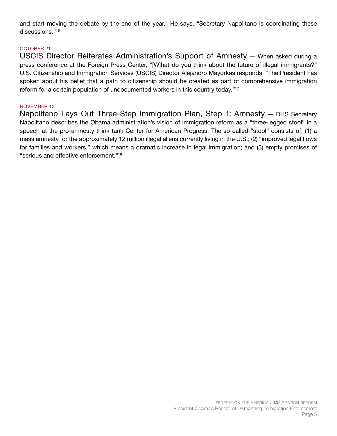and start moving the debate by the end of the year. He says, "Secretary Napolitano is coordinating these discussions."16

## OCTOBER 21

USCIS Director Reiterates Administration's Support of Amnesty — When asked during a press conference at the Foreign Press Center, "[W]hat do you think about the future of illegal immigrants?" U.S. Citizenship and Immigration Services (USCIS) Director Alejandro Mayorkas responds, "The President has spoken about his belief that a path to citizenship should be created as part of comprehensive immigration reform for a certain population of undocumented workers in this country today."<sup>17</sup>

#### NOVEMBER 13

Napolitano Lays Out Three-Step Immigration Plan, Step 1: Amnesty — DHS Secretary Napolitano describes the Obama administration's vision of immigration reform as a "three-legged stool" in a speech at the pro-amnesty think tank Center for American Progress. The so-called "stool" consists of: (1) a mass amnesty for the approximately 12 million illegal aliens currently living in the U.S.; (2) "improved legal flows for families and workers," which means a dramatic increase in legal immigration; and (3) empty promises of "serious and effective enforcement."18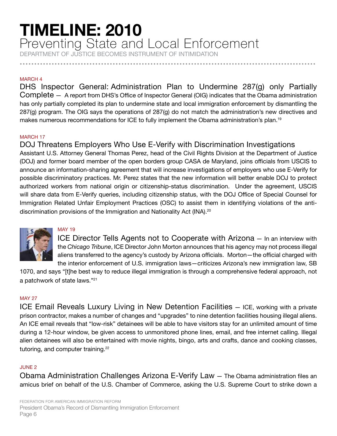## **TIMELINE: 2010** Preventing State and Local Enforcement

DEPARTMENT OF JUSTICE BECOMES INSTRUMENT OF INTIMIDATION

**......................................................................................................**

#### MARCH 4

DHS Inspector General: Administration Plan to Undermine 287(g) only Partially Complete — A report from DHS's Office of Inspector General (OIG) indicates that the Obama administration has only partially completed its plan to undermine state and local immigration enforcement by dismantling the 287(g) program. The OIG says the operations of 287(g) do not match the administration's new directives and makes numerous recommendations for ICE to fully implement the Obama administration's plan.<sup>19</sup>

## MARCH 17

## DOJ Threatens Employers Who Use E-Verify with Discrimination Investigations

Assistant U.S. Attorney General Thomas Perez, head of the Civil Rights Division at the Department of Justice (DOJ) and former board member of the open borders group CASA de Maryland, joins officials from USCIS to announce an information-sharing agreement that will increase investigations of employers who use E-Verify for possible discriminatory practices. Mr. Perez states that the new information will better enable DOJ to protect authorized workers from national origin or citizenship-status discrimination. Under the agreement, USCIS will share data from E-Verify queries, including citizenship status, with the DOJ Office of Special Counsel for Immigration Related Unfair Employment Practices (OSC) to assist them in identifying violations of the antidiscrimination provisions of the Immigration and Nationality Act (INA).<sup>20</sup>



## MAY 19

ICE Director Tells Agents not to Cooperate with Arizona — In an interview with the *Chicago Tribune*, ICE Director John Morton announces that his agency may not process illegal aliens transferred to the agency's custody by Arizona officials. Morton—the official charged with the interior enforcement of U.S. immigration laws—criticizes Arizona's new immigration law, SB

1070, and says "[t]he best way to reduce illegal immigration is through a comprehensive federal approach, not a patchwork of state laws."21

## MAY 27

ICE Email Reveals Luxury Living in New Detention Facilities — ICE, working with a private prison contractor, makes a number of changes and "upgrades" to nine detention facilities housing illegal aliens. An ICE email reveals that "low-risk" detainees will be able to have visitors stay for an unlimited amount of time during a 12-hour window, be given access to unmonitored phone lines, email, and free internet calling. Illegal alien detainees will also be entertained with movie nights, bingo, arts and crafts, dance and cooking classes, tutoring, and computer training.<sup>22</sup>

## JUNE 2

Obama Administration Challenges Arizona E-Verify Law — The Obama administration files an amicus brief on behalf of the U.S. Chamber of Commerce, asking the U.S. Supreme Court to strike down a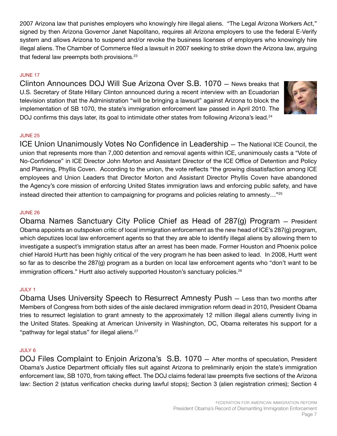2007 Arizona law that punishes employers who knowingly hire illegal aliens. "The Legal Arizona Workers Act," signed by then Arizona Governor Janet Napolitano, requires all Arizona employers to use the federal E-Verify system and allows Arizona to suspend and/or revoke the business licenses of employers who knowingly hire illegal aliens. The Chamber of Commerce filed a lawsuit in 2007 seeking to strike down the Arizona law, arguing that federal law preempts both provisions.<sup>23</sup>

## JUNE 17

Clinton Announces DOJ Will Sue Arizona Over S.B. 1070 — News breaks that U.S. Secretary of State Hillary Clinton announced during a recent interview with an Ecuadorian television station that the Administration "will be bringing a lawsuit" against Arizona to block the implementation of SB 1070, the state's immigration enforcement law passed in April 2010. The DOJ confirms this days later, its goal to intimidate other states from following Arizona's lead.<sup>24</sup>



## JUNE 25

ICE Union Unanimously Votes No Confidence in Leadership — The National ICE Council, the union that represents more than 7,000 detention and removal agents within ICE, unanimously casts a "Vote of No-Confidence" in ICE Director John Morton and Assistant Director of the ICE Office of Detention and Policy and Planning, Phyllis Coven. According to the union, the vote reflects "the growing dissatisfaction among ICE employees and Union Leaders that Director Morton and Assistant Director Phyllis Coven have abandoned the Agency's core mission of enforcing United States immigration laws and enforcing public safety, and have instead directed their attention to campaigning for programs and policies relating to amnesty…"25

## JUNE 26

Obama Names Sanctuary City Police Chief as Head of 287(g) Program — President Obama appoints an outspoken critic of local immigration enforcement as the new head of ICE's 287(g) program, which deputizes local law enforcement agents so that they are able to identify illegal aliens by allowing them to investigate a suspect's immigration status after an arrest has been made. Former Houston and Phoenix police chief Harold Hurtt has been highly critical of the very program he has been asked to lead. In 2008, Hurtt went so far as to describe the 287(g) program as a burden on local law enforcement agents who "don't want to be immigration officers." Hurtt also actively supported Houston's sanctuary policies.<sup>26</sup>

## JULY 1

Obama Uses University Speech to Resurrect Amnesty Push — Less than two months after Members of Congress from both sides of the aisle declared immigration reform dead in 2010, President Obama tries to resurrect legislation to grant amnesty to the approximately 12 million illegal aliens currently living in the United States. Speaking at American University in Washington, DC, Obama reiterates his support for a "pathway for legal status" for illegal aliens.<sup>27</sup>

## JULY 6

DOJ Files Complaint to Enjoin Arizona's S.B. 1070 — After months of speculation, President Obama's Justice Department officially files suit against Arizona to preliminarily enjoin the state's immigration enforcement law, SB 1070, from taking effect. The DOJ claims federal law preempts five sections of the Arizona law: Section 2 (status verification checks during lawful stops); Section 3 (alien registration crimes); Section 4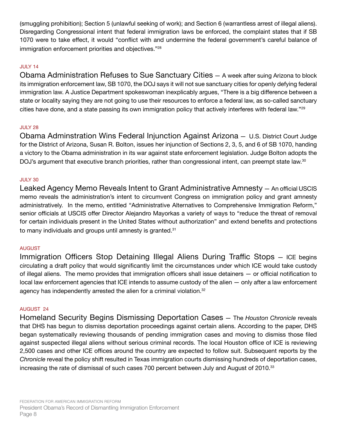(smuggling prohibition); Section 5 (unlawful seeking of work); and Section 6 (warrantless arrest of illegal aliens). Disregarding Congressional intent that federal immigration laws be enforced, the complaint states that if SB 1070 were to take effect, it would "conflict with and undermine the federal government's careful balance of immigration enforcement priorities and objectives."<sup>28</sup>

## JULY 14

Obama Administration Refuses to Sue Sanctuary Cities — A week after suing Arizona to block its immigration enforcement law, SB 1070, the DOJ says it will not sue sanctuary cities for openly defying federal immigration law. A Justice Department spokeswoman inexplicably argues, "There is a big difference between a state or locality saying they are not going to use their resources to enforce a federal law, as so-called sanctuary cities have done, and a state passing its own immigration policy that actively interferes with federal law."<sup>29</sup>

## JULY 28

Obama Adminstration Wins Federal Injunction Against Arizona — U.S. District Court Judge for the District of Arizona, Susan R. Bolton, issues her injunction of Sections 2, 3, 5, and 6 of SB 1070, handing a victory to the Obama administration in its war against state enforcement legislation. Judge Bolton adopts the DOJ's argument that executive branch priorities, rather than congressional intent, can preempt state law.<sup>30</sup>

## JULY 30

Leaked Agency Memo Reveals Intent to Grant Administrative Amnesty — An official USCIS memo reveals the administration's intent to circumvent Congress on immigration policy and grant amnesty administratively. In the memo, entitled "Administrative Alternatives to Comprehensive Immigration Reform," senior officials at USCIS offer Director Alejandro Mayorkas a variety of ways to "reduce the threat of removal for certain individuals present in the United States without authorization" and extend benefits and protections to many individuals and groups until amnesty is granted.<sup>31</sup>

## AUGUST

Immigration Officers Stop Detaining Illegal Aliens During Traffic Stops — ICE begins circulating a draft policy that would significantly limit the circumstances under which ICE would take custody of illegal aliens. The memo provides that immigration officers shall issue detainers — or official notification to local law enforcement agencies that ICE intends to assume custody of the alien — only after a law enforcement agency has independently arrested the alien for a criminal violation.<sup>32</sup>

## AUGUST 24

Homeland Security Begins Dismissing Deportation Cases — The *Houston Chronicle* reveals that DHS has begun to dismiss deportation proceedings against certain aliens. According to the paper, DHS began systematically reviewing thousands of pending immigration cases and moving to dismiss those filed against suspected illegal aliens without serious criminal records. The local Houston office of ICE is reviewing 2,500 cases and other ICE offices around the country are expected to follow suit. Subsequent reports by the *Chronicle* reveal the policy shift resulted in Texas immigration courts dismissing hundreds of deportation cases, increasing the rate of dismissal of such cases 700 percent between July and August of 2010.<sup>33</sup>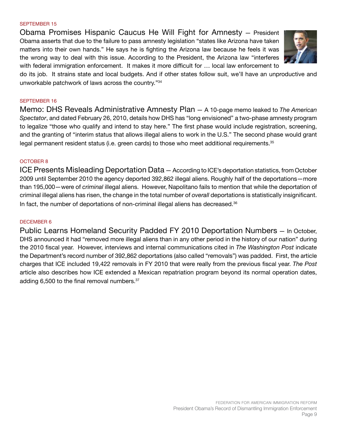#### SEPTEMBER 15

Obama Promises Hispanic Caucus He Will Fight for Amnesty — President Obama asserts that due to the failure to pass amnesty legislation "states like Arizona have taken matters into their own hands." He says he is fighting the Arizona law because he feels it was the wrong way to deal with this issue. According to the President, the Arizona law "interferes with federal immigration enforcement. It makes it more difficult for … local law enforcement to



do its job. It strains state and local budgets. And if other states follow suit, we'll have an unproductive and unworkable patchwork of laws across the country."34

#### SEPTEMBER 16

Memo: DHS Reveals Administrative Amnesty Plan — A 10-page memo leaked to *The American Spectator*, and dated February 26, 2010, details how DHS has "long envisioned" a two-phase amnesty program to legalize "those who qualify and intend to stay here." The first phase would include registration, screening, and the granting of "interim status that allows illegal aliens to work in the U.S." The second phase would grant legal permanent resident status (i.e. green cards) to those who meet additional requirements.<sup>35</sup>

#### OCTOBER 8

ICE Presents Misleading Deportation Data — According to ICE's deportation statistics, from October 2009 until September 2010 the agency deported 392,862 illegal aliens. Roughly half of the deportations—more than 195,000—were of *criminal* illegal aliens. However, Napolitano fails to mention that while the deportation of criminal illegal aliens has risen, the change in the total number of *overall* deportations is statistically insignificant. In fact, the number of deportations of non-criminal illegal aliens has decreased. $36$ 

#### DECEMBER 6

Public Learns Homeland Security Padded FY 2010 Deportation Numbers — In October, DHS announced it had "removed more illegal aliens than in any other period in the history of our nation" during the 2010 fiscal year. However, interviews and internal communications cited in *The Washington Post* indicate the Department's record number of 392,862 deportations (also called "removals") was padded. First, the article charges that ICE included 19,422 removals in FY 2010 that were really from the previous fiscal year. *The Post*  article also describes how ICE extended a Mexican repatriation program beyond its normal operation dates, adding 6,500 to the final removal numbers.<sup>37</sup>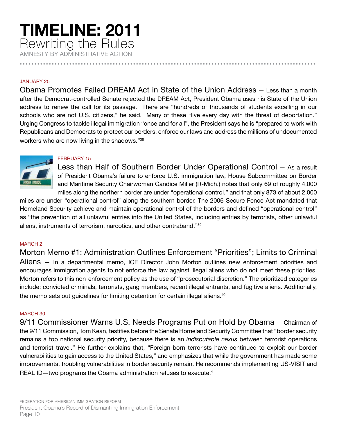# **TIMELINE: 2011** Rewriting the Rules

AMNESTY BY ADMINISTRATIVE ACTION **......................................................................................................**

#### JANUARY 25

Obama Promotes Failed DREAM Act in State of the Union Address — Less than a month after the Democrat-controlled Senate rejected the DREAM Act, President Obama uses his State of the Union address to renew the call for its passage. There are "hundreds of thousands of students excelling in our schools who are not U.S. citizens," he said. Many of these "live every day with the threat of deportation." Urging Congress to tackle illegal immigration "once and for all", the President says he is "prepared to work with Republicans and Democrats to protect our borders, enforce our laws and address the millions of undocumented workers who are now living in the shadows."38

## FEBRUARY 15



miles are under "operational control" along the southern border. The 2006 Secure Fence Act mandated that Homeland Security achieve and maintain operational control of the borders and defined "operational control" as "the prevention of all unlawful entries into the United States, including entries by terrorists, other unlawful aliens, instruments of terrorism, narcotics, and other contraband."39

## MARCH 2

Morton Memo #1: Administration Outlines Enforcement "Priorities"; Limits to Criminal Aliens — In a departmental memo, ICE Director John Morton outlines new enforcement priorities and encourages immigration agents to not enforce the law against illegal aliens who do not meet these priorities. Morton refers to this non-enforcement policy as the use of "prosecutorial discretion." The prioritized categories include: convicted criminals, terrorists, gang members, recent illegal entrants, and fugitive aliens. Additionally, the memo sets out guidelines for limiting detention for certain illegal aliens.<sup>40</sup>

#### MARCH 30

9/11 Commissioner Warns U.S. Needs Programs Put on Hold by Obama — Chairman of the 9/11 Commission, Tom Kean, testifies before the Senate Homeland Security Committee that "border security remains a top national security priority, because there is an *indisputable nexus* between terrorist operations and terrorist travel." He further explains that, "Foreign-born terrorists have continued to exploit our border vulnerabilities to gain access to the United States," and emphasizes that while the government has made some improvements, troubling vulnerabilities in border security remain. He recommends implementing US-VISIT and REAL ID-two programs the Obama administration refuses to execute.<sup>41</sup>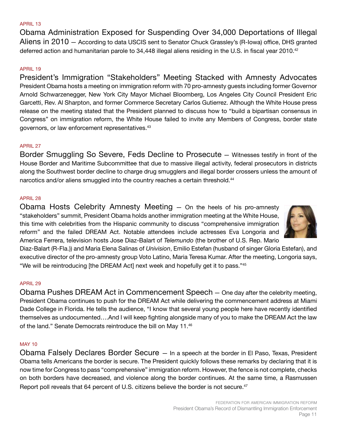#### APRIL 13

Obama Administration Exposed for Suspending Over 34,000 Deportations of Illegal Aliens in 2010 — According to data USCIS sent to Senator Chuck Grassley's (R-Iowa) office, DHS granted deferred action and humanitarian parole to 34,448 illegal aliens residing in the U.S. in fiscal year 2010.<sup>42</sup>

#### APRIL 19

President's Immigration "Stakeholders" Meeting Stacked with Amnesty Advocates President Obama hosts a meeting on immigration reform with 70 pro-amnesty guests including former Governor Arnold Schwarzenegger, New York City Mayor Michael Bloomberg, Los Angeles City Council President Eric Garcetti, Rev. Al Sharpton, and former Commerce Secretary Carlos Gutierrez. Although the White House press release on the meeting stated that the President planned to discuss how to "build a bipartisan consensus in Congress" on immigration reform, the White House failed to invite any Members of Congress, border state governors, or law enforcement representatives.43

#### APRIL 27

Border Smuggling So Severe, Feds Decline to Prosecute — Witnesses testify in front of the House Border and Maritime Subcommittee that due to massive illegal activity, federal prosecutors in districts along the Southwest border decline to charge drug smugglers and illegal border crossers unless the amount of narcotics and/or aliens smuggled into the country reaches a certain threshold.<sup>44</sup>

#### APRIL 28

Obama Hosts Celebrity Amnesty Meeting — On the heels of his pro-amnesty "stakeholders" summit, President Obama holds another immigration meeting at the White House, this time with celebrities from the Hispanic community to discuss "comprehensive immigration reform" and the failed DREAM Act. Notable attendees include actresses Eva Longoria and America Ferrera, television hosts Jose Diaz-Balart of *Telemundo* (the brother of U.S. Rep. Mario



Diaz-Balart (R-Fla.)) and Maria Elena Salinas of *Univision*, Emilio Estefan (husband of singer Gloria Estefan), and executive director of the pro-amnesty group Voto Latino, Maria Teresa Kumar. After the meeting, Longoria says, "We will be reintroducing [the DREAM Act] next week and hopefully get it to pass."45

#### APRIL 29

Obama Pushes DREAM Act in Commencement Speech — One day after the celebrity meeting, President Obama continues to push for the DREAM Act while delivering the commencement address at Miami Dade College in Florida. He tells the audience, "I know that several young people here have recently identified themselves as undocumented….And I will keep fighting alongside many of you to make the DREAM Act the law of the land." Senate Democrats reintroduce the bill on May 11.<sup>46</sup>

#### MAY 10

Obama Falsely Declares Border Secure — In a speech at the border in El Paso, Texas, President Obama tells Americans the border is secure. The President quickly follows these remarks by declaring that it is now time for Congress to pass "comprehensive" immigration reform. However, the fence is not complete, checks on both borders have decreased, and violence along the border continues. At the same time, a Rasmussen Report poll reveals that 64 percent of U.S. citizens believe the border is not secure.<sup>47</sup>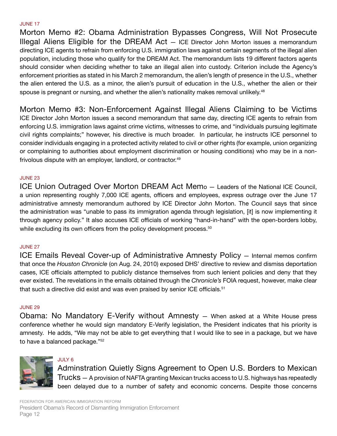#### JUNE 17

Morton Memo #2: Obama Administration Bypasses Congress, Will Not Prosecute Illegal Aliens Eligible for the DREAM Act — ICE Director John Morton issues a memorandum directing ICE agents to refrain from enforcing U.S. immigration laws against certain segments of the illegal alien population, including those who qualify for the DREAM Act. The memorandum lists 19 different factors agents should consider when deciding whether to take an illegal alien into custody. Criterion include the Agency's enforcement priorities as stated in his March 2 memorandum, the alien's length of presence in the U.S., whether the alien entered the U.S. as a minor, the alien's pursuit of education in the U.S., whether the alien or their spouse is pregnant or nursing, and whether the alien's nationality makes removal unlikely.<sup>48</sup>

Morton Memo #3: Non-Enforcement Against Illegal Aliens Claiming to be Victims ICE Director John Morton issues a second memorandum that same day, directing ICE agents to refrain from enforcing U.S. immigration laws against crime victims, witnesses to crime, and "individuals pursuing legitimate civil rights complaints;" however, his directive is much broader. In particular, he instructs ICE personnel to consider individuals engaging in a protected activity related to civil or other rights (for example, union organizing or complaining to authorities about employment discrimination or housing conditions) who may be in a nonfrivolous dispute with an employer, landlord, or contractor.<sup>49</sup>

#### JUNE 23

ICE Union Outraged Over Morton DREAM Act Memo — Leaders of the National ICE Council, a union representing roughly 7,000 ICE agents, officers and employees, express outrage over the June 17 administrative amnesty memorandum authored by ICE Director John Morton. The Council says that since the administration was "unable to pass its immigration agenda through legislation, [it] is now implementing it through agency policy." It also accuses ICE officials of working "hand-in-hand" with the open-borders lobby, while excluding its own officers from the policy development process.<sup>50</sup>

#### JUNE 27

ICE Emails Reveal Cover-up of Administrative Amnesty Policy — Internal memos confirm that once the *Houston Chronicle* (on Aug. 24, 2010) exposed DHS' directive to review and dismiss deportation cases, ICE officials attempted to publicly distance themselves from such lenient policies and deny that they ever existed. The revelations in the emails obtained through the *Chronicle's* FOIA request, however, make clear that such a directive did exist and was even praised by senior ICE officials.<sup>51</sup>

#### JUNE 29

Obama: No Mandatory E-Verify without Amnesty — When asked at a White House press conference whether he would sign mandatory E-Verify legislation, the President indicates that his priority is amnesty. He adds, "We may not be able to get everything that I would like to see in a package, but we have to have a balanced package."52



## JULY 6

Adminstration Quietly Signs Agreement to Open U.S. Borders to Mexican Trucks — A provision of NAFTA granting Mexican trucks access to U.S. highways has repeatedly been delayed due to a number of safety and economic concerns. Despite those concerns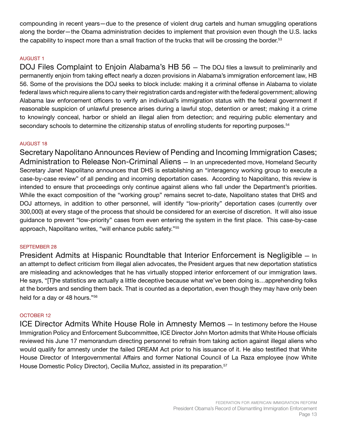compounding in recent years—due to the presence of violent drug cartels and human smuggling operations along the border—the Obama administration decides to implement that provision even though the U.S. lacks the capability to inspect more than a small fraction of the trucks that will be crossing the border.<sup>53</sup>

## AUGUST 1

DOJ Files Complaint to Enjoin Alabama's HB 56 — The DOJ files a lawsuit to preliminarily and permanently enjoin from taking effect nearly a dozen provisions in Alabama's immigration enforcement law, HB 56. Some of the provisions the DOJ seeks to block include: making it a criminal offense in Alabama to violate federal laws which require aliens to carry their registration cards and register with the federal government; allowing Alabama law enforcement officers to verify an individual's immigration status with the federal government if reasonable suspicion of unlawful presence arises during a lawful stop, detention or arrest; making it a crime to knowingly conceal, harbor or shield an illegal alien from detection; and requiring public elementary and secondary schools to determine the citizenship status of enrolling students for reporting purposes.<sup>54</sup>

## AUGUST 18

Secretary Napolitano Announces Review of Pending and Incoming Immigration Cases; Administration to Release Non-Criminal Aliens — In an unprecedented move, Homeland Security Secretary Janet Napolitano announces that DHS is establishing an "interagency working group to execute a case-by-case review" of all pending and incoming deportation cases. According to Napolitano, this review is intended to ensure that proceedings only continue against aliens who fall under the Department's priorities. While the exact composition of the "working group" remains secret to-date, Napolitano states that DHS and DOJ attorneys, in addition to other personnel, will identify "low-priority" deportation cases (currently over 300,000) at every stage of the process that should be considered for an exercise of discretion. It will also issue guidance to prevent "low-priority" cases from even entering the system in the first place. This case-by-case approach, Napolitano writes, "will enhance public safety."55

## SEPTEMBER 28

President Admits at Hispanic Roundtable that Interior Enforcement is Negligible — In an attempt to deflect criticism from illegal alien advocates, the President argues that new deportation statistics are misleading and acknowledges that he has virtually stopped interior enforcement of our immigration laws. He says, "[T]he statistics are actually a little deceptive because what we've been doing is...apprehending folks at the borders and sending them back. That is counted as a deportation, even though they may have only been held for a day or 48 hours."56

#### OCTOBER 12

ICE Director Admits White House Role in Amnesty Memos — In testimony before the House Immigration Policy and Enforcement Subcommittee, ICE Director John Morton admits that White House officials reviewed his June 17 memorandum directing personnel to refrain from taking action against illegal aliens who would qualify for amnesty under the failed DREAM Act prior to his issuance of it. He also testified that White House Director of Intergovernmental Affairs and former National Council of La Raza employee (now White House Domestic Policy Director), Cecilia Muñoz, assisted in its preparation.<sup>57</sup>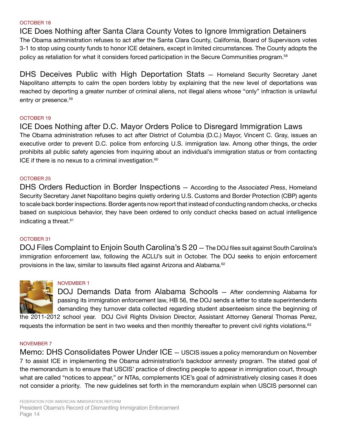#### OCTOBER 18

ICE Does Nothing after Santa Clara County Votes to Ignore Immigration Detainers The Obama administration refuses to act after the Santa Clara County, California, Board of Supervisors votes 3-1 to stop using county funds to honor ICE detainers, except in limited circumstances. The County adopts the policy as retaliation for what it considers forced participation in the Secure Communities program.58

DHS Deceives Public with High Deportation Stats — Homeland Security Secretary Janet Napolitano attempts to calm the open borders lobby by explaining that the new level of deportations was reached by deporting a greater number of criminal aliens, not illegal aliens whose "only" infraction is unlawful entry or presence.<sup>59</sup>

#### OCTOBER 19

ICE Does Nothing after D.C. Mayor Orders Police to Disregard Immigration Laws The Obama administration refuses to act after District of Columbia (D.C.) Mayor, Vincent C. Gray, issues an executive order to prevent D.C. police from enforcing U.S. immigration law. Among other things, the order prohibits all public safety agencies from inquiring about an individual's immigration status or from contacting ICE if there is no nexus to a criminal investigation. $60$ 

#### OCTOBER 25

DHS Orders Reduction in Border Inspections — According to the *Associated Press*, Homeland Security Secretary Janet Napolitano begins quietly ordering U.S. Customs and Border Protection (CBP) agents to scale back border inspections. Border agents now report that instead of conducting random checks, or checks based on suspicious behavior, they have been ordered to only conduct checks based on actual intelligence indicating a threat.<sup>61</sup>

#### OCTOBER 31

DOJ Files Complaint to Enjoin South Carolina's S 20 — The DOJ files suit against South Carolina's immigration enforcement law, following the ACLU's suit in October. The DOJ seeks to enjoin enforcement provisions in the law, similar to lawsuits filed against Arizona and Alabama.<sup>62</sup>



#### NOVEMBER 1

DOJ Demands Data from Alabama Schools — After condemning Alabama for passing its immigration enforcement law, HB 56, the DOJ sends a letter to state superintendents demanding they turnover data collected regarding student absenteeism since the beginning of

the 2011-2012 school year. DOJ Civil Rights Division Director, Assistant Attorney General Thomas Perez, requests the information be sent in two weeks and then monthly thereafter to prevent civil rights violations.<sup>63</sup>

#### NOVEMBER 7

Memo: DHS Consolidates Power Under ICE — USCIS issues a policy memorandum on November 7 to assist ICE in implementing the Obama administration's backdoor amnesty program. The stated goal of the memorandum is to ensure that USCIS' practice of directing people to appear in immigration court, through what are called "notices to appear," or NTAs, complements ICE's goal of administratively closing cases it does not consider a priority. The new guidelines set forth in the memorandum explain when USCIS personnel can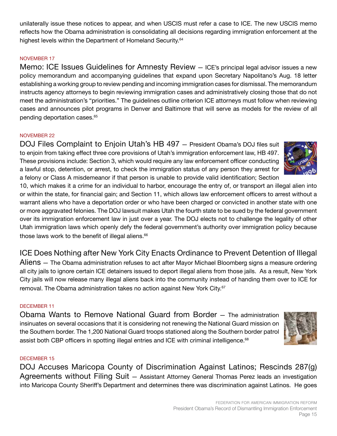unilaterally issue these notices to appear, and when USCIS must refer a case to ICE. The new USCIS memo reflects how the Obama administration is consolidating all decisions regarding immigration enforcement at the highest levels within the Department of Homeland Security.<sup>64</sup>

## NOVEMBER 17

Memo: ICE Issues Guidelines for Amnesty Review — ICE's principal legal advisor issues a new policy memorandum and accompanying guidelines that expand upon Secretary Napolitano's Aug. 18 letter establishing a working group to review pending and incoming immigration cases for dismissal. The memorandum instructs agency attorneys to begin reviewing immigration cases and administratively closing those that do not meet the administration's "priorities." The guidelines outline criterion ICE attorneys must follow when reviewing cases and announces pilot programs in Denver and Baltimore that will serve as models for the review of all pending deportation cases.<sup>65</sup>

## NOVEMBER 22

DOJ Files Complaint to Enjoin Utah's HB 497 — President Obama's DOJ files suit to enjoin from taking effect three core provisions of Utah's immigration enforcement law, HB 497. These provisions include: Section 3, which would require any law enforcement officer conducting a lawful stop, detention, or arrest, to check the immigration status of any person they arrest for a felony or Class A misdemeanor if that person is unable to provide valid identification; Section



10, which makes it a crime for an individual to harbor, encourage the entry of, or transport an illegal alien into or within the state, for financial gain; and Section 11, which allows law enforcement officers to arrest without a warrant aliens who have a deportation order or who have been charged or convicted in another state with one or more aggravated felonies. The DOJ lawsuit makes Utah the fourth state to be sued by the federal government over its immigration enforcement law in just over a year. The DOJ elects not to challenge the legality of other Utah immigration laws which openly defy the federal government's authority over immigration policy because those laws work to the benefit of illegal aliens.<sup>66</sup>

## ICE Does Nothing after New York City Enacts Ordinance to Prevent Detention of Illegal

Aliens — The Obama administration refuses to act after Mayor Michael Bloomberg signs a measure ordering all city jails to ignore certain ICE detainers issued to deport illegal aliens from those jails. As a result, New York City jails will now release many illegal aliens back into the community instead of handing them over to ICE for removal. The Obama administration takes no action against New York City.<sup>67</sup>

## DECEMBER 11

Obama Wants to Remove National Guard from Border — The administration insinuates on several occasions that it is considering not renewing the National Guard mission on the Southern border. The 1,200 National Guard troops stationed along the Southern border patrol assist both CBP officers in spotting illegal entries and ICE with criminal intelligence.<sup>68</sup>

## DECEMBER 15

DOJ Accuses Maricopa County of Discrimination Against Latinos; Rescinds 287(g) Agreements without Filing Suit — Assistant Attorney General Thomas Perez leads an investigation into Maricopa County Sheriff's Department and determines there was discrimination against Latinos. He goes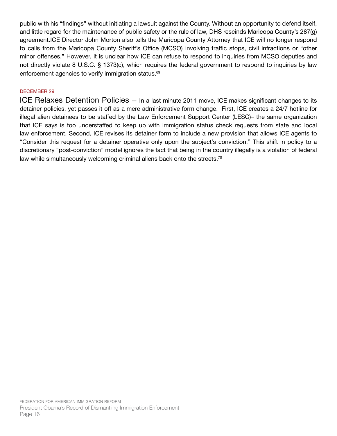public with his "findings" without initiating a lawsuit against the County. Without an opportunity to defend itself, and little regard for the maintenance of public safety or the rule of law, DHS rescinds Maricopa County's 287(g) agreement.ICE Director John Morton also tells the Maricopa County Attorney that ICE will no longer respond to calls from the Maricopa County Sheriff's Office (MCSO) involving traffic stops, civil infractions or "other minor offenses." However, it is unclear how ICE can refuse to respond to inquiries from MCSO deputies and not directly violate 8 U.S.C. § 1373(c), which requires the federal government to respond to inquiries by law enforcement agencies to verify immigration status.<sup>69</sup>

## DECEMBER 29

ICE Relaxes Detention Policies - In a last minute 2011 move, ICE makes significant changes to its detainer policies, yet passes it off as a mere administrative form change. First, ICE creates a 24/7 hotline for illegal alien detainees to be staffed by the Law Enforcement Support Center (LESC)– the same organization that ICE says is too understaffed to keep up with immigration status check requests from state and local law enforcement. Second, ICE revises its detainer form to include a new provision that allows ICE agents to "Consider this request for a detainer operative only upon the subject's conviction." This shift in policy to a discretionary "post-conviction" model ignores the fact that being in the country illegally is a violation of federal law while simultaneously welcoming criminal aliens back onto the streets.<sup>70</sup>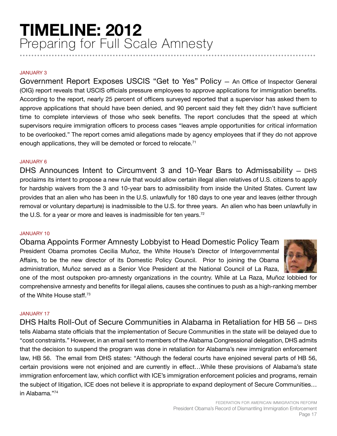## **TIMELINE: 2012** Preparing for Full Scale Amnesty **......................................................................................................**

#### JANUARY 3

Government Report Exposes USCIS "Get to Yes" Policy — An Office of Inspector General (OIG) report reveals that USCIS officials pressure employees to approve applications for immigration benefits. According to the report, nearly 25 percent of officers surveyed reported that a supervisor has asked them to approve applications that should have been denied, and 90 percent said they felt they didn't have sufficient time to complete interviews of those who seek benefits. The report concludes that the speed at which supervisors require immigration officers to process cases "leaves ample opportunities for critical information to be overlooked." The report comes amid allegations made by agency employees that if they do not approve enough applications, they will be demoted or forced to relocate.<sup>71</sup>

#### JANUARY 6

DHS Announces Intent to Circumvent 3 and 10-Year Bars to Admissability — DHS proclaims its intent to propose a new rule that would allow certain illegal alien relatives of U.S. citizens to apply for hardship waivers from the 3 and 10-year bars to admissibility from inside the United States. Current law provides that an alien who has been in the U.S. unlawfully for 180 days to one year and leaves (either through removal or voluntary departure) is inadmissible to the U.S. for three years. An alien who has been unlawfully in the U.S. for a year or more and leaves is inadmissible for ten years.<sup>72</sup>

#### JANUARY 10

Obama Appoints Former Amnesty Lobbyist to Head Domestic Policy Team President Obama promotes Cecilia Muñoz, the White House's Director of Intergovernmental Affairs, to be the new director of its Domestic Policy Council. Prior to joining the Obama administration, Muñoz served as a Senior Vice President at the National Council of La Raza,



one of the most outspoken pro-amnesty organizations in the country. While at La Raza, Muñoz lobbied for comprehensive amnesty and benefits for illegal aliens, causes she continues to push as a high-ranking member of the White House staff.73

## JANUARY 17

DHS Halts Roll-Out of Secure Communities in Alabama in Retaliation for HB 56 — DHS tells Alabama state officials that the implementation of Secure Communities in the state will be delayed due to "cost constraints." However, in an email sent to members of the Alabama Congressional delegation, DHS admits that the decision to suspend the program was done in retaliation for Alabama's new immigration enforcement law, HB 56. The email from DHS states: "Although the federal courts have enjoined several parts of HB 56, certain provisions were not enjoined and are currently in effect…While these provisions of Alabama's state immigration enforcement law, which conflict with ICE's immigration enforcement policies and programs, remain the subject of litigation, ICE does not believe it is appropriate to expand deployment of Secure Communities… in Alabama."74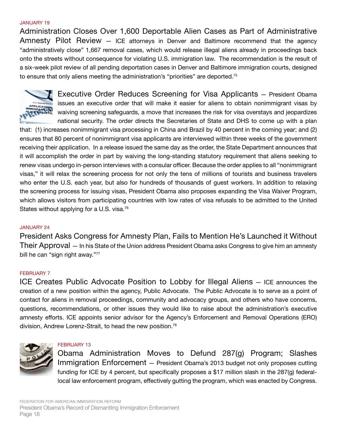#### JANUARY 19

Administration Closes Over 1,600 Deportable Alien Cases as Part of Administrative Amnesty Pilot Review — ICE attorneys in Denver and Baltimore recommend that the agency "administratively close" 1,667 removal cases, which would release illegal aliens already in proceedings back onto the streets without consequence for violating U.S. immigration law. The recommendation is the result of a six-week pilot review of all pending deportation cases in Denver and Baltimore immigration courts, designed to ensure that only aliens meeting the administration's "priorities" are deported.<sup>75</sup>



Executive Order Reduces Screening for Visa Applicants — President Obama issues an executive order that will make it easier for aliens to obtain nonimmigrant visas by waiving screening safeguards, a move that increases the risk for visa overstays and jeopardizes national security. The order directs the Secretaries of State and DHS to come up with a plan

that: (1) increases nonimmigrant visa processing in China and Brazil by 40 percent in the coming year; and (2) ensures that 80 percent of nonimmigrant visa applicants are interviewed within three weeks of the government receiving their application. In a release issued the same day as the order, the State Department announces that it will accomplish the order in part by waiving the long-standing statutory requirement that aliens seeking to renew visas undergo in-person interviews with a consular officer. Because the order applies to all "nonimmigrant visas," it will relax the screening process for not only the tens of millions of tourists and business travelers who enter the U.S. each year, but also for hundreds of thousands of guest workers. In addition to relaxing the screening process for issuing visas, President Obama also proposes expanding the Visa Waiver Program, which allows visitors from participating countries with low rates of visa refusals to be admitted to the United States without applying for a U.S. visa.<sup>76</sup>

#### JANUARY 24

President Asks Congress for Amnesty Plan, Fails to Mention He's Launched it Without Their Approval — In his State of the Union address President Obama asks Congress to give him an amnesty bill he can "sign right away."77

#### FEBRUARY 7

ICE Creates Public Advocate Position to Lobby for Illegal Aliens — ICE announces the creation of a new position within the agency, Public Advocate. The Public Advocate is to serve as a point of contact for aliens in removal proceedings, community and advocacy groups, and others who have concerns, questions, recommendations, or other issues they would like to raise about the administration's executive amnesty efforts. ICE appoints senior advisor for the Agency's Enforcement and Removal Operations (ERO) division, Andrew Lorenz-Strait, to head the new position.78



#### FEBRUARY 13

Obama Administration Moves to Defund 287(g) Program; Slashes Immigration Enforcement — President Obama's 2013 budget not only proposes cutting funding for ICE by 4 percent, but specifically proposes a \$17 million slash in the 287(g) federallocal law enforcement program, effectively gutting the program, which was enacted by Congress.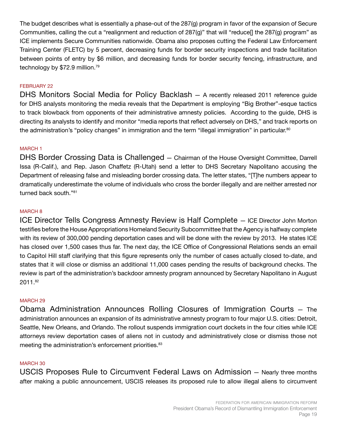The budget describes what is essentially a phase-out of the 287(g) program in favor of the expansion of Secure Communities, calling the cut a "realignment and reduction of 287(g)" that will "reduce[] the 287(g) program" as ICE implements Secure Communities nationwide. Obama also proposes cutting the Federal Law Enforcement Training Center (FLETC) by 5 percent, decreasing funds for border security inspections and trade facilitation between points of entry by \$6 million, and decreasing funds for border security fencing, infrastructure, and technology by \$72.9 million.<sup>79</sup>

## FEBRUARY 22

DHS Monitors Social Media for Policy Backlash — A recently released 2011 reference guide for DHS analysts monitoring the media reveals that the Department is employing "Big Brother"-esque tactics to track blowback from opponents of their administrative amnesty policies. According to the guide, DHS is directing its analysts to identify and monitor "media reports that reflect adversely on DHS," and track reports on the administration's "policy changes" in immigration and the term "illegal immigration" in particular.<sup>80</sup>

## MARCH 1

DHS Border Crossing Data is Challenged — Chairman of the House Oversight Committee, Darrell Issa (R-Calif.), and Rep. Jason Chaffetz (R-Utah) send a letter to DHS Secretary Napolitano accusing the Department of releasing false and misleading border crossing data. The letter states, "[T]he numbers appear to dramatically underestimate the volume of individuals who cross the border illegally and are neither arrested nor turned back south."81

## MARCH 8

ICE Director Tells Congress Amnesty Review is Half Complete — ICE Director John Morton testifies before the House Appropriations Homeland Security Subcommittee that the Agency is halfway complete with its review of 300,000 pending deportation cases and will be done with the review by 2013. He states ICE has closed over 1,500 cases thus far. The next day, the ICE Office of Congressional Relations sends an email to Capitol Hill staff clarifying that this figure represents only the number of cases actually closed to-date, and states that it will close or dismiss an additional 11,000 cases pending the results of background checks. The review is part of the administration's backdoor amnesty program announced by Secretary Napolitano in August 2011.82

## MARCH 29

Obama Administration Announces Rolling Closures of Immigration Courts — The administration announces an expansion of its administrative amnesty program to four major U.S. cities: Detroit, Seattle, New Orleans, and Orlando. The rollout suspends immigration court dockets in the four cities while ICE attorneys review deportation cases of aliens not in custody and administratively close or dismiss those not meeting the administration's enforcement priorities.<sup>83</sup>

## MARCH 30

USCIS Proposes Rule to Circumvent Federal Laws on Admission — Nearly three months after making a public announcement, USCIS releases its proposed rule to allow illegal aliens to circumvent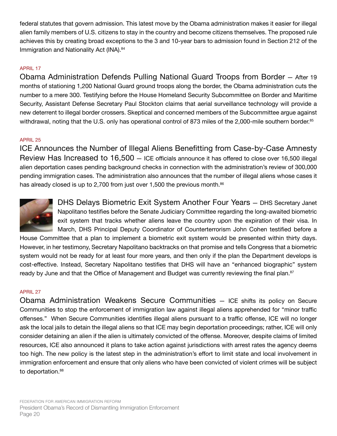federal statutes that govern admission. This latest move by the Obama administration makes it easier for illegal alien family members of U.S. citizens to stay in the country and become citizens themselves. The proposed rule achieves this by creating broad exceptions to the 3 and 10-year bars to admission found in Section 212 of the Immigration and Nationality Act (INA).<sup>84</sup>

## APRIL 17

Obama Administration Defends Pulling National Guard Troops from Border — After 19 months of stationing 1,200 National Guard ground troops along the border, the Obama administration cuts the number to a mere 300. Testifying before the House Homeland Security Subcommittee on Border and Maritime Security, Assistant Defense Secretary Paul Stockton claims that aerial surveillance technology will provide a new deterrent to illegal border crossers. Skeptical and concerned members of the Subcommittee argue against withdrawal, noting that the U.S. only has operational control of 873 miles of the 2,000-mile southern border.<sup>85</sup>

## APRIL 25

ICE Announces the Number of Illegal Aliens Benefitting from Case-by-Case Amnesty Review Has Increased to 16,500 — ICE officials announce it has offered to close over 16,500 illegal alien deportation cases pending background checks in connection with the administration's review of 300,000 pending immigration cases. The administration also announces that the number of illegal aliens whose cases it has already closed is up to 2,700 from just over 1,500 the previous month.<sup>86</sup>



DHS Delays Biometric Exit System Another Four Years — DHS Secretary Janet Napolitano testifies before the Senate Judiciary Committee regarding the long-awaited biometric exit system that tracks whether aliens leave the country upon the expiration of their visa. In March, DHS Principal Deputy Coordinator of Counterterrorism John Cohen testified before a

House Committee that a plan to implement a biometric exit system would be presented within thirty days. However, in her testimony, Secretary Napolitano backtracks on that promise and tells Congress that a biometric system would not be ready for at least four more years, and then only if the plan the Department develops is cost-effective. Instead, Secretary Napolitano testifies that DHS will have an "enhanced biographic" system ready by June and that the Office of Management and Budget was currently reviewing the final plan.<sup>87</sup>

## APRIL 27

Obama Administration Weakens Secure Communities — ICE shifts its policy on Secure Communities to stop the enforcement of immigration law against illegal aliens apprehended for "minor traffic offenses." When Secure Communities identifies illegal aliens pursuant to a traffic offense, ICE will no longer ask the local jails to detain the illegal aliens so that ICE may begin deportation proceedings; rather, ICE will only consider detaining an alien if the alien is ultimately convicted of the offense. Moreover, despite claims of limited resources, ICE also announced it plans to take action against jurisdictions with arrest rates the agency deems too high. The new policy is the latest step in the administration's effort to limit state and local involvement in immigration enforcement and ensure that only aliens who have been convicted of violent crimes will be subject to deportation.<sup>88</sup>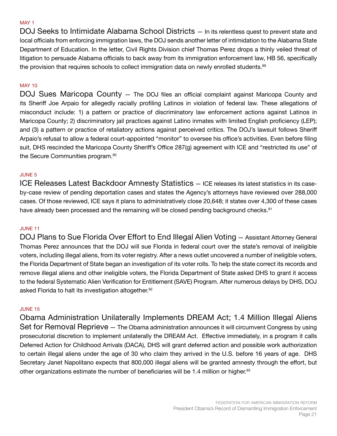#### MAY 1

DOJ Seeks to Intimidate Alabama School Districts — In its relentless quest to prevent state and local officials from enforcing immigration laws, the DOJ sends another letter of intimidation to the Alabama State Department of Education. In the letter, Civil Rights Division chief Thomas Perez drops a thinly veiled threat of litigation to persuade Alabama officials to back away from its immigration enforcement law, HB 56, specifically the provision that requires schools to collect immigration data on newly enrolled students.<sup>89</sup>

## MAY 10

DOJ Sues Maricopa County — The DOJ files an official complaint against Maricopa County and its Sheriff Joe Arpaio for allegedly racially profiling Latinos in violation of federal law. These allegations of misconduct include: 1) a pattern or practice of discriminatory law enforcement actions against Latinos in Maricopa County; 2) discriminatory jail practices against Latino inmates with limited English proficiency (LEP); and (3) a pattern or practice of retaliatory actions against perceived critics. The DOJ's lawsuit follows Sheriff Arpaio's refusal to allow a federal court-appointed "monitor" to oversee his office's activities. Even before filing suit, DHS rescinded the Maricopa County Sheriff's Office 287(g) agreement with ICE and "restricted its use" of the Secure Communities program.<sup>90</sup>

#### JUNE 5

ICE Releases Latest Backdoor Amnesty Statistics — ICE releases its latest statistics in its caseby-case review of pending deportation cases and states the Agency's attorneys have reviewed over 288,000 cases. Of those reviewed, ICE says it plans to administratively close 20,648; it states over 4,300 of these cases have already been processed and the remaining will be closed pending background checks.<sup>91</sup>

#### JUNE 11

DOJ Plans to Sue Florida Over Effort to End Illegal Alien Voting — Assistant Attorney General Thomas Perez announces that the DOJ will sue Florida in federal court over the state's removal of ineligible voters, including illegal aliens, from its voter registry. After a news outlet uncovered a number of ineligible voters, the Florida Department of State began an investigation of its voter rolls. To help the state correct its records and remove illegal aliens and other ineligible voters, the Florida Department of State asked DHS to grant it access to the federal Systematic Alien Verification for Entitlement (SAVE) Program. After numerous delays by DHS, DOJ asked Florida to halt its investigation altogether.<sup>92</sup>

## JUNE 15

Obama Administration Unilaterally Implements DREAM Act; 1.4 Million Illegal Aliens Set for Removal Reprieve — The Obama administration announces it will circumvent Congress by using prosecutorial discretion to implement unilaterally the DREAM Act. Effective immediately, in a program it calls Deferred Action for Childhood Arrivals (DACA), DHS will grant deferred action and possible work authorization to certain illegal aliens under the age of 30 who claim they arrived in the U.S. before 16 years of age. DHS Secretary Janet Napolitano expects that 800,000 illegal aliens will be granted amnesty through the effort, but other organizations estimate the number of beneficiaries will be 1.4 million or higher.<sup>93</sup>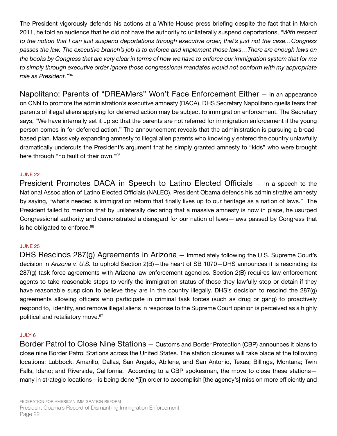The President vigorously defends his actions at a White House press briefing despite the fact that in March 2011, he told an audience that he did not have the authority to unilaterally suspend deportations, *"With respect to the notion that I can just suspend deportations through executive order, that's just not the case…Congress passes the law. The executive branch's job is to enforce and implement those laws…There are enough laws on the books by Congress that are very clear in terms of how we have to enforce our immigration system that for me to simply through executive order ignore those congressional mandates would not conform with my appropriate role as President."*94

Napolitano: Parents of "DREAMers" Won't Face Enforcement Either — In an appearance on CNN to promote the administration's executive amnesty (DACA), DHS Secretary Napolitano quells fears that parents of illegal aliens applying for deferred action may be subject to immigration enforcement. The Secretary says, "We have internally set it up so that the parents are not referred for immigration enforcement if the young person comes in for deferred action." The announcement reveals that the administration is pursuing a broadbased plan. Massively expanding amnesty to illegal alien parents who knowingly entered the country unlawfully dramatically undercuts the President's argument that he simply granted amnesty to "kids" who were brought here through "no fault of their own."95

#### JUNE 22

President Promotes DACA in Speech to Latino Elected Officials — In a speech to the National Association of Latino Elected Officials (NALEO), President Obama defends his administrative amnesty by saying, "what's needed is immigration reform that finally lives up to our heritage as a nation of laws." The President failed to mention that by unilaterally declaring that a massive amnesty is now in place, he usurped Congressional authority and demonstrated a disregard for our nation of laws—laws passed by Congress that is he obligated to enforce.<sup>96</sup>

#### JUNE 25

DHS Rescinds 287(g) Agreements in Arizona — Immediately following the U.S. Supreme Court's decision in *Arizona v. U.S.* to uphold Section 2(B)—the heart of SB 1070—DHS announces it is rescinding its 287(g) task force agreements with Arizona law enforcement agencies. Section 2(B) requires law enforcement agents to take reasonable steps to verify the immigration status of those they lawfully stop or detain if they have reasonable suspicion to believe they are in the country illegally. DHS's decision to rescind the 287(g) agreements allowing officers who participate in criminal task forces (such as drug or gang) to proactively respond to, identify, and remove illegal aliens in response to the Supreme Court opinion is perceived as a highly political and retaliatory move.<sup>97</sup>

#### JULY 6

Border Patrol to Close Nine Stations — Customs and Border Protection (CBP) announces it plans to close nine Border Patrol Stations across the United States. The station closures will take place at the following locations: Lubbock, Amarillo, Dallas, San Angelo, Abilene, and San Antonio, Texas; Billings, Montana; Twin Falls, Idaho; and Riverside, California. According to a CBP spokesman, the move to close these stations many in strategic locations—is being done "[i]n order to accomplish [the agency's] mission more efficiently and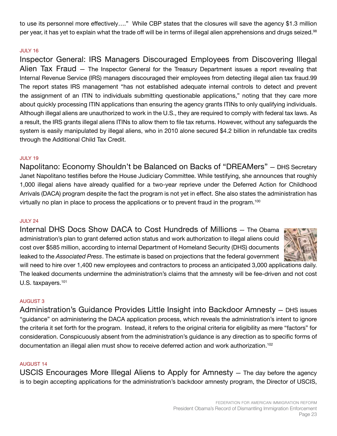to use its personnel more effectively…." While CBP states that the closures will save the agency \$1.3 million per year, it has yet to explain what the trade off will be in terms of illegal alien apprehensions and drugs seized.<sup>98</sup>

## JULY 16

Inspector General: IRS Managers Discouraged Employees from Discovering Illegal Alien Tax Fraud — The Inspector General for the Treasury Department issues a report revealing that Internal Revenue Service (IRS) managers discouraged their employees from detecting illegal alien tax fraud.99 The report states IRS management "has not established adequate internal controls to detect and prevent the assignment of an ITIN to individuals submitting questionable applications," noting that they care more about quickly processing ITIN applications than ensuring the agency grants ITINs to only qualifying individuals. Although illegal aliens are unauthorized to work in the U.S., they are required to comply with federal tax laws. As a result, the IRS grants illegal aliens ITINs to allow them to file tax returns. However, without any safeguards the system is easily manipulated by illegal aliens, who in 2010 alone secured \$4.2 billion in refundable tax credits through the Additional Child Tax Credit.

#### JULY 19

Napolitano: Economy Shouldn't be Balanced on Backs of "DREAMers" — DHS Secretary Janet Napolitano testifies before the House Judiciary Committee. While testifying, she announces that roughly 1,000 illegal aliens have already qualified for a two-year reprieve under the Deferred Action for Childhood Arrivals (DACA) program despite the fact the program is not yet in effect. She also states the administration has virtually no plan in place to process the applications or to prevent fraud in the program.<sup>100</sup>

#### JULY 24

Internal DHS Docs Show DACA to Cost Hundreds of Millions — The Obama administration's plan to grant deferred action status and work authorization to illegal aliens could cost over \$585 million, according to internal Department of Homeland Security (DHS) documents leaked to the *Associated Press*. The estimate is based on projections that the federal government



will need to hire over 1,400 new employees and contractors to process an anticipated 3,000 applications daily. The leaked documents undermine the administration's claims that the amnesty will be fee-driven and not cost U.S. taxpayers.<sup>101</sup>

#### AUGUST 3

Administration's Guidance Provides Little Insight into Backdoor Amnesty — DHS issues "guidance" on administering the DACA application process, which reveals the administration's intent to ignore the criteria it set forth for the program. Instead, it refers to the original criteria for eligibility as mere "factors" for consideration. Conspicuously absent from the administration's guidance is any direction as to specific forms of documentation an illegal alien must show to receive deferred action and work authorization.<sup>102</sup>

#### AUGUST 14

USCIS Encourages More Illegal Aliens to Apply for Amnesty — The day before the agency is to begin accepting applications for the administration's backdoor amnesty program, the Director of USCIS,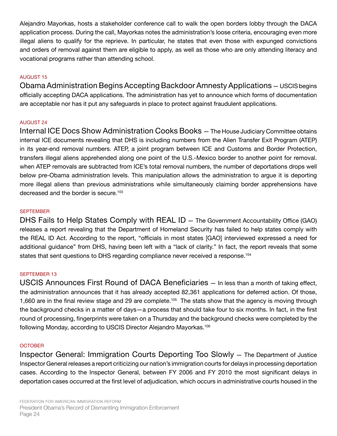Alejandro Mayorkas, hosts a stakeholder conference call to walk the open borders lobby through the DACA application process. During the call, Mayorkas notes the administration's loose criteria, encouraging even more illegal aliens to qualify for the reprieve. In particular, he states that even those with expunged convictions and orders of removal against them are eligible to apply, as well as those who are only attending literacy and vocational programs rather than attending school.

## AUGUST 15

Obama Administration Begins Accepting Backdoor Amnesty Applications — USCIS begins officially accepting DACA applications. The administration has yet to announce which forms of documentation are acceptable nor has it put any safeguards in place to protect against fraudulent applications.

#### AUGUST 24

Internal ICE Docs Show Administration Cooks Books — The House Judiciary Committee obtains internal ICE documents revealing that DHS is including numbers from the Alien Transfer Exit Program (ATEP) in its year-end removal numbers. ATEP, a joint program between ICE and Customs and Border Protection, transfers illegal aliens apprehended along one point of the U.S.-Mexico border to another point for removal. when ATEP removals are subtracted from ICE's total removal numbers, the number of deportations drops well below pre-Obama administration levels. This manipulation allows the administration to argue it is deporting more illegal aliens than previous administrations while simultaneously claiming border apprehensions have decreased and the border is secure.<sup>103</sup>

#### **SEPTEMBER**

DHS Fails to Help States Comply with REAL ID — The Government Accountability Office (GAO) releases a report revealing that the Department of Homeland Security has failed to help states comply with the REAL ID Act. According to the report, "officials in most states [GAO] interviewed expressed a need for additional guidance" from DHS, having been left with a "lack of clarity." In fact, the report reveals that some states that sent questions to DHS regarding compliance never received a response.<sup>104</sup>

## SEPTEMBER 13

USCIS Announces First Round of DACA Beneficiaries — In less than a month of taking effect, the administration announces that it has already accepted 82,361 applications for deferred action. Of those, 1,660 are in the final review stage and 29 are complete.<sup>105</sup> The stats show that the agency is moving through the background checks in a matter of days—a process that should take four to six months. In fact, in the first round of processing, fingerprints were taken on a Thursday and the background checks were completed by the following Monday, according to USCIS Director Alejandro Mayorkas.106

#### **OCTOBER**

Inspector General: Immigration Courts Deporting Too Slowly — The Department of Justice Inspector General releases a report criticizing our nation's immigration courts for delays in processing deportation cases. According to the Inspector General, between FY 2006 and FY 2010 the most significant delays in deportation cases occurred at the first level of adjudication, which occurs in administrative courts housed in the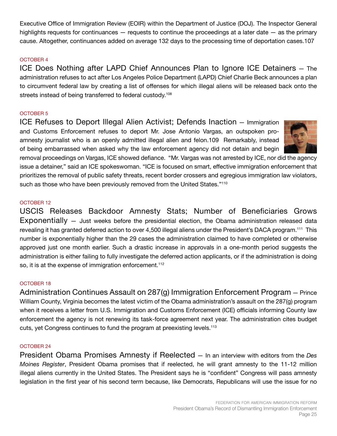Executive Office of Immigration Review (EOIR) within the Department of Justice (DOJ). The Inspector General highlights requests for continuances — requests to continue the proceedings at a later date — as the primary cause. Altogether, continuances added on average 132 days to the processing time of deportation cases.107

## OCTOBER 4

ICE Does Nothing after LAPD Chief Announces Plan to Ignore ICE Detainers — The administration refuses to act after Los Angeles Police Department (LAPD) Chief Charlie Beck announces a plan to circumvent federal law by creating a list of offenses for which illegal aliens will be released back onto the streets instead of being transferred to federal custody.<sup>108</sup>

## OCTOBER 5

ICE Refuses to Deport Illegal Alien Activist; Defends Inaction — Immigration and Customs Enforcement refuses to deport Mr. Jose Antonio Vargas, an outspoken proamnesty journalist who is an openly admitted illegal alien and felon.109 Remarkably, instead of being embarrassed when asked why the law enforcement agency did not detain and begin



removal proceedings on Vargas, ICE showed defiance. "Mr. Vargas was not arrested by ICE, nor did the agency issue a detainer," said an ICE spokeswoman. "ICE is focused on smart, effective immigration enforcement that prioritizes the removal of public safety threats, recent border crossers and egregious immigration law violators, such as those who have been previously removed from the United States."<sup>110</sup>

## OCTOBER 12

USCIS Releases Backdoor Amnesty Stats; Number of Beneficiaries Grows Exponentially — Just weeks before the presidential election, the Obama administration released data revealing it has granted deferred action to over 4,500 illegal aliens under the President's DACA program.<sup>111</sup> This number is exponentially higher than the 29 cases the administration claimed to have completed or otherwise approved just one month earlier. Such a drastic increase in approvals in a one-month period suggests the administration is either failing to fully investigate the deferred action applicants, or if the administration is doing so, it is at the expense of immigration enforcement.<sup>112</sup>

## OCTOBER 18

Administration Continues Assault on 287(g) Immigration Enforcement Program — Prince William County, Virginia becomes the latest victim of the Obama administration's assault on the 287(g) program when it receives a letter from U.S. Immigration and Customs Enforcement (ICE) officials informing County law enforcement the agency is not renewing its task-force agreement next year. The administration cites budget cuts, yet Congress continues to fund the program at preexisting levels.<sup>113</sup>

## OCTOBER 24

President Obama Promises Amnesty if Reelected — In an interview with editors from the *Des Moines Register*, President Obama promises that if reelected, he will grant amnesty to the 11-12 million illegal aliens currently in the United States. The President says he is "confident" Congress will pass amnesty legislation in the first year of his second term because, like Democrats, Republicans will use the issue for no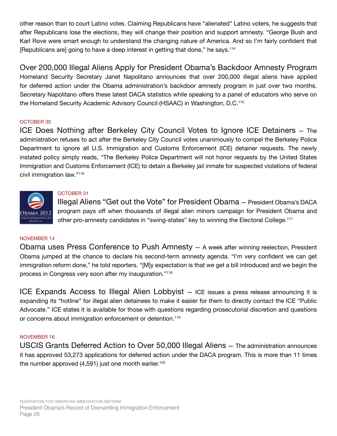other reason than to court Latino votes. Claiming Republicans have "alienated" Latino voters, he suggests that after Republicans lose the elections, they will change their position and support amnesty. "George Bush and Karl Rove were smart enough to understand the changing nature of America. And so I'm fairly confident that [Republicans are] going to have a deep interest in getting that done," he says.114

Over 200,000 Illegal Aliens Apply for President Obama's Backdoor Amnesty Program Homeland Security Secretary Janet Napolitano announces that over 200,000 illegal aliens have applied for deferred action under the Obama administration's backdoor amnesty program in just over two months. Secretary Napolitano offers these latest DACA statistics while speaking to a panel of educators who serve on the Homeland Security Academic Advisory Council (HSAAC) in Washington, D.C.115

## OCTOBER 30

ICE Does Nothing after Berkeley City Council Votes to Ignore ICE Detainers — The administration refuses to act after the Berkeley City Council votes unanimously to compel the Berkeley Police Department to ignore all U.S. Immigration and Customs Enforcement (ICE) detainer requests. The newly instated policy simply reads, "The Berkeley Police Department will not honor requests by the United States Immigration and Customs Enforcement (ICE) to detain a Berkeley jail inmate for suspected violations of federal civil immigration law."<sup>116</sup>



## OCTOBER 31

Illegal Aliens "Get out the Vote" for President Obama — President Obama's DACA program pays off when thousands of illegal alien minors campaign for President Obama and other pro-amnesty candidates in "swing-states" key to winning the Electoral College.<sup>117</sup>

## NOVEMBER 14

Obama uses Press Conference to Push Amnesty — A week after winning reelection, President Obama jumped at the chance to declare his second-term amnesty agenda. "I'm very confident we can get immigration reform done," he told reporters. "[M]y expectation is that we get a bill introduced and we begin the process in Congress very soon after my inauguration."<sup>118</sup>

ICE Expands Access to Illegal Alien Lobbyist — ICE issues a press release announcing it is expanding its "hotline" for illegal alien detainees to make it easier for them to directly contact the ICE "Public Advocate." ICE states it is available for those with questions regarding prosecutorial discretion and questions or concerns about immigration enforcement or detention.<sup>119</sup>

## NOVEMBER 16

USCIS Grants Deferred Action to Over 50,000 Illegal Aliens — The administration announces it has approved 53,273 applications for deferred action under the DACA program. This is more than 11 times the number approved  $(4,591)$  just one month earlier.<sup>120</sup>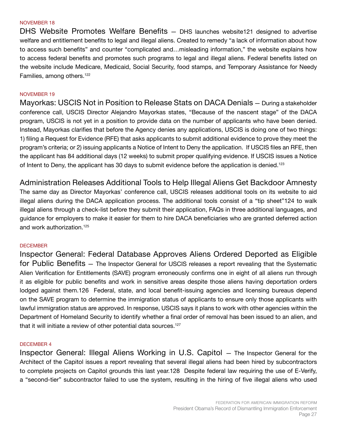#### NOVEMBER 18

DHS Website Promotes Welfare Benefits — DHS launches website121 designed to advertise welfare and entitlement benefits to legal and illegal aliens. Created to remedy "a lack of information about how to access such benefits" and counter "complicated and…misleading information," the website explains how to access federal benefits and promotes such programs to legal and illegal aliens. Federal benefits listed on the website include Medicare, Medicaid, Social Security, food stamps, and Temporary Assistance for Needy Families, among others.<sup>122</sup>

#### NOVEMBER 19

Mayorkas: USCIS Not in Position to Release Stats on DACA Denials — During a stakeholder conference call, USCIS Director Alejandro Mayorkas states, "Because of the nascent stage" of the DACA program, USCIS is not yet in a position to provide data on the number of applicants who have been denied. Instead, Mayorkas clarifies that before the Agency denies any applications, USCIS is doing one of two things: 1) filing a Request for Evidence (RFE) that asks applicants to submit additional evidence to prove they meet the program's criteria; or 2) issuing applicants a Notice of Intent to Deny the application. If USCIS files an RFE, then the applicant has 84 additional days (12 weeks) to submit proper qualifying evidence. If USCIS issues a Notice of Intent to Deny, the applicant has 30 days to submit evidence before the application is denied.<sup>123</sup>

Administration Releases Additional Tools to Help Illegal Aliens Get Backdoor Amnesty The same day as Director Mayorkas' conference call, USCIS releases additional tools on its website to aid illegal aliens during the DACA application process. The additional tools consist of a "tip sheet"124 to walk illegal aliens through a check-list before they submit their application, FAQs in three additional languages, and guidance for employers to make it easier for them to hire DACA beneficiaries who are granted deferred action and work authorization.125

#### **DECEMBER**

Inspector General: Federal Database Approves Aliens Ordered Deported as Eligible for Public Benefits — The Inspector General for USCIS releases a report revealing that the Systematic Alien Verification for Entitlements (SAVE) program erroneously confirms one in eight of all aliens run through it as eligible for public benefits and work in sensitive areas despite those aliens having deportation orders lodged against them.126 Federal, state, and local benefit-issuing agencies and licensing bureaus depend on the SAVE program to determine the immigration status of applicants to ensure only those applicants with lawful immigration status are approved. In response, USCIS says it plans to work with other agencies within the Department of Homeland Security to identify whether a final order of removal has been issued to an alien, and that it will initiate a review of other potential data sources.<sup>127</sup>

#### DECEMBER 4

Inspector General: Illegal Aliens Working in U.S. Capitol — The Inspector General for the Architect of the Capitol issues a report revealing that several illegal aliens had been hired by subcontractors to complete projects on Capitol grounds this last year.128 Despite federal law requiring the use of E-Verify, a "second-tier" subcontractor failed to use the system, resulting in the hiring of five illegal aliens who used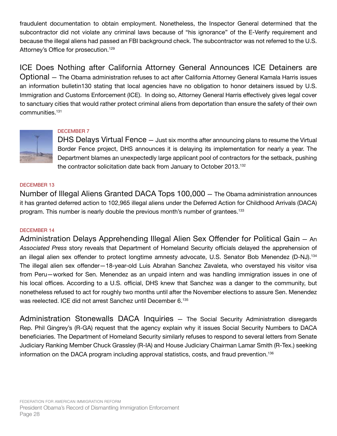fraudulent documentation to obtain employment. Nonetheless, the Inspector General determined that the subcontractor did not violate any criminal laws because of "his ignorance" of the E-Verify requirement and because the illegal aliens had passed an FBI background check. The subcontractor was not referred to the U.S. Attorney's Office for prosecution.<sup>129</sup>

ICE Does Nothing after California Attorney General Announces ICE Detainers are Optional — The Obama administration refuses to act after California Attorney General Kamala Harris issues an information bulletin130 stating that local agencies have no obligation to honor detainers issued by U.S. Immigration and Customs Enforcement (ICE). In doing so, Attorney General Harris effectively gives legal cover to sanctuary cities that would rather protect criminal aliens from deportation than ensure the safety of their own communities.<sup>131</sup>



## DECEMBER 7

DHS Delays Virtual Fence – Just six months after announcing plans to resume the Virtual Border Fence project, DHS announces it is delaying its implementation for nearly a year. The Department blames an unexpectedly large applicant pool of contractors for the setback, pushing the contractor solicitation date back from January to October 2013.<sup>132</sup>

## DECEMBER 13

Number of Illegal Aliens Granted DACA Tops 100,000 — The Obama administration announces it has granted deferred action to 102,965 illegal aliens under the Deferred Action for Childhood Arrivals (DACA) program. This number is nearly double the previous month's number of grantees.<sup>133</sup>

## DECEMBER 14

Administration Delays Apprehending Illegal Alien Sex Offender for Political Gain — An *Associated Press* story reveals that Department of Homeland Security officials delayed the apprehension of an illegal alien sex offender to protect longtime amnesty advocate, U.S. Senator Bob Menendez (D-NJ).<sup>134</sup> The illegal alien sex offender—18-year-old Luis Abrahan Sanchez Zavaleta, who overstayed his visitor visa from Peru—worked for Sen. Menendez as an unpaid intern and was handling immigration issues in one of his local offices. According to a U.S. official, DHS knew that Sanchez was a danger to the community, but nonetheless refused to act for roughly two months until after the November elections to assure Sen. Menendez was reelected. ICE did not arrest Sanchez until December 6.135

Administration Stonewalls DACA Inquiries — The Social Security Administration disregards Rep. Phil Gingrey's (R-GA) request that the agency explain why it issues Social Security Numbers to DACA beneficiaries. The Department of Homeland Security similarly refuses to respond to several letters from Senate Judiciary Ranking Member Chuck Grassley (R-IA) and House Judiciary Chairman Lamar Smith (R-Tex.) seeking information on the DACA program including approval statistics, costs, and fraud prevention.<sup>136</sup>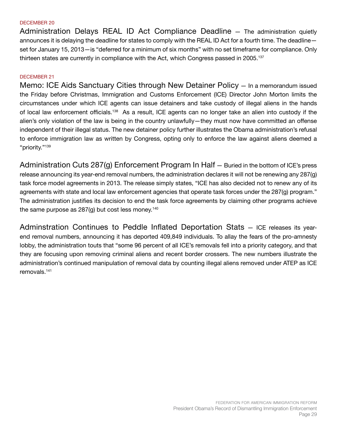#### DECEMBER 20

Administration Delays REAL ID Act Compliance Deadline — The administration quietly announces it is delaying the deadline for states to comply with the REAL ID Act for a fourth time. The deadline set for January 15, 2013—is "deferred for a minimum of six months" with no set timeframe for compliance. Only thirteen states are currently in compliance with the Act, which Congress passed in 2005.<sup>137</sup>

#### DECEMBER 21

Memo: ICE Aids Sanctuary Cities through New Detainer Policy — In a memorandum issued the Friday before Christmas, Immigration and Customs Enforcement (ICE) Director John Morton limits the circumstances under which ICE agents can issue detainers and take custody of illegal aliens in the hands of local law enforcement officials.<sup>138</sup> As a result, ICE agents can no longer take an alien into custody if the alien's only violation of the law is being in the country unlawfully—they must now have committed an offense independent of their illegal status. The new detainer policy further illustrates the Obama administration's refusal to enforce immigration law as written by Congress, opting only to enforce the law against aliens deemed a "priority."139

Administration Cuts 287(g) Enforcement Program In Half — Buried in the bottom of ICE's press release announcing its year-end removal numbers, the administration declares it will not be renewing any 287(g) task force model agreements in 2013. The release simply states, "ICE has also decided not to renew any of its agreements with state and local law enforcement agencies that operate task forces under the 287(g) program." The administration justifies its decision to end the task force agreements by claiming other programs achieve the same purpose as  $287<sub>(g)</sub>$  but cost less money.<sup>140</sup>

Adminstration Continues to Peddle Inflated Deportation Stats — ICE releases its yearend removal numbers, announcing it has deported 409,849 individuals. To allay the fears of the pro-amnesty lobby, the administration touts that "some 96 percent of all ICE's removals fell into a priority category, and that they are focusing upon removing criminal aliens and recent border crossers. The new numbers illustrate the administration's continued manipulation of removal data by counting illegal aliens removed under ATEP as ICE removals.141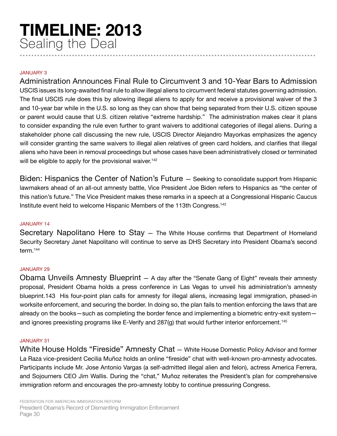## **TIMELINE: 2013** Sealing the Deal **......................................................................................................**

## JANUARY 3

Administration Announces Final Rule to Circumvent 3 and 10-Year Bars to Admission USCIS issues its long-awaited final rule to allow illegal aliens to circumvent federal statutes governing admission. The final USCIS rule does this by allowing illegal aliens to apply for and receive a provisional waiver of the 3 and 10-year bar while in the U.S. so long as they can show that being separated from their U.S. citizen spouse or parent would cause that U.S. citizen relative "extreme hardship." The administration makes clear it plans to consider expanding the rule even further to grant waivers to additional categories of illegal aliens. During a stakeholder phone call discussing the new rule, USCIS Director Alejandro Mayorkas emphasizes the agency will consider granting the same waivers to illegal alien relatives of green card holders, and clarifies that illegal aliens who have been in removal proceedings but whose cases have been administratively closed or terminated will be eligible to apply for the provisional waiver.<sup>142</sup>

Biden: Hispanics the Center of Nation's Future — Seeking to consolidate support from Hispanic lawmakers ahead of an all-out amnesty battle, Vice President Joe Biden refers to Hispanics as "the center of this nation's future." The Vice President makes these remarks in a speech at a Congressional Hispanic Caucus Institute event held to welcome Hispanic Members of the 113th Congress.143

## JANUARY 14

Secretary Napolitano Here to Stay — The White House confirms that Department of Homeland Security Secretary Janet Napolitano will continue to serve as DHS Secretary into President Obama's second term.144

## JANUARY 29

Obama Unveils Amnesty Blueprint — A day after the "Senate Gang of Eight" reveals their amnesty proposal, President Obama holds a press conference in Las Vegas to unveil his administration's amnesty blueprint.143 His four-point plan calls for amnesty for illegal aliens, increasing legal immigration, phased-in worksite enforcement, and securing the border. In doing so, the plan fails to mention enforcing the laws that are already on the books—such as completing the border fence and implementing a biometric entry-exit system and ignores preexisting programs like E-Verify and 287(g) that would further interior enforcement.<sup>145</sup>

#### JANUARY 31

White House Holds "Fireside" Amnesty Chat — White House Domestic Policy Advisor and former La Raza vice-president Cecilia Muñoz holds an online "fireside" chat with well-known pro-amnesty advocates. Participants include Mr. Jose Antonio Vargas (a self-admitted illegal alien and felon), actress America Ferrera, and Sojourners CEO Jim Wallis. During the "chat," Muñoz reiterates the President's plan for comprehensive immigration reform and encourages the pro-amnesty lobby to continue pressuring Congress.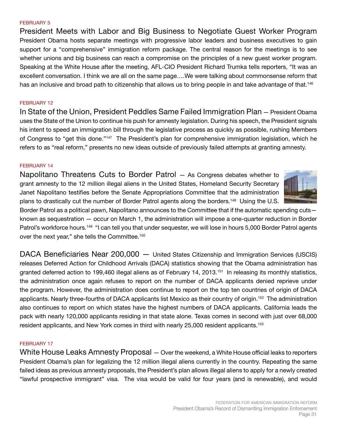#### FEBRUARY 5

President Meets with Labor and Big Business to Negotiate Guest Worker Program President Obama hosts separate meetings with progressive labor leaders and business executives to gain support for a "comprehensive" immigration reform package. The central reason for the meetings is to see whether unions and big business can reach a compromise on the principles of a new guest worker program. Speaking at the White House after the meeting, AFL-CIO President Richard Trumka tells reporters, "It was an excellent conversation. I think we are all on the same page….We were talking about commonsense reform that has an inclusive and broad path to citizenship that allows us to bring people in and take advantage of that.<sup>146</sup>

#### FEBRUARY 12

In State of the Union, President Peddles Same Failed Immigration Plan — President Obama uses the State of the Union to continue his push for amnesty legislation. During his speech, the President signals his intent to speed an immigration bill through the legislative process as quickly as possible, rushing Members of Congress to "get this done."<sup>147</sup> The President's plan for comprehensive immigration legislation, which he refers to as "real reform," presents no new ideas outside of previously failed attempts at granting amnesty.

#### FEBRUARY 14

Napolitano Threatens Cuts to Border Patrol — As Congress debates whether to grant amnesty to the 12 million illegal aliens in the United States, Homeland Security Secretary Janet Napolitano testifies before the Senate Appropriations Committee that the administration plans to drastically cut the number of Border Patrol agents along the borders.<sup>148</sup> Using the U.S.



Border Patrol as a political pawn, Napolitano announces to the Committee that if the automatic spending cuts known as sequestration — occur on March 1, the administration will impose a one-quarter reduction in Border Patrol's workforce hours.<sup>149</sup> "I can tell you that under sequester, we will lose in hours 5,000 Border Patrol agents over the next year," she tells the Committee.150

DACA Beneficiaries Near 200,000 — United States Citizenship and Immigration Services (USCIS) releases Deferred Action for Childhood Arrivals (DACA) statistics showing that the Obama administration has granted deferred action to 199,460 illegal aliens as of February 14, 2013.<sup>151</sup> In releasing its monthly statistics, the administration once again refuses to report on the number of DACA applicants denied reprieve under the program. However, the administration does continue to report on the top ten countries of origin of DACA applicants. Nearly three-fourths of DACA applicants list Mexico as their country of origin.<sup>152</sup> The administration also continues to report on which states have the highest numbers of DACA applicants. California leads the pack with nearly 120,000 applicants residing in that state alone. Texas comes in second with just over 68,000 resident applicants, and New York comes in third with nearly 25,000 resident applicants.153

#### FEBRUARY 17

White House Leaks Amnesty Proposal — Over the weekend, a White House official leaks to reporters President Obama's plan for legalizing the 12 million illegal aliens currently in the country. Repeating the same failed ideas as previous amnesty proposals, the President's plan allows illegal aliens to apply for a newly created "lawful prospective immigrant" visa. The visa would be valid for four years (and is renewable), and would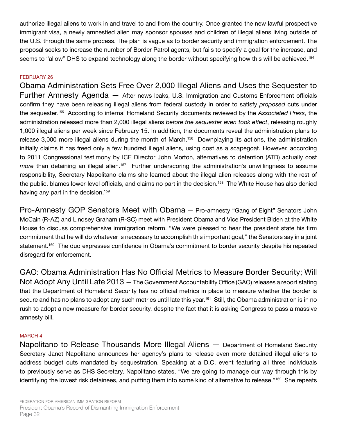authorize illegal aliens to work in and travel to and from the country. Once granted the new lawful prospective immigrant visa, a newly amnestied alien may sponsor spouses and children of illegal aliens living outside of the U.S. through the same process. The plan is vague as to border security and immigration enforcement. The proposal seeks to increase the number of Border Patrol agents, but fails to specify a goal for the increase, and seems to "allow" DHS to expand technology along the border without specifying how this will be achieved.<sup>154</sup>

## FEBRUARY 26

Obama Administration Sets Free Over 2,000 Illegal Aliens and Uses the Sequester to Further Amnesty Agenda — After news leaks, U.S. Immigration and Customs Enforcement officials confirm they have been releasing illegal aliens from federal custody in order to satisfy *proposed* cuts under the sequester.155 According to internal Homeland Security documents reviewed by the *Associated Press*, the administration released more than 2,000 illegal aliens *before the sequester even took effect*, releasing roughly 1,000 illegal aliens per week since February 15. In addition, the documents reveal the administration plans to release 3,000 more illegal aliens during the month of March.<sup>156</sup> Downplaying its actions, the administration initially claims it has freed only a few hundred illegal aliens, using cost as a scapegoat. However, according to 2011 Congressional testimony by ICE Director John Morton, alternatives to detention (ATD) actually cost *more* than detaining an illegal alien.<sup>157</sup> Further underscoring the administration's unwillingness to assume responsibility, Secretary Napolitano claims she learned about the illegal alien releases along with the rest of the public, blames lower-level officials, and claims no part in the decision.<sup>158</sup> The White House has also denied having any part in the decision.<sup>159</sup>

Pro-Amnesty GOP Senators Meet with Obama — Pro-amnesty "Gang of Eight" Senators John McCain (R-AZ) and Lindsey Graham (R-SC) meet with President Obama and Vice President Biden at the White House to discuss comprehensive immigration reform. "We were pleased to hear the president state his firm commitment that he will do whatever is necessary to accomplish this important goal," the Senators say in a joint statement.<sup>160</sup> The duo expresses confidence in Obama's commitment to border security despite his repeated disregard for enforcement.

GAO: Obama Administration Has No Official Metrics to Measure Border Security; Will Not Adopt Any Until Late 2013 — The Government Accountability Office (GAO) releases a report stating that the Department of Homeland Security has no official metrics in place to measure whether the border is secure and has no plans to adopt any such metrics until late this year.<sup>161</sup> Still, the Obama administration is in no rush to adopt a new measure for border security, despite the fact that it is asking Congress to pass a massive amnesty bill.

## MARCH 4

Napolitano to Release Thousands More Illegal Aliens — Department of Homeland Security Secretary Janet Napolitano announces her agency's plans to release even more detained illegal aliens to address budget cuts mandated by sequestration. Speaking at a D.C. event featuring all three individuals to previously serve as DHS Secretary, Napolitano states, "We are going to manage our way through this by identifying the lowest risk detainees, and putting them into some kind of alternative to release."162 She repeats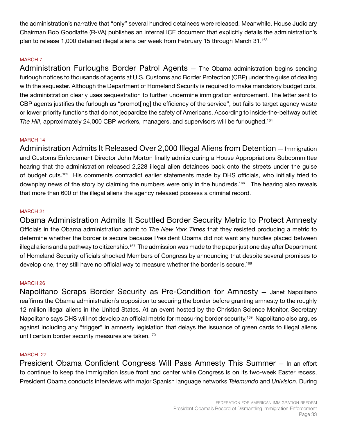the administration's narrative that "only" several hundred detainees were released. Meanwhile, House Judiciary Chairman Bob Goodlatte (R-VA) publishes an internal ICE document that explicitly details the administration's plan to release 1,000 detained illegal aliens per week from February 15 through March 31.<sup>163</sup>

# MARCH 7

Administration Furloughs Border Patrol Agents — The Obama administration begins sending furlough notices to thousands of agents at U.S. Customs and Border Protection (CBP) under the guise of dealing with the sequester. Although the Department of Homeland Security is required to make mandatory budget cuts, the administration clearly uses sequestration to further undermine immigration enforcement. The letter sent to CBP agents justifies the furlough as "promot[ing] the efficiency of the service", but fails to target agency waste or lower priority functions that do not jeopardize the safety of Americans. According to inside-the-beltway outlet *The Hill*, approximately 24,000 CBP workers, managers, and supervisors will be furloughed.<sup>164</sup>

# MARCH 14

Administration Admits It Released Over 2,000 Illegal Aliens from Detention — Immigration and Customs Enforcement Director John Morton finally admits during a House Appropriations Subcommittee hearing that the administration released 2,228 illegal alien detainees back onto the streets under the guise of budget cuts.165 His comments contradict earlier statements made by DHS officials, who initially tried to downplay news of the story by claiming the numbers were only in the hundreds.<sup>166</sup> The hearing also reveals that more than 600 of the illegal aliens the agency released possess a criminal record.

# MARCH 21

Obama Administration Admits It Scuttled Border Security Metric to Protect Amnesty Officials in the Obama administration admit to *The New York Times* that they resisted producing a metric to determine whether the border is secure because President Obama did not want any hurdles placed between illegal aliens and a pathway to citizenship.<sup>167</sup> The admission was made to the paper just one day after Department of Homeland Security officials shocked Members of Congress by announcing that despite several promises to develop one, they still have no official way to measure whether the border is secure.<sup>168</sup>

## MARCH 26

Napolitano Scraps Border Security as Pre-Condition for Amnesty — Janet Napolitano reaffirms the Obama administration's opposition to securing the border before granting amnesty to the roughly 12 million illegal aliens in the United States. At an event hosted by the Christian Science Monitor, Secretary Napolitano says DHS will not develop an official metric for measuring border security.<sup>169</sup> Napolitano also argues against including any "trigger" in amnesty legislation that delays the issuance of green cards to illegal aliens until certain border security measures are taken.<sup>170</sup>

## MARCH 27

President Obama Confident Congress Will Pass Amnesty This Summer — In an effort to continue to keep the immigration issue front and center while Congress is on its two-week Easter recess, President Obama conducts interviews with major Spanish language networks *Telemundo* and *Univision*. During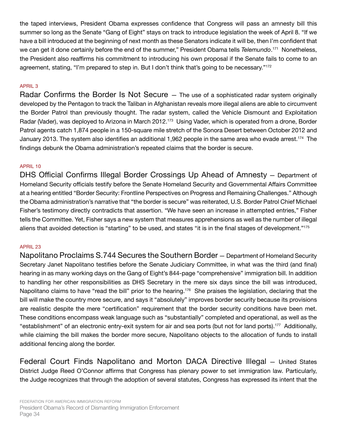the taped interviews, President Obama expresses confidence that Congress will pass an amnesty bill this summer so long as the Senate "Gang of Eight" stays on track to introduce legislation the week of April 8. "If we have a bill introduced at the beginning of next month as these Senators indicate it will be, then I'm confident that we can get it done certainly before the end of the summer," President Obama tells *Telemundo*. <sup>171</sup> Nonetheless, the President also reaffirms his commitment to introducing his own proposal if the Senate fails to come to an agreement, stating, "I'm prepared to step in. But I don't think that's going to be necessary."<sup>172</sup>

# APRIL 3

Radar Confirms the Border Is Not Secure – The use of a sophisticated radar system originally developed by the Pentagon to track the Taliban in Afghanistan reveals more illegal aliens are able to circumvent the Border Patrol than previously thought. The radar system, called the Vehicle Dismount and Exploitation Radar (Vader), was deployed to Arizona in March 2012.<sup>173</sup> Using Vader, which is operated from a drone, Border Patrol agents catch 1,874 people in a 150-square mile stretch of the Sonora Desert between October 2012 and January 2013. The system also identifies an additional 1,962 people in the same area who evade arrest.<sup>174</sup> The findings debunk the Obama administration's repeated claims that the border is secure.

## APRIL 10

DHS Official Confirms Illegal Border Crossings Up Ahead of Amnesty — Department of Homeland Security officials testify before the Senate Homeland Security and Governmental Affairs Committee at a hearing entitled "Border Security: Frontline Perspectives on Progress and Remaining Challenges." Although the Obama administration's narrative that "the border is secure" was reiterated, U.S. Border Patrol Chief Michael Fisher's testimony directly contradicts that assertion. "We have seen an increase in attempted entries," Fisher tells the Committee. Yet, Fisher says a new system that measures apprehensions as well as the number of illegal aliens that avoided detection is "starting" to be used, and states "it is in the final stages of development."175

## APRIL 23

Napolitano Proclaims S.744 Secures the Southern Border — Department of Homeland Security Secretary Janet Napolitano testifies before the Senate Judiciary Committee, in what was the third (and final) hearing in as many working days on the Gang of Eight's 844-page "comprehensive" immigration bill. In addition to handling her other responsibilities as DHS Secretary in the mere six days since the bill was introduced, Napolitano claims to have "read the bill" prior to the hearing.<sup>176</sup> She praises the legislation, declaring that the bill will make the country more secure, and says it "absolutely" improves border security because its provisions are realistic despite the mere "certification" requirement that the border security conditions have been met. These conditions encompass weak language such as "substantially" completed and operational, as well as the "establishment" of an electronic entry-exit system for air and sea ports (but not for land ports).<sup>177</sup> Additionally, while claiming the bill makes the border more secure, Napolitano objects to the allocation of funds to install additional fencing along the border.

Federal Court Finds Napolitano and Morton DACA Directive Illegal — United States District Judge Reed O'Connor affirms that Congress has plenary power to set immigration law. Particularly, the Judge recognizes that through the adoption of several statutes, Congress has expressed its intent that the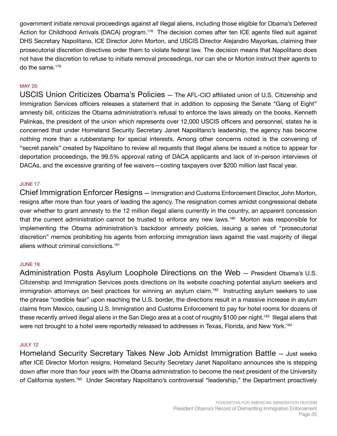government initiate removal proceedings against *all* illegal aliens, including those eligible for Obama's Deferred Action for Childhood Arrivals (DACA) program.<sup>178</sup> The decision comes after ten ICE agents filed suit against DHS Secretary Napolitano, ICE Director John Morton, and USCIS Director Alejandro Mayorkas, claiming their prosecutorial discretion directives order them to violate federal law. The decision means that Napolitano does not have the discretion to refuse to initiate removal proceedings, nor can she or Morton instruct their agents to do the same.<sup>179</sup>

## MAY 20

USCIS Union Criticizes Obama's Policies — The AFL-CIO affiliated union of U.S. Citizenship and Immigration Services officers releases a statement that in addition to opposing the Senate "Gang of Eight" amnesty bill, criticizes the Obama administration's refusal to enforce the laws already on the books. Kenneth Palinkas, the president of the union which represents over 12,000 USCIS officers and personnel, states he is concerned that under Homeland Security Secretary Janet Napolitano's leadership, the agency has become nothing more than a rubberstamp for special interests. Among other concerns noted is the convening of "secret panels" created by Napolitano to review all requests that illegal aliens be issued a notice to appear for deportation proceedings, the 99.5% approval rating of DACA applicants and lack of in-person interviews of DACAs, and the excessive granting of fee waivers—costing taxpayers over \$200 million last fiscal year.

## JUNE 17

Chief Immigration Enforcer Resigns — Immigration and Customs Enforcement Director, John Morton, resigns after more than four years of leading the agency. The resignation comes amidst congressional debate over whether to grant amnesty to the 12 million illegal aliens currently in the country, an apparent concession that the current administration cannot be trusted to enforce any new laws.<sup>180</sup> Morton was responsible for implementing the Obama administration's backdoor amnesty policies, issuing a series of "prosecutorial discretion" memos prohibiting his agents from enforcing immigration laws against the vast majority of illegal aliens without criminal convictions.181

## JUNE 18

Administration Posts Asylum Loophole Directions on the Web — President Obama's U.S. Citizenship and Immigration Services posts directions on its website coaching potential asylum seekers and immigration attorneys on best practices for winning an asylum claim.<sup>182</sup> Instructing asylum seekers to use the phrase "credible fear" upon reaching the U.S. border, the directions result in a massive increase in asylum claims from Mexico, causing U.S. Immigration and Customs Enforcement to pay for hotel rooms for dozens of these recently arrived illegal aliens in the San Diego area at a cost of roughly \$100 per night.<sup>183</sup> Illegal aliens that were not brought to a hotel were reportedly released to addresses in Texas, Florida, and New York.<sup>184</sup>

#### JULY 12

Homeland Security Secretary Takes New Job Amidst Immigration Battle — Just weeks after ICE Director Morton resigns, Homeland Security Secretary Janet Napolitano announces she is stepping down after more than four years with the Obama administration to become the next president of the University of California system.<sup>185</sup> Under Secretary Napolitano's controversial "leadership," the Department proactively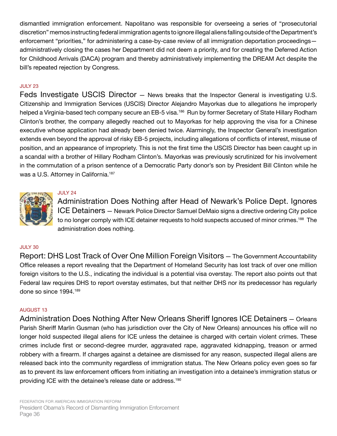dismantled immigration enforcement. Napolitano was responsible for overseeing a series of "prosecutorial discretion" memos instructing federal immigration agents to ignore illegal aliens falling outside of the Department's enforcement "priorities," for administering a case-by-case review of all immigration deportation proceedings administratively closing the cases her Department did not deem a priority, and for creating the Deferred Action for Childhood Arrivals (DACA) program and thereby administratively implementing the DREAM Act despite the bill's repeated rejection by Congress.

## JULY 23

Feds Investigate USCIS Director — News breaks that the Inspector General is investigating U.S. Citizenship and Immigration Services (USCIS) Director Alejandro Mayorkas due to allegations he improperly helped a Virginia-based tech company secure an EB-5 visa.<sup>186</sup> Run by former Secretary of State Hillary Rodham Clinton's brother, the company allegedly reached out to Mayorkas for help approving the visa for a Chinese executive whose application had already been denied twice. Alarmingly, the Inspector General's investigation extends even beyond the approval of risky EB-5 projects, including allegations of conflicts of interest, misuse of position, and an appearance of impropriety. This is not the first time the USCIS Director has been caught up in a scandal with a brother of Hillary Rodham Clinton's. Mayorkas was previously scrutinized for his involvement in the commutation of a prison sentence of a Democratic Party donor's son by President Bill Clinton while he was a U.S. Attorney in California.<sup>187</sup>



# JULY 24

Administration Does Nothing after Head of Newark's Police Dept. Ignores ICE Detainers — Newark Police Director Samuel DeMaio signs a directive ordering City police to no longer comply with ICE detainer requests to hold suspects accused of minor crimes.<sup>188</sup> The administration does nothing.

## JULY 30

Report: DHS Lost Track of Over One Million Foreign Visitors — The Government Accountability Office releases a report revealing that the Department of Homeland Security has lost track of over one million foreign visitors to the U.S., indicating the individual is a potential visa overstay. The report also points out that Federal law requires DHS to report overstay estimates, but that neither DHS nor its predecessor has regularly done so since 1994.189

## AUGUST 13

Administration Does Nothing After New Orleans Sheriff Ignores ICE Detainers — Orleans Parish Sheriff Marlin Gusman (who has jurisdiction over the City of New Orleans) announces his office will no longer hold suspected illegal aliens for ICE unless the detainee is charged with certain violent crimes. These crimes include first or second-degree murder, aggravated rape, aggravated kidnapping, treason or armed robbery with a firearm. If charges against a detainee are dismissed for any reason, suspected illegal aliens are released back into the community regardless of immigration status. The New Orleans policy even goes so far as to prevent its law enforcement officers from initiating an investigation into a detainee's immigration status or providing ICE with the detainee's release date or address.190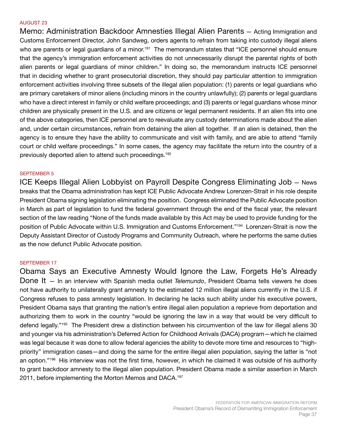#### AUGUST 23

Memo: Administration Backdoor Amnesties Illegal Alien Parents — Acting Immigration and Customs Enforcement Director, John Sandweg, orders agents to refrain from taking into custody illegal aliens who are parents or legal guardians of a minor.<sup>191</sup> The memorandum states that "ICE personnel should ensure that the agency's immigration enforcement activities do not unnecessarily disrupt the parental rights of both alien parents or legal guardians of minor children." In doing so, the memorandum instructs ICE personnel that in deciding whether to grant prosecutorial discretion, they should pay particular attention to immigration enforcement activities involving three subsets of the illegal alien population: (1) parents or legal guardians who are primary caretakers of minor aliens (including minors in the country unlawfully); (2) parents or legal guardians who have a direct interest in family or child welfare proceedings; and (3) parents or legal guardians whose minor children are physically present in the U.S. and are citizens or legal permanent residents. If an alien fits into one of the above categories, then ICE personnel are to reevaluate any custody determinations made about the alien and, under certain circumstances, refrain from detaining the alien all together. If an alien is detained, then the agency is to ensure they have the ability to communicate and visit with family, and are able to attend "family court or child welfare proceedings." In some cases, the agency may facilitate the return into the country of a previously deported alien to attend such proceedings.192

#### SEPTEMBER 5

ICE Keeps Illegal Alien Lobbyist on Payroll Despite Congress Eliminating Job — News breaks that the Obama administration has kept ICE Public Advocate Andrew Lorenzen-Strait in his role despite President Obama signing legislation eliminating the position. Congress eliminated the Public Advocate position in March as part of legislation to fund the federal government through the end of the fiscal year, the relevant section of the law reading "None of the funds made available by this Act may be used to provide funding for the position of Public Advocate within U.S. Immigration and Customs Enforcement."<sup>194</sup> Lorenzen-Strait is now the Deputy Assistant Director of Custody Programs and Community Outreach, where he performs the same duties as the now defunct Public Advocate position.

#### SEPTEMBER 17

Obama Says an Executive Amnesty Would Ignore the Law, Forgets He's Already Done It — In an interview with Spanish media outlet *Telemundo*, President Obama tells viewers he does not have authority to unilaterally grant amnesty to the estimated 12 million illegal aliens currently in the U.S. if Congress refuses to pass amnesty legislation. In declaring he lacks such ability under his executive powers, President Obama says that granting the nation's entire illegal alien population a reprieve from deportation and authorizing them to work in the country "would be ignoring the law in a way that would be very difficult to defend legally."195 The President drew a distinction between his circumvention of the law for illegal aliens 30 and younger via his administration's Deferred Action for Childhood Arrivals (DACA) program—which he claimed was legal because it was done to allow federal agencies the ability to devote more time and resources to "highpriority" immigration cases—and doing the same for the entire illegal alien population, saying the latter is "not an option."<sup>196</sup> His interview was not the first time, however, in which he claimed it was outside of his authority to grant backdoor amnesty to the illegal alien population. President Obama made a similar assertion in March 2011, before implementing the Morton Memos and DACA.<sup>197</sup>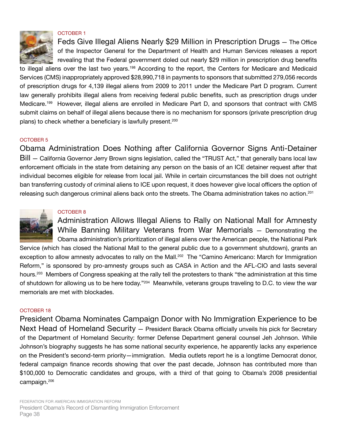

#### OCTOBER 1

Feds Give Illegal Aliens Nearly \$29 Million in Prescription Drugs — The Office of the Inspector General for the Department of Health and Human Services releases a report revealing that the Federal government doled out nearly \$29 million in prescription drug benefits

to illegal aliens over the last two years.<sup>198</sup> According to the report, the Centers for Medicare and Medicaid Services (CMS) inappropriately approved \$28,990,718 in payments to sponsors that submitted 279,056 records of prescription drugs for 4,139 illegal aliens from 2009 to 2011 under the Medicare Part D program. Current law generally prohibits illegal aliens from receiving federal public benefits, such as prescription drugs under Medicare.<sup>199</sup> However, illegal aliens are enrolled in Medicare Part D, and sponsors that contract with CMS submit claims on behalf of illegal aliens because there is no mechanism for sponsors (private prescription drug plans) to check whether a beneficiary is lawfully present.<sup>200</sup>

#### OCTOBER 5

Obama Administration Does Nothing after California Governor Signs Anti-Detainer Bill — California Governor Jerry Brown signs legislation, called the "TRUST Act," that generally bans local law enforcement officials in the state from detaining any person on the basis of an ICE detainer request after that individual becomes eligible for release from local jail. While in certain circumstances the bill does not outright ban transferring custody of criminal aliens to ICE upon request, it does however give local officers the option of releasing such dangerous criminal aliens back onto the streets. The Obama administration takes no action.<sup>201</sup>



#### OCTOBER 8

Administration Allows Illegal Aliens to Rally on National Mall for Amnesty While Banning Military Veterans from War Memorials — Demonstrating the Obama administration's prioritization of illegal aliens over the American people, the National Park

Service (which has closed the National Mall to the general public due to a government shutdown), grants an exception to allow amnesty advocates to rally on the Mall.<sup>202</sup> The "Camino Americano: March for Immigration Reform," is sponsored by pro-amnesty groups such as CASA in Action and the AFL-CIO and lasts several hours.<sup>203</sup> Members of Congress speaking at the rally tell the protesters to thank "the administration at this time of shutdown for allowing us to be here today."<sup>204</sup> Meanwhile, veterans groups traveling to D.C. to view the war memorials are met with blockades.

#### OCTOBER 18

President Obama Nominates Campaign Donor with No Immigration Experience to be Next Head of Homeland Security — President Barack Obama officially unveils his pick for Secretary of the Department of Homeland Security: former Defense Department general counsel Jeh Johnson. While Johnson's biography suggests he has some national security experience, he apparently lacks any experience on the President's second-term priority—immigration. Media outlets report he is a longtime Democrat donor, federal campaign finance records showing that over the past decade, Johnson has contributed more than \$100,000 to Democratic candidates and groups, with a third of that going to Obama's 2008 presidential campaign.206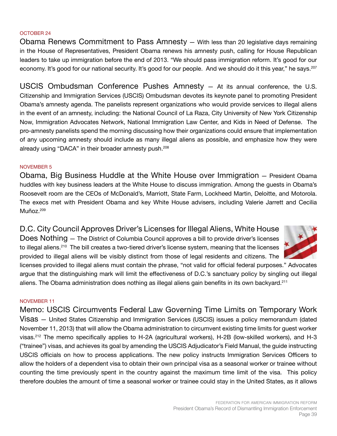## OCTOBER 24

Obama Renews Commitment to Pass Amnesty — With less than 20 legislative days remaining in the House of Representatives, President Obama renews his amnesty push, calling for House Republican leaders to take up immigration before the end of 2013. "We should pass immigration reform. It's good for our economy. It's good for our national security. It's good for our people. And we should do it this year," he says.<sup>207</sup>

USCIS Ombudsman Conference Pushes Amnesty — At its annual conference, the U.S. Citizenship and Immigration Services (USCIS) Ombudsman devotes its keynote panel to promoting President Obama's amnesty agenda. The panelists represent organizations who would provide services to illegal aliens in the event of an amnesty, including: the National Council of La Raza, City University of New York Citizenship Now, Immigration Advocates Network, National Immigration Law Center, and Kids in Need of Defense. The pro-amnesty panelists spend the morning discussing how their organizations could ensure that implementation of any upcoming amnesty should include as many illegal aliens as possible, and emphasize how they were already using "DACA" in their broader amnesty push.<sup>208</sup>

## NOVEMBER 5

Obama, Big Business Huddle at the White House over Immigration — President Obama huddles with key business leaders at the White House to discuss immigration. Among the guests in Obama's Roosevelt room are the CEOs of McDonald's, Marriott, State Farm, Lockheed Martin, Deloitte, and Motorola. The execs met with President Obama and key White House advisers, including Valerie Jarrett and Cecilia Muñoz.<sup>209</sup>

D.C. City Council Approves Driver's Licenses for Illegal Aliens, White House Does Nothing — The District of Columbia Council approves a bill to provide driver's licenses

to illegal aliens.<sup>210</sup> The bill creates a two-tiered driver's license system, meaning that the licenses provided to illegal aliens will be visibly distinct from those of legal residents and citizens. The



licenses provided to illegal aliens must contain the phrase, "not valid for official federal purposes." Advocates argue that the distinguishing mark will limit the effectiveness of D.C.'s sanctuary policy by singling out illegal aliens. The Obama administration does nothing as illegal aliens gain benefits in its own backyard.211

## NOVEMBER 11

Memo: USCIS Circumvents Federal Law Governing Time Limits on Temporary Work Visas — United States Citizenship and Immigration Services (USCIS) issues a policy memorandum (dated November 11, 2013) that will allow the Obama administration to circumvent existing time limits for guest worker visas.<sup>212</sup> The memo specifically applies to H-2A (agricultural workers), H-2B (low-skilled workers), and H-3 ("trainee") visas, and achieves its goal by amending the USCIS Adjudicator's Field Manual, the guide instructing USCIS officials on how to process applications. The new policy instructs Immigration Services Officers to allow the holders of a dependent visa to obtain their own principal visa as a seasonal worker or trainee without counting the time previously spent in the country against the maximum time limit of the visa. This policy therefore doubles the amount of time a seasonal worker or trainee could stay in the United States, as it allows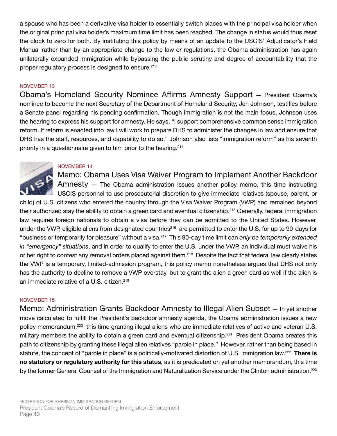a spouse who has been a derivative visa holder to essentially switch places with the principal visa holder when the original principal visa holder's maximum time limit has been reached. The change in status would thus reset the clock to zero for both. By instituting this policy by means of an update to the USCIS' Adjudicator's Field Manual rather than by an appropriate change to the law or regulations, the Obama administration has again unilaterally expanded immigration while bypassing the public scrutiny and degree of accountability that the proper regulatory process is designed to ensure.<sup>213</sup>

#### NOVEMBER 13

Obama's Homeland Security Nominee Affirms Amnesty Support — President Obama's nominee to become the next Secretary of the Department of Homeland Security, Jeh Johnson, testifies before a Senate panel regarding his pending confirmation. Though immigration is not the main focus, Johnson uses the hearing to express his support for amnesty. He says, "I support comprehensive common sense immigration reform. If reform is enacted into law I will work to prepare DHS to administer the changes in law and ensure that DHS has the staff, resources, and capability to do so." Johnson also lists "immigration reform" as his seventh priority in a questionnaire given to him prior to the hearing.214

## NOVEMBER 14



Memo: Obama Uses Visa Waiver Program to Implement Another Backdoor Amnesty — The Obama administration issues another policy memo, this time instructing USCIS personnel to use prosecutorial discretion to give immediate relatives (spouse, parent, or

child) of U.S. citizens who entered the country through the Visa Waiver Program (VWP) and remained beyond their authorized stay the ability to obtain a green card and eventual citizenship.<sup>215</sup> Generally, federal immigration law requires foreign nationals to obtain a visa before they can be admitted to the United States. However, under the VWP, eligible aliens from designated countries<sup>216</sup> are permitted to enter the U.S. for up to 90-days for "business or temporarily for pleasure" without a visa.<sup>217</sup> This 90-day time limit can *only be temporarily extended in "emergency" situations*, and in order to qualify to enter the U.S. under the VWP, an individual must waive his or her right to contest any removal orders placed against them.<sup>218</sup> Despite the fact that federal law clearly states the VWP is a temporary, limited-admission program, this policy memo nonetheless argues that DHS not only has the authority to decline to remove a VWP overstay, but to grant the alien a green card as well if the alien is an immediate relative of a U.S. citizen.<sup>219</sup>

#### NOVEMBER 15

Memo: Administration Grants Backdoor Amnesty to Illegal Alien Subset — In yet another move calculated to fulfill the President's backdoor amnesty agenda, the Obama administration issues a new policy memorandum,<sup>220</sup> this time granting illegal aliens who are immediate relatives of active and veteran U.S. military members the ability to obtain a green card and eventual citizenship.<sup>221</sup> President Obama creates this path to citizenship by granting these illegal alien relatives "parole in place." However, rather than being based in statute, the concept of "parole in place" is a politically-motivated distortion of U.S. immigration law.222 **There is no statutory or regulatory authority for this status**, as it is predicated on yet another memorandum, this time by the former General Counsel of the Immigration and Naturalization Service under the Clinton administration.<sup>223</sup>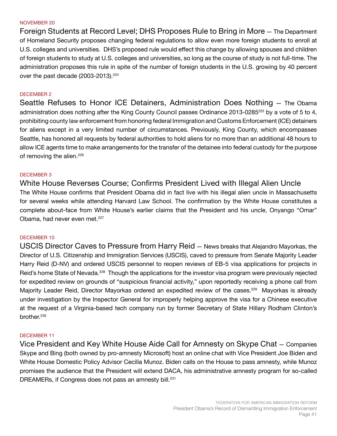#### NOVEMBER 20

Foreign Students at Record Level; DHS Proposes Rule to Bring in More — The Department of Homeland Security proposes changing federal regulations to allow even more foreign students to enroll at U.S. colleges and universities. DHS's proposed rule would effect this change by allowing spouses and children of foreign students to study at U.S. colleges and universities, so long as the course of study is not full-time. The administration proposes this rule in spite of the number of foreign students in the U.S. growing by 40 percent over the past decade (2003-2013).<sup>224</sup>

#### DECEMBER 2

Seattle Refuses to Honor ICE Detainers, Administration Does Nothing — The Obama administration does nothing after the King County Council passes Ordinance 2013-0285<sup>225</sup> by a vote of 5 to 4, prohibiting county law enforcement from honoring federal Immigration and Customs Enforcement (ICE) detainers for aliens except in a very limited number of circumstances. Previously, King County, which encompasses Seattle, has honored all requests by federal authorities to hold aliens for no more than an additional 48 hours to allow ICE agents time to make arrangements for the transfer of the detainee into federal custody for the purpose of removing the alien.<sup>226</sup>

#### DECEMBER 3

White House Reverses Course; Confirms President Lived with Illegal Alien Uncle The White House confirms that President Obama did in fact live with his illegal alien uncle in Massachusetts for several weeks while attending Harvard Law School. The confirmation by the White House constitutes a complete about-face from White House's earlier claims that the President and his uncle, Onyango "Omar" Obama, had never even met.<sup>227</sup>

#### DECEMBER 10

USCIS Director Caves to Pressure from Harry Reid — News breaks that Alejandro Mayorkas, the Director of U.S. Citizenship and Immigration Services (USCIS), caved to pressure from Senate Majority Leader Harry Reid (D-NV) and ordered USCIS personnel to reopen reviews of EB-5 visa applications for projects in Reid's home State of Nevada.<sup>228</sup> Though the applications for the investor visa program were previously rejected for expedited review on grounds of "suspicious financial activity," upon reportedly receiving a phone call from Majority Leader Reid, Director Mayorkas ordered an expedited review of the cases.<sup>229</sup> Mayorkas is already under investigation by the Inspector General for improperly helping approve the visa for a Chinese executive at the request of a Virginia-based tech company run by former Secretary of State Hillary Rodham Clinton's brother.230

#### DECEMBER 11

Vice President and Key White House Aide Call for Amnesty on Skype Chat — Companies Skype and Bing (both owned by pro-amnesty Microsoft) host an online chat with Vice President Joe Biden and White House Domestic Policy Advisor Cecilia Munoz. Biden calls on the House to pass amnesty, while Munoz promises the audience that the President will extend DACA, his administrative amnesty program for so-called DREAMERs, if Congress does not pass an amnesty bill.<sup>231</sup>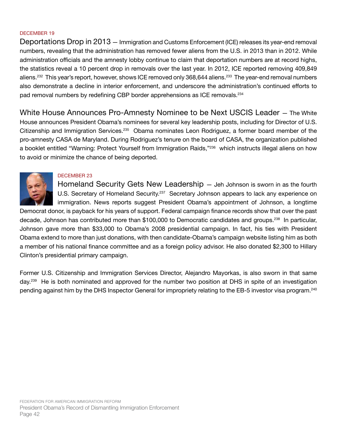### DECEMBER 19

Deportations Drop in 2013 — Immigration and Customs Enforcement (ICE) releases its year-end removal numbers, revealing that the administration has removed fewer aliens from the U.S. in 2013 than in 2012. While administration officials and the amnesty lobby continue to claim that deportation numbers are at record highs, the statistics reveal a 10 percent drop in removals over the last year. In 2012, ICE reported removing 409,849 aliens.<sup>232</sup> This year's report, however, shows ICE removed only 368,644 aliens.<sup>233</sup> The year-end removal numbers also demonstrate a decline in interior enforcement, and underscore the administration's continued efforts to pad removal numbers by redefining CBP border apprehensions as ICE removals.<sup>234</sup>

White House Announces Pro-Amnesty Nominee to be Next USCIS Leader — The White House announces President Obama's nominees for several key leadership posts, including for Director of U.S. Citizenship and Immigration Services.<sup>235</sup> Obama nominates Leon Rodriguez, a former board member of the pro-amnesty CASA de Maryland. During Rodriguez's tenure on the board of CASA, the organization published a booklet entitled "Warning: Protect Yourself from Immigration Raids,"<sup>236</sup> which instructs illegal aliens on how to avoid or minimize the chance of being deported.



## DECEMBER 23

Homeland Security Gets New Leadership — Jeh Johnson is sworn in as the fourth U.S. Secretary of Homeland Security.<sup>237</sup> Secretary Johnson appears to lack any experience on immigration. News reports suggest President Obama's appointment of Johnson, a longtime

Democrat donor, is payback for his years of support. Federal campaign finance records show that over the past decade, Johnson has contributed more than \$100,000 to Democratic candidates and groups.<sup>238</sup> In particular, Johnson gave more than \$33,000 to Obama's 2008 presidential campaign. In fact, his ties with President Obama extend to more than just donations, with then candidate-Obama's campaign website listing him as both a member of his national finance committee and as a foreign policy advisor. He also donated \$2,300 to Hillary Clinton's presidential primary campaign.

Former U.S. Citizenship and Immigration Services Director, Alejandro Mayorkas, is also sworn in that same day.<sup>239</sup> He is both nominated and approved for the number two position at DHS in spite of an investigation pending against him by the DHS Inspector General for impropriety relating to the EB-5 investor visa program.<sup>240</sup>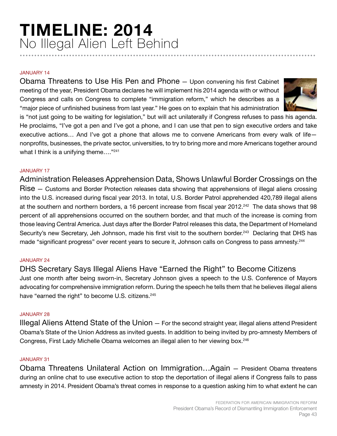# **TIMELINE: 2014** No Illegal Alien Left Behind **......................................................................................................**

#### JANUARY 14

Obama Threatens to Use His Pen and Phone — Upon convening his first Cabinet meeting of the year, President Obama declares he will implement his 2014 agenda with or without Congress and calls on Congress to complete "immigration reform," which he describes as a "major piece of unfinished business from last year." He goes on to explain that his administration



is "not just going to be waiting for legislation," but will act unilaterally if Congress refuses to pass his agenda. He proclaims, "I've got a pen and I've got a phone, and I can use that pen to sign executive orders and take executive actions... And I've got a phone that allows me to convene Americans from every walk of lifenonprofits, businesses, the private sector, universities, to try to bring more and more Americans together around what I think is a unifying theme...."<sup>241</sup>

# JANUARY 17

Administration Releases Apprehension Data, Shows Unlawful Border Crossings on the Rise — Customs and Border Protection releases data showing that apprehensions of illegal aliens crossing into the U.S. increased during fiscal year 2013. In total, U.S. Border Patrol apprehended 420,789 illegal aliens at the southern and northern borders, a 16 percent increase from fiscal year 2012.<sup>242</sup> The data shows that 98 percent of all apprehensions occurred on the southern border, and that much of the increase is coming from those leaving Central America. Just days after the Border Patrol releases this data, the Department of Homeland Security's new Secretary, Jeh Johnson, made his first visit to the southern border.<sup>243</sup> Declaring that DHS has made "significant progress" over recent years to secure it, Johnson calls on Congress to pass amnesty.<sup>244</sup>

## JANUARY 24

DHS Secretary Says Illegal Aliens Have "Earned the Right" to Become Citizens Just one month after being sworn-in, Secretary Johnson gives a speech to the U.S. Conference of Mayors advocating for comprehensive immigration reform. During the speech he tells them that he believes illegal aliens have "earned the right" to become U.S. citizens.<sup>245</sup>

#### JANUARY 28

Illegal Aliens Attend State of the Union — For the second straight year, illegal aliens attend President Obama's State of the Union Address as invited guests. In addition to being invited by pro-amnesty Members of Congress, First Lady Michelle Obama welcomes an illegal alien to her viewing box.<sup>246</sup>

#### JANUARY 31

Obama Threatens Unilateral Action on Immigration…Again — President Obama threatens during an online chat to use executive action to stop the deportation of illegal aliens if Congress fails to pass amnesty in 2014. President Obama's threat comes in response to a question asking him to what extent he can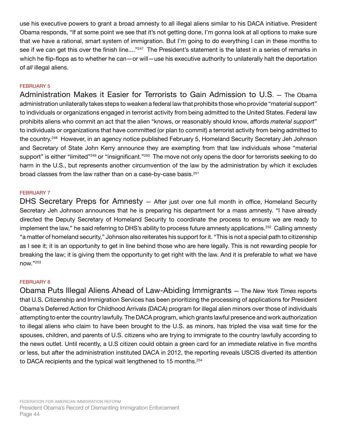use his executive powers to grant a broad amnesty to all illegal aliens similar to his DACA initiative. President Obama responds, "If at some point we see that it's not getting done, I'm gonna look at all options to make sure that we have a rational, smart system of immigration. But I'm going to do everything I can in these months to see if we can get this over the finish line...."<sup>247</sup> The President's statement is the latest in a series of remarks in which he flip-flops as to whether he can—or will—use his executive authority to unilaterally halt the deportation of *all* illegal aliens.

# FEBRUARY 5

Administration Makes it Easier for Terrorists to Gain Admission to U.S. — The Obama administration unilaterally takes steps to weaken a federal law that prohibits those who provide "material support" to individuals or organizations engaged in terrorist activity from being admitted to the United States. Federal law prohibits aliens who commit an act that the alien "knows, or reasonably should know, affords *material support*" to individuals or organizations that have committed (or plan to commit) a terrorist activity from being admitted to the country.<sup>248</sup> However, in an agency notice published February 5, Homeland Security Secretary Jeh Johnson and Secretary of State John Kerry announce they are exempting from that law individuals whose "material support" is either "limited"<sup>249</sup> or "insignificant."<sup>250</sup> The move not only opens the door for terrorists seeking to do harm in the U.S., but represents another circumvention of the law by the administration by which it excludes broad classes from the law rather than on a case-by-case basis.<sup>251</sup>

## FEBRUARY 7

DHS Secretary Preps for Amnesty – After just over one full month in office, Homeland Security Secretary Jeh Johnson announces that he is preparing his department for a mass amnesty. "I have already directed the Deputy Secretary of Homeland Security to coordinate the process to ensure we are ready to implement the law," he said referring to DHS's ability to process future amnesty applications.<sup>252</sup> Calling amnesty "a matter of homeland security," Johnson also reiterates his support for it. "This is not a special path to citizenship as I see it; it is an opportunity to get in line behind those who are here legally. This is not rewarding people for breaking the law; it is giving them the opportunity to get right with the law. And it is preferable to what we have now."253

## FEBRUARY 8

Obama Puts Illegal Aliens Ahead of Law-Abiding Immigrants — The *New York Times* reports that U.S. Citizenship and Immigration Services has been prioritizing the processing of applications for President Obama's Deferred Action for Childhood Arrivals (DACA) program for illegal alien minors over those of individuals attempting to enter the country lawfully. The DACA program, which grants lawful presence and work authorization to illegal aliens who claim to have been brought to the U.S. as minors, has tripled the visa wait time for the spouses, children, and parents of U.S. citizens who are trying to immigrate to the country lawfully according to the news outlet. Until recently, a U.S citizen could obtain a green card for an immediate relative in five months or less, but after the administration instituted DACA in 2012, the reporting reveals USCIS diverted its attention to DACA recipients and the typical wait lengthened to 15 months.<sup>254</sup>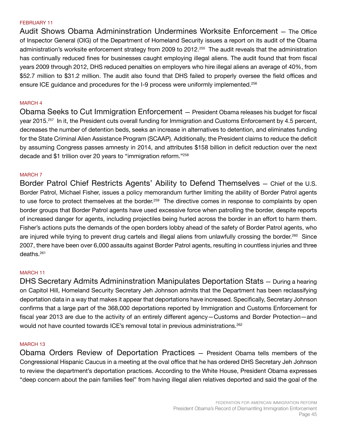#### FEBRUARY 11

Audit Shows Obama Admininstration Undermines Worksite Enforcement — The Office of Inspector General (OIG) of the Department of Homeland Security issues a report on its audit of the Obama administration's worksite enforcement strategy from 2009 to 2012.<sup>255</sup> The audit reveals that the administration has continually reduced fines for businesses caught employing illegal aliens. The audit found that from fiscal years 2009 through 2012, DHS reduced penalties on employers who hire illegal aliens an average of 40%, from \$52.7 million to \$31.2 million. The audit also found that DHS failed to properly oversee the field offices and ensure ICE guidance and procedures for the I-9 process were uniformly implemented.<sup>256</sup>

#### MARCH 4

Obama Seeks to Cut Immigration Enforcement — President Obama releases his budget for fiscal year 2015.<sup>257</sup> In it, the President cuts overall funding for Immigration and Customs Enforcement by 4.5 percent, decreases the number of detention beds, seeks an increase in alternatives to detention, and eliminates funding for the State Criminal Alien Assistance Program (SCAAP). Additionally, the President claims to reduce the deficit by assuming Congress passes amnesty in 2014, and attributes \$158 billion in deficit reduction over the next decade and \$1 trillion over 20 years to "immigration reform."258

#### MARCH 7

Border Patrol Chief Restricts Agents' Ability to Defend Themselves — Chief of the U.S. Border Patrol, Michael Fisher, issues a policy memorandum further limiting the ability of Border Patrol agents to use force to protect themselves at the border.<sup>259</sup> The directive comes in response to complaints by open border groups that Border Patrol agents have used excessive force when patrolling the border, despite reports of increased danger for agents, including projectiles being hurled across the border in an effort to harm them. Fisher's actions puts the demands of the open borders lobby ahead of the safety of Border Patrol agents, who are injured while trying to prevent drug cartels and illegal aliens from unlawfully crossing the border.<sup>260</sup> Since 2007, there have been over 6,000 assaults against Border Patrol agents, resulting in countless injuries and three deaths.261

#### MARCH 11

DHS Secretary Admits Admininstration Manipulates Deportation Stats — During a hearing on Capitol Hill, Homeland Security Secretary Jeh Johnson admits that the Department has been reclassifying deportation data in a way that makes it appear that deportations have increased. Specifically, Secretary Johnson confirms that a large part of the 368,000 deportations reported by Immigration and Customs Enforcement for fiscal year 2013 are due to the activity of an entirely different agency—Customs and Border Protection—and would not have counted towards ICE's removal total in previous administrations.<sup>262</sup>

#### MARCH 13

Obama Orders Review of Deportation Practices — President Obama tells members of the Congressional Hispanic Caucus in a meeting at the oval office that he has ordered DHS Secretary Jeh Johnson to review the department's deportation practices. According to the White House, President Obama expresses "deep concern about the pain families feel" from having illegal alien relatives deported and said the goal of the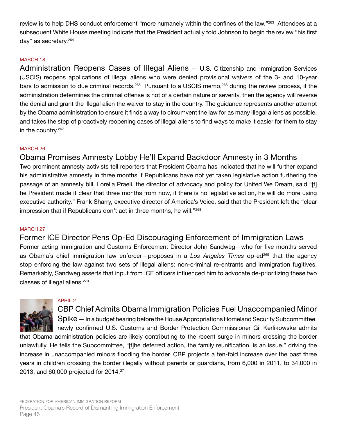review is to help DHS conduct enforcement "more humanely within the confines of the law."<sup>263</sup> Attendees at a subsequent White House meeting indicate that the President actually told Johnson to begin the review "his first day" as secretary.264

# MARCH 18

Administration Reopens Cases of Illegal Aliens — U.S. Citizenship and Immigration Services (USCIS) reopens applications of illegal aliens who were denied provisional waivers of the 3- and 10-year bars to admission to due criminal records.<sup>265</sup> Pursuant to a USCIS memo,<sup>266</sup> during the review process, if the administration determines the criminal offense is not of a certain nature or severity, then the agency will reverse the denial and grant the illegal alien the waiver to stay in the country. The guidance represents another attempt by the Obama administration to ensure it finds a way to circumvent the law for as many illegal aliens as possible, and takes the step of proactively reopening cases of illegal aliens to find ways to make it easier for them to stay in the country.<sup>267</sup>

## MARCH 26

# Obama Promises Amnesty Lobby He'll Expand Backdoor Amnesty in 3 Months

Two prominent amnesty activists tell reporters that President Obama has indicated that he will further expand his administrative amnesty in three months if Republicans have not yet taken legislative action furthering the passage of an amnesty bill. Lorella Praeli, the director of advocacy and policy for United We Dream, said "[t] he President made it clear that three months from now, if there is no legislative action, he will do more using executive authority." Frank Sharry, executive director of America's Voice, said that the President left the "clear impression that if Republicans don't act in three months, he will."<sup>268</sup>

## MARCH 27

Former ICE Director Pens Op-Ed Discouraging Enforcement of Immigration Laws Former acting Immigration and Customs Enforcement Director John Sandweg—who for five months served as Obama's chief immigration law enforcer—proposes in a Los Angeles Times op-ed<sup>269</sup> that the agency stop enforcing the law against two sets of illegal aliens: non-criminal re-entrants and immigration fugitives. Remarkably, Sandweg asserts that input from ICE officers influenced him to advocate de-prioritizing these two classes of illegal aliens.270



## APRIL 2

# CBP Chief Admits Obama Immigration Policies Fuel Unaccompanied Minor

Spike — In a budget hearing before the House Appropriations Homeland Security Subcommittee, newly confirmed U.S. Customs and Border Protection Commissioner Gil Kerlikowske admits

that Obama administration policies are likely contributing to the recent surge in minors crossing the border unlawfully. He tells the Subcommittee, "[t]he deferred action, the family reunification, is an issue," driving the increase in unaccompanied minors flooding the border. CBP projects a ten-fold increase over the past three years in children crossing the border illegally without parents or guardians, from 6,000 in 2011, to 34,000 in 2013, and 60,000 projected for 2014.271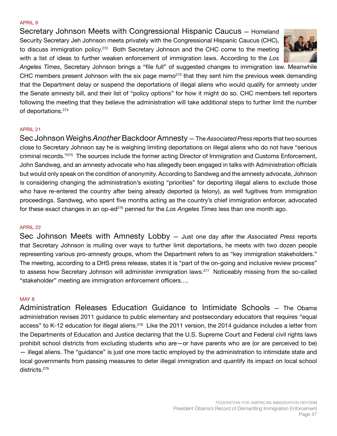#### APRIL 9

Secretary Johnson Meets with Congressional Hispanic Caucus — Homeland Security Secretary Jeh Johnson meets privately with the Congressional Hispanic Caucus (CHC), to discuss immigration policy.<sup>272</sup> Both Secretary Johnson and the CHC come to the meeting with a list of ideas to further weaken enforcement of immigration laws. According to the *Los* 



*Angeles Times*, Secretary Johnson brings a "file full" of suggested changes to immigration law. Meanwhile CHC members present Johnson with the six page memo<sup>273</sup> that they sent him the previous week demanding that the Department delay or suspend the deportations of illegal aliens who would qualify for amnesty under the Senate amnesty bill, and their list of "policy options" for how it might do so. CHC members tell reporters following the meeting that they believe the administration will take additional steps to further limit the number of deportations.<sup>274</sup>

#### APRIL 21

Sec Johnson Weighs *Another* Backdoor Amnesty — The *Associated Press* reports that two sources close to Secretary Johnson say he is weighing limiting deportations on illegal aliens who do not have "serious criminal records."275 The sources include the former acting Director of Immigration and Customs Enforcement, John Sandweg, and an amnesty advocate who has allegedly been engaged in talks with Administration officials but would only speak on the condition of anonymity. According to Sandweg and the amnesty advocate, Johnson is considering changing the administration's existing "priorities" for deporting illegal aliens to exclude those who have re-entered the country after being already deported (a felony), as well fugitives from immigration proceedings. Sandweg, who spent five months acting as the country's chief immigration enforcer, advocated for these exact changes in an op-ed<sup>276</sup> penned for the Los Angeles Times less than one month ago.

#### APRIL 22

Sec Johnson Meets with Amnesty Lobby — Just one day after the *Associated Press* reports that Secretary Johnson is mulling over ways to further limit deportations, he meets with two dozen people representing various pro-amnesty groups, whom the Department refers to as "key immigration stakeholders." The meeting, according to a DHS press release, states it is "part of the on-going and inclusive review process" to assess how Secretary Johnson will administer immigration laws.<sup>277</sup> Noticeably missing from the so-called "stakeholder" meeting are immigration enforcement officers….

#### MAY 8

Administration Releases Education Guidance to Intimidate Schools — The Obama administration revises 2011 guidance to public elementary and postsecondary educators that requires "equal access" to K-12 education for illegal aliens.<sup>278</sup> Like the 2011 version, the 2014 guidance includes a letter from the Departments of Education and Justice declaring that the U.S. Supreme Court and Federal civil rights laws prohibit school districts from excluding students who are—or have parents who are (or are perceived to be) — illegal aliens. The "guidance" is just one more tactic employed by the administration to intimidate state and local governments from passing measures to deter illegal immigration and quantify its impact on local school districts.279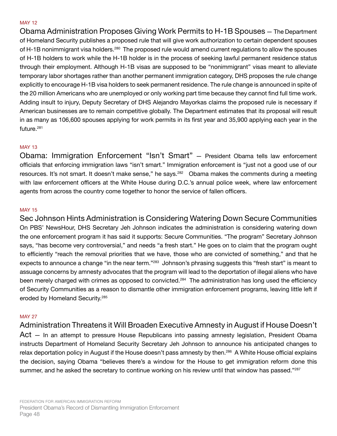#### MAY 12

Obama Administration Proposes Giving Work Permits to H-1B Spouses — The Department of Homeland Security publishes a proposed rule that will give work authorization to certain dependent spouses of H-1B nonimmigrant visa holders.<sup>280</sup> The proposed rule would amend current regulations to allow the spouses of H-1B holders to work while the H-1B holder is in the process of seeking lawful permanent residence status through their employment. Although H-1B visas are supposed to be "nonimmigrant" visas meant to alleviate temporary labor shortages rather than another permanent immigration category, DHS proposes the rule change explicitly to encourage H-1B visa holders to seek permanent residence. The rule change is announced in spite of the 20 million Americans who are unemployed or only working part time because they cannot find full time work. Adding insult to injury, Deputy Secretary of DHS Alejandro Mayorkas claims the proposed rule is necessary if American businesses are to remain competitive globally. The Department estimates that its proposal will result in as many as 106,600 spouses applying for work permits in its first year and 35,900 applying each year in the future.281

# MAY 13

Obama: Immigration Enforcement "Isn't Smart" — President Obama tells law enforcement officials that enforcing immigration laws "isn't smart." Immigration enforcement is "just not a good use of our resources. It's not smart. It doesn't make sense," he says.<sup>282</sup> Obama makes the comments during a meeting with law enforcement officers at the White House during D.C.'s annual police week, where law enforcement agents from across the country come together to honor the service of fallen officers.

## MAY 15

Sec Johnson Hints Administration is Considering Watering Down Secure Communities On PBS' NewsHour, DHS Secretary Jeh Johnson indicates the administration is considering watering down the one enforcement program it has said it supports: Secure Communities. "The program" Secretary Johnson says, "has become very controversial," and needs "a fresh start." He goes on to claim that the program ought to efficiently "reach the removal priorities that we have, those who are convicted of something," and that he expects to announce a change "in the near term."<sup>283</sup> Johnson's phrasing suggests this "fresh start" is meant to assuage concerns by amnesty advocates that the program will lead to the deportation of illegal aliens who have been merely charged with crimes as opposed to convicted.<sup>284</sup> The administration has long used the efficiency of Security Communities as a reason to dismantle other immigration enforcement programs, leaving little left if eroded by Homeland Security.285

# MAY 27

Administration Threatens it Will Broaden Executive Amnesty in August if House Doesn't Act — In an attempt to pressure House Republicans into passing amnesty legislation, President Obama instructs Department of Homeland Security Secretary Jeh Johnson to announce his anticipated changes to relax deportation policy in August if the House doesn't pass amnesty by then.<sup>286</sup> A White House official explains the decision, saying Obama "believes there's a window for the House to get immigration reform done this

summer, and he asked the secretary to continue working on his review until that window has passed."<sup>287</sup>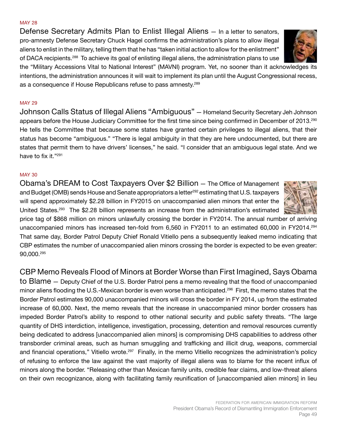#### FEDERATION FOR AMERICAN IMMIGRATION REFORM President Obama's Record of Dismantling Immigration Enforcement Page 49

Defense Secretary Admits Plan to Enlist Illegal Aliens — In a letter to senators, pro-amnesty Defense Secretary Chuck Hagel confirms the administration's plans to allow illegal aliens to enlist in the military, telling them that he has "taken initial action to allow for the enlistment" of DACA recipients.<sup>288</sup> To achieve its goal of enlisting illegal aliens, the administration plans to use the "Military Accessions Vital to National Interest" (MAVNI) program. Yet, no sooner than it acknowledges its intentions, the administration announces it will wait to implement its plan until the August Congressional recess, as a consequence if House Republicans refuse to pass amnesty.<sup>289</sup>

# MAY 29

MAY 28

Johnson Calls Status of Illegal Aliens "Ambiguous" — Homeland Security Secretary Jeh Johnson appears before the House Judiciary Committee for the first time since being confirmed in December of 2013.<sup>290</sup> He tells the Committee that because some states have granted certain privileges to illegal aliens, that their status has become "ambiguous." "There is legal ambiguity in that they are here undocumented, but there are states that permit them to have drivers' licenses," he said. "I consider that an ambiguous legal state. And we have to fix it."<sup>291</sup>

# MAY 30

Obama's DREAM to Cost Taxpayers Over \$2 Billion — The Office of Management and Budget (OMB) sends House and Senate appropriators a letter<sup>292</sup> estimating that U.S. taxpayers will spend approximately \$2.28 billion in FY2015 on unaccompanied alien minors that enter the United States.<sup>293</sup> The \$2.28 billion represents an increase from the administration's estimated

price tag of \$868 million on minors unlawfully crossing the border in FY2014. The annual number of arriving unaccompanied minors has increased ten-fold from 6,560 in FY2011 to an estimated 60,000 in FY2014.<sup>294</sup> That same day, Border Patrol Deputy Chief Ronald Vitiello pens a subsequently leaked memo indicating that CBP estimates the number of unaccompanied alien minors crossing the border is expected to be even greater: 90,000.295

CBP Memo Reveals Flood of Minors at Border Worse than First Imagined, Says Obama

to Blame — Deputy Chief of the U.S. Border Patrol pens a memo revealing that the flood of unaccompanied minor aliens flooding the U.S.-Mexican border is even worse than anticipated.<sup>296</sup> First, the memo states that the Border Patrol estimates 90,000 unaccompanied minors will cross the border in FY 2014, up from the estimated increase of 60,000. Next, the memo reveals that the increase in unaccompanied minor border crossers has impeded Border Patrol's ability to respond to other national security and public safety threats. "The large quantity of DHS interdiction, intelligence, investigation, processing, detention and removal resources currently being dedicated to address [unaccompanied alien minors] is compromising DHS capabilities to address other transborder criminal areas, such as human smuggling and trafficking and illicit drug, weapons, commercial and financial operations," Vitiello wrote.<sup>297</sup> Finally, in the memo Vitiello recognizes the administration's policy of refusing to enforce the law against the vast majority of illegal aliens was to blame for the recent influx of minors along the border. "Releasing other than Mexican family units, credible fear claims, and low-threat aliens on their own recognizance, along with facilitating family reunification of [unaccompanied alien minors] in lieu



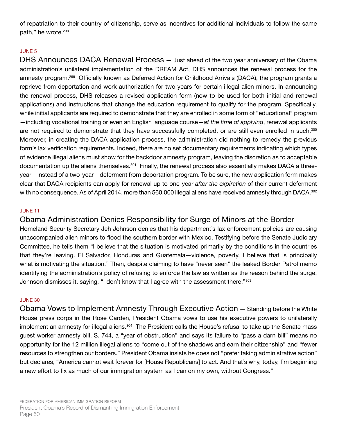of repatriation to their country of citizenship, serve as incentives for additional individuals to follow the same path," he wrote.<sup>298</sup>

## JUNE 5

DHS Announces DACA Renewal Process — Just ahead of the two year anniversary of the Obama administration's unilateral implementation of the DREAM Act, DHS announces the renewal process for the amnesty program.<sup>299</sup> Officially known as Deferred Action for Childhood Arrivals (DACA), the program grants a reprieve from deportation and work authorization for two years for certain illegal alien minors. In announcing the renewal process, DHS releases a revised application form (now to be used for both initial and renewal applications) and instructions that change the education requirement to qualify for the program. Specifically, while initial applicants are required to demonstrate that they are enrolled in some form of "educational" program —including vocational training or even an English language course—*at the time of applying*, renewal applicants are not required to demonstrate that they have successfully completed, or are still even enrolled in such.<sup>300</sup> Moreover, in creating the DACA application process, the administration did nothing to remedy the previous form's lax verification requirements. Indeed, there are no set documentary requirements indicating which types of evidence illegal aliens must show for the backdoor amnesty program, leaving the discretion as to acceptable documentation up the aliens themselves.<sup>301</sup> Finally, the renewal process also essentially makes DACA a threeyear—instead of a two-year—deferment from deportation program. To be sure, the new application form makes clear that DACA recipients can apply for renewal up to one-year *after the expiration* of their current deferment with no consequence. As of April 2014, more than 560,000 illegal aliens have received amnesty through DACA.<sup>302</sup>

## JUNE 11

Obama Administration Denies Responsibility for Surge of Minors at the Border

Homeland Security Secretary Jeh Johnson denies that his department's lax enforcement policies are causing unaccompanied alien minors to flood the southern border with Mexico. Testifying before the Senate Judiciary Committee, he tells them "I believe that the situation is motivated primarily by the conditions in the countries that they're leaving. El Salvador, Honduras and Guatemala—violence, poverty, I believe that is principally what is motivating the situation." Then, despite claiming to have "never seen" the leaked Border Patrol memo identifying the administration's policy of refusing to enforce the law as written as the reason behind the surge, Johnson dismisses it, saying, "I don't know that I agree with the assessment there."303

## JUNE 30

Obama Vows to Implement Amnesty Through Executive Action — Standing before the White House press corps in the Rose Garden, President Obama vows to use his executive powers to unilaterally implement an amnesty for illegal aliens.<sup>304</sup> The President calls the House's refusal to take up the Senate mass guest worker amnesty bill, S. 744, a "year of obstruction" and says its failure to "pass a darn bill" means no opportunity for the 12 million illegal aliens to "come out of the shadows and earn their citizenship" and "fewer resources to strengthen our borders." President Obama insists he does not "prefer taking administrative action" but declares, "America cannot wait forever for [House Republicans] to act. And that's why, today, I'm beginning a new effort to fix as much of our immigration system as I can on my own, without Congress."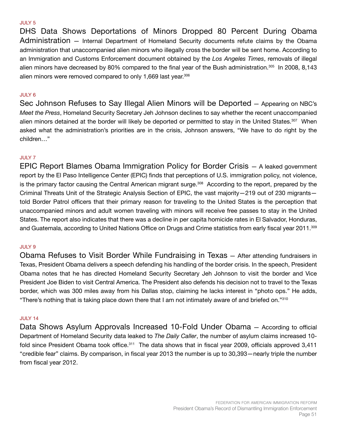#### JULY 5

DHS Data Shows Deportations of Minors Dropped 80 Percent During Obama Administration — Internal Department of Homeland Security documents refute claims by the Obama administration that unaccompanied alien minors who illegally cross the border will be sent home. According to an Immigration and Customs Enforcement document obtained by the *Los Angeles Times*, removals of illegal alien minors have decreased by 80% compared to the final year of the Bush administration.<sup>305</sup> In 2008, 8,143 alien minors were removed compared to only 1,669 last year.<sup>306</sup>

#### JULY 6

Sec Johnson Refuses to Say Illegal Alien Minors will be Deported — Appearing on NBC's *Meet the Press*, Homeland Security Secretary Jeh Johnson declines to say whether the recent unaccompanied alien minors detained at the border will likely be deported or permitted to stay in the United States.<sup>307</sup> When asked what the administration's priorities are in the crisis, Johnson answers, "We have to do right by the children…"

#### JULY 7

EPIC Report Blames Obama Immigration Policy for Border Crisis — A leaked government report by the El Paso Intelligence Center (EPIC) finds that perceptions of U.S. immigration policy, not violence, is the primary factor causing the Central American migrant surge.308 According to the report, prepared by the Criminal Threats Unit of the Strategic Analysis Section of EPIC, the vast majority—219 out of 230 migrants told Border Patrol officers that their primary reason for traveling to the United States is the perception that unaccompanied minors and adult women traveling with minors will receive free passes to stay in the United States. The report also indicates that there was a decline in per capita homicide rates in El Salvador, Honduras, and Guatemala, according to United Nations Office on Drugs and Crime statistics from early fiscal year 2011.<sup>309</sup>

#### JULY 9

Obama Refuses to Visit Border While Fundraising in Texas — After attending fundraisers in Texas, President Obama delivers a speech defending his handling of the border crisis. In the speech, President Obama notes that he has directed Homeland Security Secretary Jeh Johnson to visit the border and Vice President Joe Biden to visit Central America. The President also defends his decision not to travel to the Texas border, which was 300 miles away from his Dallas stop, claiming he lacks interest in "photo ops." He adds, "There's nothing that is taking place down there that I am not intimately aware of and briefed on."310

#### JULY 14

Data Shows Asylum Approvals Increased 10-Fold Under Obama — According to official Department of Homeland Security data leaked to *The Daily Caller*, the number of asylum claims increased 10 fold since President Obama took office.<sup>311</sup> The data shows that in fiscal year 2009, officials approved 3,411 "credible fear" claims. By comparison, in fiscal year 2013 the number is up to 30,393—nearly triple the number from fiscal year 2012.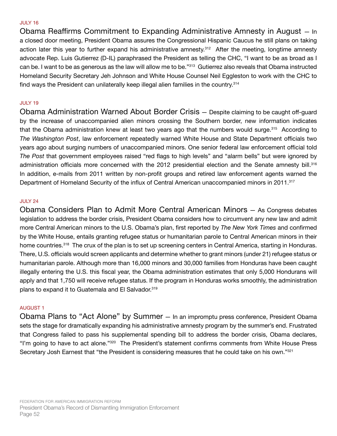#### JULY 16

Obama Reaffirms Commitment to Expanding Administrative Amnesty in August — In a closed door meeting, President Obama assures the Congressional Hispanic Caucus he still plans on taking action later this year to further expand his administrative amnesty.<sup>312</sup> After the meeting, longtime amnesty advocate Rep. Luis Gutierrez (D-IL) paraphrased the President as telling the CHC, "I want to be as broad as I can be. I want to be as generous as the law will allow me to be."313 Gutierrez also reveals that Obama instructed Homeland Security Secretary Jeh Johnson and White House Counsel Neil Eggleston to work with the CHC to find ways the President can unilaterally keep illegal alien families in the country.<sup>314</sup>

#### JULY 19

Obama Administration Warned About Border Crisis — Despite claiming to be caught off-guard by the increase of unaccompanied alien minors crossing the Southern border, new information indicates that the Obama administration knew at least two years ago that the numbers would surge.<sup>315</sup> According to *The Washington Post*, law enforcement repeatedly warned White House and State Department officials two years ago about surging numbers of unaccompanied minors. One senior federal law enforcement official told *The Post* that government employees raised "red flags to high levels" and "alarm bells" but were ignored by administration officials more concerned with the 2012 presidential election and the Senate amnesty bill.316 In addition, e-mails from 2011 written by non-profit groups and retired law enforcement agents warned the Department of Homeland Security of the influx of Central American unaccompanied minors in 2011.<sup>317</sup>

#### JULY 24

Obama Considers Plan to Admit More Central American Minors — As Congress debates legislation to address the border crisis, President Obama considers how to circumvent any new law and admit more Central American minors to the U.S. Obama's plan, first reported by *The New York Times* and confirmed by the White House, entails granting refugee status or humanitarian parole to Central American minors in their home countries.<sup>318</sup> The crux of the plan is to set up screening centers in Central America, starting in Honduras. There, U.S. officials would screen applicants and determine whether to grant minors (under 21) refugee status or humanitarian parole. Although more than 16,000 minors and 30,000 families from Honduras have been caught illegally entering the U.S. this fiscal year, the Obama administration estimates that only 5,000 Hondurans will apply and that 1,750 will receive refugee status. If the program in Honduras works smoothly, the administration plans to expand it to Guatemala and El Salvador.<sup>319</sup>

#### AUGUST 1

Obama Plans to "Act Alone" by Summer — In an impromptu press conference, President Obama sets the stage for dramatically expanding his administrative amnesty program by the summer's end. Frustrated that Congress failed to pass his supplemental spending bill to address the border crisis, Obama declares, "I'm going to have to act alone."320 The President's statement confirms comments from White House Press Secretary Josh Earnest that "the President is considering measures that he could take on his own."321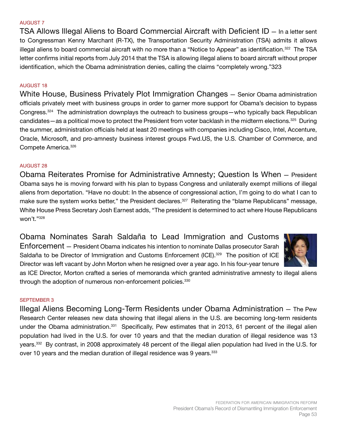#### AUGUST 7

TSA Allows Illegal Aliens to Board Commercial Aircraft with Deficient ID — In a letter sent to Congressman Kenny Marchant (R-TX), the Transportation Security Administration (TSA) admits it allows illegal aliens to board commercial aircraft with no more than a "Notice to Appear" as identification.<sup>322</sup> The TSA letter confirms initial reports from July 2014 that the TSA is allowing illegal aliens to board aircraft without proper identification, which the Obama administration denies, calling the claims "completely wrong."323

#### AUGUST 18

White House, Business Privately Plot Immigration Changes — Senior Obama administration officials privately meet with business groups in order to garner more support for Obama's decision to bypass Congress.324 The administration downplays the outreach to business groups—who typically back Republican candidates—as a political move to protect the President from voter backlash in the midterm elections.<sup>325</sup> During the summer, administration officials held at least 20 meetings with companies including Cisco, Intel, Accenture, Oracle, Microsoft, and pro-amnesty business interest groups Fwd.US, the U.S. Chamber of Commerce, and Compete America.326

#### AUGUST 28

Obama Reiterates Promise for Administrative Amnesty; Question Is When — President Obama says he is moving forward with his plan to bypass Congress and unilaterally exempt millions of illegal aliens from deportation. "Have no doubt: In the absence of congressional action, I'm going to do what I can to make sure the system works better," the President declares.<sup>327</sup> Reiterating the "blame Republicans" message, White House Press Secretary Josh Earnest adds, "The president is determined to act where House Republicans won't."328

Obama Nominates Sarah Saldaña to Lead Immigration and Customs Enforcement — President Obama indicates his intention to nominate Dallas prosecutor Sarah Saldaña to be Director of Immigration and Customs Enforcement (ICE).<sup>329</sup> The position of ICE Director was left vacant by John Morton when he resigned over a year ago. In his four-year tenure



as ICE Director, Morton crafted a series of memoranda which granted administrative amnesty to illegal aliens through the adoption of numerous non-enforcement policies.<sup>330</sup>

#### SEPTEMBER 3

Illegal Aliens Becoming Long-Term Residents under Obama Administration — The Pew Research Center releases new data showing that illegal aliens in the U.S. are becoming long-term residents under the Obama administration.<sup>331</sup> Specifically, Pew estimates that in 2013, 61 percent of the illegal alien population had lived in the U.S. for over 10 years and that the median duration of illegal residence was 13 years.332 By contrast, in 2008 approximately 48 percent of the illegal alien population had lived in the U.S. for over 10 years and the median duration of illegal residence was 9 years.<sup>333</sup>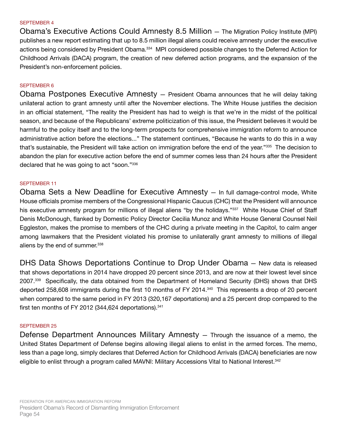#### SEPTEMBER 4

Obama's Executive Actions Could Amnesty 8.5 Million — The Migration Policy Institute (MPI) publishes a new report estimating that up to 8.5 million illegal aliens could receive amnesty under the executive actions being considered by President Obama.<sup>334</sup> MPI considered possible changes to the Deferred Action for Childhood Arrivals (DACA) program, the creation of new deferred action programs, and the expansion of the President's non-enforcement policies.

#### SEPTEMBER 6

Obama Postpones Executive Amnesty — President Obama announces that he will delay taking unilateral action to grant amnesty until after the November elections. The White House justifies the decision in an official statement, "The reality the President has had to weigh is that we're in the midst of the political season, and because of the Republicans' extreme politicization of this issue, the President believes it would be harmful to the policy itself and to the long-term prospects for comprehensive immigration reform to announce administrative action before the elections..." The statement continues, "Because he wants to do this in a way that's sustainable, the President will take action on immigration before the end of the year."335 The decision to abandon the plan for executive action before the end of summer comes less than 24 hours after the President declared that he was going to act "soon."336

#### SEPTEMBER 11

Obama Sets a New Deadline for Executive Amnesty — In full damage-control mode, White House officials promise members of the Congressional Hispanic Caucus (CHC) that the President will announce his executive amnesty program for millions of illegal aliens "by the holidays."<sup>337</sup> White House Chief of Staff Denis McDonough, flanked by Domestic Policy Director Cecilia Munoz and White House General Counsel Neil Eggleston, makes the promise to members of the CHC during a private meeting in the Capitol, to calm anger among lawmakers that the President violated his promise to unilaterally grant amnesty to millions of illegal aliens by the end of summer.<sup>338</sup>

DHS Data Shows Deportations Continue to Drop Under Obama — New data is released that shows deportations in 2014 have dropped 20 percent since 2013, and are now at their lowest level since 2007.339 Specifically, the data obtained from the Department of Homeland Security (DHS) shows that DHS deported 258,608 immigrants during the first 10 months of FY 2014.<sup>340</sup> This represents a drop of 20 percent when compared to the same period in FY 2013 (320,167 deportations) and a 25 percent drop compared to the first ten months of FY 2012 (344,624 deportations). $341$ 

#### SEPTEMBER 25

Defense Department Announces Military Amnesty — Through the issuance of a memo, the United States Department of Defense begins allowing illegal aliens to enlist in the armed forces. The memo, less than a page long, simply declares that Deferred Action for Childhood Arrivals (DACA) beneficiaries are now eligible to enlist through a program called MAVNI: Military Accessions Vital to National Interest.342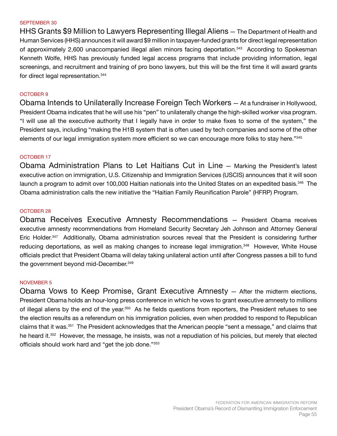#### SEPTEMBER 30

HHS Grants \$9 Million to Lawyers Representing Illegal Aliens — The Department of Health and Human Services (HHS) announces it will award \$9 million in taxpayer-funded grants for direct legal representation of approximately 2,600 unaccompanied illegal alien minors facing deportation.<sup>343</sup> According to Spokesman Kenneth Wolfe, HHS has previously funded legal access programs that include providing information, legal screenings, and recruitment and training of pro bono lawyers, but this will be the first time it will award grants for direct legal representation.344

#### OCTOBER 9

Obama Intends to Unilaterally Increase Foreign Tech Workers — At a fundraiser in Hollywood, President Obama indicates that he will use his "pen" to unilaterally change the high-skilled worker visa program. "I will use all the executive authority that I legally have in order to make fixes to some of the system," the President says, including "making the H1B system that is often used by tech companies and some of the other elements of our legal immigration system more efficient so we can encourage more folks to stay here."345

#### OCTOBER 17

Obama Administration Plans to Let Haitians Cut in Line — Marking the President's latest executive action on immigration, U.S. Citizenship and Immigration Services (USCIS) announces that it will soon launch a program to admit over 100,000 Haitian nationals into the United States on an expedited basis.<sup>346</sup> The Obama administration calls the new initiative the "Haitian Family Reunification Parole" (HFRP) Program.

#### OCTOBER 28

Obama Receives Executive Amnesty Recommendations — President Obama receives executive amnesty recommendations from Homeland Security Secretary Jeh Johnson and Attorney General Eric Holder.<sup>347</sup> Additionally, Obama administration sources reveal that the President is considering further reducing deportations, as well as making changes to increase legal immigration.<sup>348</sup> However, White House officials predict that President Obama will delay taking unilateral action until after Congress passes a bill to fund the government beyond mid-December. 349

#### NOVEMBER 5

Obama Vows to Keep Promise, Grant Executive Amnesty — After the midterm elections, President Obama holds an hour-long press conference in which he vows to grant executive amnesty to millions of illegal aliens by the end of the year.<sup>350</sup> As he fields questions from reporters, the President refuses to see the election results as a referendum on his immigration policies, even when prodded to respond to Republican claims that it was.351 The President acknowledges that the American people "sent a message," and claims that he heard it.<sup>352</sup> However, the message, he insists, was not a repudiation of his policies, but merely that elected officials should work hard and "get the job done."353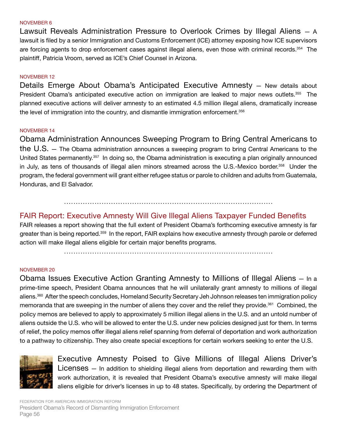#### NOVEMBER 6

Lawsuit Reveals Administration Pressure to Overlook Crimes by Illegal Aliens — A lawsuit is filed by a senior Immigration and Customs Enforcement (ICE) attorney exposing how ICE supervisors are forcing agents to drop enforcement cases against illegal aliens, even those with criminal records.<sup>354</sup> The plaintiff, Patricia Vroom, served as ICE's Chief Counsel in Arizona.

## NOVEMBER 12

Details Emerge About Obama's Anticipated Executive Amnesty — New details about President Obama's anticipated executive action on immigration are leaked to major news outlets.<sup>355</sup> The planned executive actions will deliver amnesty to an estimated 4.5 million illegal aliens, dramatically increase the level of immigration into the country, and dismantle immigration enforcement.356

## NOVEMBER 14

Obama Administration Announces Sweeping Program to Bring Central Americans to the U.S. — The Obama administration announces a sweeping program to bring Central Americans to the United States permanently.<sup>357</sup> In doing so, the Obama administration is executing a plan originally announced in July, as tens of thousands of illegal alien minors streamed across the U.S.-Mexico border.<sup>358</sup> Under the program, the federal government will grant either refugee status or parole to children and adults from Guatemala, Honduras, and El Salvador.

# FAIR Report: Executive Amnesty Will Give Illegal Aliens Taxpayer Funded Benefits

.........................................................................................

FAIR releases a report showing that the full extent of President Obama's forthcoming executive amnesty is far greater than is being reported.359 In the report, FAIR explains how executive amnesty through parole or deferred action will make illegal aliens eligible for certain major benefits programs.

.........................................................................................

## NOVEMBER 20

Obama Issues Executive Action Granting Amnesty to Millions of Illegal Aliens — In a prime-time speech, President Obama announces that he will unilaterally grant amnesty to millions of illegal aliens.<sup>360</sup> After the speech concludes, Homeland Security Secretary Jeh Johnson releases ten immigration policy memoranda that are sweeping in the number of aliens they cover and the relief they provide.<sup>361</sup> Combined, the policy memos are believed to apply to approximately 5 million illegal aliens in the U.S. and an untold number of aliens outside the U.S. who will be allowed to enter the U.S. under new policies designed just for them. In terms of relief, the policy memos offer illegal aliens relief spanning from deferral of deportation and work authorization to a pathway to citizenship. They also create special exceptions for certain workers seeking to enter the U.S.



Executive Amnesty Poised to Give Millions of Illegal Aliens Driver's Licenses — In addition to shielding illegal aliens from deportation and rewarding them with work authorization, it is revealed that President Obama's executive amnesty will make illegal aliens eligible for driver's licenses in up to 48 states. Specifically, by ordering the Department of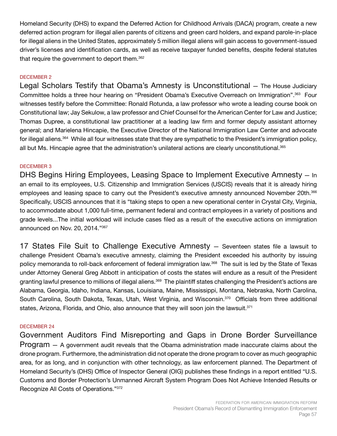Homeland Security (DHS) to expand the Deferred Action for Childhood Arrivals (DACA) program, create a new deferred action program for illegal alien parents of citizens and green card holders, and expand parole-in-place for illegal aliens in the United States, approximately 5 million illegal aliens will gain access to government-issued driver's licenses and identification cards, as well as receive taxpayer funded benefits, despite federal statutes that require the government to deport them.<sup>362</sup>

# DECEMBER 2

Legal Scholars Testify that Obama's Amnesty is Unconstitutional — The House Judiciary Committee holds a three hour hearing on "President Obama's Executive Overreach on Immigration".363 Four witnesses testify before the Committee: Ronald Rotunda, a law professor who wrote a leading course book on Constitutional law; Jay Sekulow, a law professor and Chief Counsel for the American Center for Law and Justice; Thomas Dupree, a constitutional law practitioner at a leading law firm and former deputy assistant attorney general; and Marielena Hincapie, the Executive Director of the National Immigration Law Center and advocate for illegal aliens.364 While all four witnesses state that they are sympathetic to the President's immigration policy, all but Ms. Hincapie agree that the administration's unilateral actions are clearly unconstitutional.<sup>365</sup>

# DECEMBER 3

DHS Begins Hiring Employees, Leasing Space to Implement Executive Amnesty — In an email to its employees, U.S. Citizenship and Immigration Services (USCIS) reveals that it is already hiring employees and leasing space to carry out the President's executive amnesty announced November 20th.<sup>366</sup> Specifically, USCIS announces that it is "taking steps to open a new operational center in Crystal City, Virginia, to accommodate about 1,000 full-time, permanent federal and contract employees in a variety of positions and grade levels...The initial workload will include cases filed as a result of the executive actions on immigration announced on Nov. 20, 2014."367

17 States File Suit to Challenge Executive Amnesty — Seventeen states file a lawsuit to challenge President Obama's executive amnesty, claiming the President exceeded his authority by issuing policy memoranda to roll-back enforcement of federal immigration law.368 The suit is led by the State of Texas under Attorney General Greg Abbott in anticipation of costs the states will endure as a result of the President granting lawful presence to millions of illegal aliens.<sup>369</sup> The plaintiff states challenging the President's actions are Alabama, Georgia, Idaho, Indiana, Kansas, Louisiana, Maine, Mississippi, Montana, Nebraska, North Carolina, South Carolina, South Dakota, Texas, Utah, West Virginia, and Wisconsin.<sup>370</sup> Officials from three additional states, Arizona, Florida, and Ohio, also announce that they will soon join the lawsuit.<sup>371</sup>

# DECEMBER 24

Government Auditors Find Misreporting and Gaps in Drone Border Surveillance Program — A government audit reveals that the Obama administration made inaccurate claims about the drone program. Furthermore, the administration did not operate the drone program to cover as much geographic area, for as long, and in conjunction with other technology, as law enforcement planned. The Department of Homeland Security's (DHS) Office of Inspector General (OIG) publishes these findings in a report entitled "U.S. Customs and Border Protection's Unmanned Aircraft System Program Does Not Achieve Intended Results or Recognize All Costs of Operations."372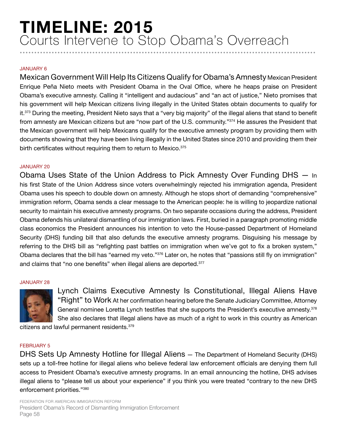# JANUARY 6

Mexican Government Will Help Its Citizens Qualify for Obama's Amnesty Mexican President Enrique Peña Nieto meets with President Obama in the Oval Office, where he heaps praise on President Obama's executive amnesty. Calling it "intelligent and audacious" and "an act of justice," Nieto promises that his government will help Mexican citizens living illegally in the United States obtain documents to qualify for it.<sup>373</sup> During the meeting, President Nieto says that a "very big majority" of the illegal aliens that stand to benefit from amnesty are Mexican citizens but are "now part of the U.S. community."374 He assures the President that the Mexican government will help Mexicans qualify for the executive amnesty program by providing them with documents showing that they have been living illegally in the United States since 2010 and providing them their birth certificates without requiring them to return to Mexico.<sup>375</sup>

## JANUARY 20

Obama Uses State of the Union Address to Pick Amnesty Over Funding DHS — In his first State of the Union Address since voters overwhelmingly rejected his immigration agenda, President Obama uses his speech to double down on amnesty. Although he stops short of demanding "comprehensive" immigration reform, Obama sends a clear message to the American people: he is willing to jeopardize national security to maintain his executive amnesty programs. On two separate occasions during the address, President Obama defends his unilateral dismantling of our immigration laws. First, buried in a paragraph promoting middle class economics the President announces his intention to veto the House-passed Department of Homeland Security (DHS) funding bill that also defunds the executive amnesty programs. Disguising his message by referring to the DHS bill as "refighting past battles on immigration when we've got to fix a broken system," Obama declares that the bill has "earned my veto."<sup>376</sup> Later on, he notes that "passions still fly on immigration" and claims that "no one benefits" when illegal aliens are deported.<sup>377</sup>

#### JANUARY 28



Lynch Claims Executive Amnesty Is Constitutional, Illegal Aliens Have "Right" to Work At her confirmation hearing before the Senate Judiciary Committee, Attorney General nominee Loretta Lynch testifies that she supports the President's executive amnesty.<sup>378</sup> She also declares that illegal aliens have as much of a right to work in this country as American

citizens and lawful permanent residents.379

#### FEBRUARY 5

DHS Sets Up Amnesty Hotline for Illegal Aliens — The Department of Homeland Security (DHS) sets up a toll-free hotline for illegal aliens who believe federal law enforcement officials are denying them full access to President Obama's executive amnesty programs. In an email announcing the hotline, DHS advises illegal aliens to "please tell us about your experience" if you think you were treated "contrary to the new DHS enforcement priorities."380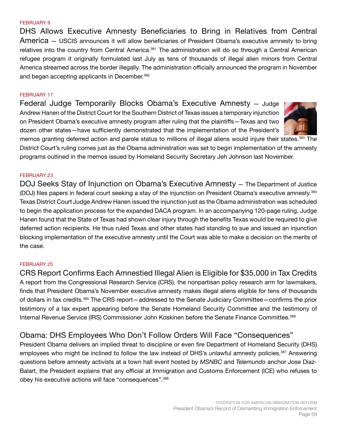#### FEBRUARY 9

DHS Allows Executive Amnesty Beneficiaries to Bring in Relatives from Central America — USCIS announces it will allow beneficiaries of President Obama's executive amnesty to bring relatives into the country from Central America.<sup>381</sup> The administration will do so through a Central American refugee program it originally formulated last July as tens of thousands of illegal alien minors from Central America streamed across the border illegally. The administration officially announced the program in November and began accepting applicants in December.<sup>382</sup>

#### FEBRUARY 17

Federal Judge Temporarily Blocks Obama's Executive Amnesty — Judge Andrew Hanen of the District Court for the Southern District of Texas issues a temporary injunction on President Obama's executive amnesty program after ruling that the plaintiffs—Texas and two dozen other states—have sufficiently demonstrated that the implementation of the President's



memos granting deferred action and parole status to millions of illegal aliens would injure their states.<sup>383</sup> The District Court's ruling comes just as the Obama administration was set to begin implementation of the amnesty programs outlined in the memos issued by Homeland Security Secretary Jeh Johnson last November.

#### FEBRUARY 23

DOJ Seeks Stay of Injunction on Obama's Executive Amnesty — The Department of Justice (DOJ) files papers in federal court seeking a stay of the injunction on President Obama's executive amnesty.384 Texas District Court Judge Andrew Hanen issued the injunction just as the Obama administration was scheduled to begin the application process for the expanded DACA program. In an accompanying 120-page ruling, Judge Hanen found that the State of Texas had shown clear injury through the benefits Texas would be required to give deferred action recipients. He thus ruled Texas and other states had standing to sue and issued an injunction blocking implementation of the executive amnesty until the Court was able to make a decision on the merits of the case.

#### FEBRUARY 25

CRS Report Confirms Each Amnestied Illegal Alien is Eligible for \$35,000 in Tax Credits A report from the Congressional Research Service (CRS), the nonpartisan policy research arm for lawmakers, finds that President Obama's November executive amnesty makes illegal aliens eligible for tens of thousands of dollars in tax credits.<sup>385</sup> The CRS report—addressed to the Senate Judiciary Committee—confirms the prior testimony of a tax expert appearing before the Senate Homeland Security Committee and the testimony of Internal Revenue Service (IRS) Commissioner John Koskinen before the Senate Finance Committee.386

# Obama: DHS Employees Who Don't Follow Orders Will Face "Consequences"

President Obama delivers an implied threat to discipline or even fire Department of Homeland Security (DHS) employees who might be inclined to follow the law instead of DHS's unlawful amnesty policies.<sup>387</sup> Answering questions before amnesty activists at a town hall event hosted by *MSNBC* and *Telemundo* anchor Jose Diaz-Balart, the President explains that any official at Immigration and Customs Enforcement (ICE) who refuses to obey his executive actions will face "consequences".388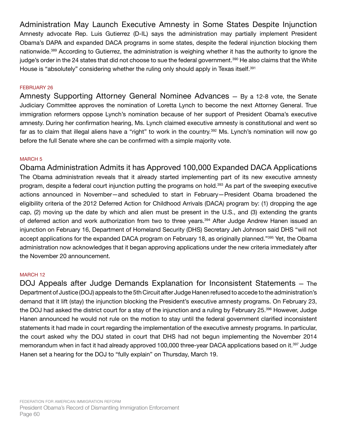Administration May Launch Executive Amnesty in Some States Despite Injunction Amnesty advocate Rep. Luis Gutierrez (D-IL) says the administration may partially implement President Obama's DAPA and expanded DACA programs in some states, despite the federal injunction blocking them nationwide.389 According to Gutierrez, the administration is weighing whether it has the authority to ignore the judge's order in the 24 states that did not choose to sue the federal government.<sup>390</sup> He also claims that the White House is "absolutely" considering whether the ruling only should apply in Texas itself.<sup>391</sup>

## FEBRUARY 26

Amnesty Supporting Attorney General Nominee Advances — By a 12-8 vote, the Senate Judiciary Committee approves the nomination of Loretta Lynch to become the next Attorney General. True immigration reformers oppose Lynch's nomination because of her support of President Obama's executive amnesty. During her confirmation hearing, Ms. Lynch claimed executive amnesty is constitutional and went so far as to claim that illegal aliens have a "right" to work in the country.392 Ms. Lynch's nomination will now go before the full Senate where she can be confirmed with a simple majority vote.

## MARCH 5

Obama Administration Admits it has Approved 100,000 Expanded DACA Applications The Obama administration reveals that it already started implementing part of its new executive amnesty program, despite a federal court injunction putting the programs on hold.<sup>393</sup> As part of the sweeping executive actions announced in November—and scheduled to start in February—President Obama broadened the eligibility criteria of the 2012 Deferred Action for Childhood Arrivals (DACA) program by: (1) dropping the age cap, (2) moving up the date by which and alien must be present in the U.S., and (3) extending the grants of deferred action and work authorization from two to three years.<sup>394</sup> After Judge Andrew Hanen issued an injunction on February 16, Department of Homeland Security (DHS) Secretary Jeh Johnson said DHS "will not accept applications for the expanded DACA program on February 18, as originally planned."<sup>395</sup> Yet, the Obama administration now acknowledges that it began approving applications under the new criteria immediately after the November 20 announcement.

## MARCH 12

DOJ Appeals after Judge Demands Explanation for Inconsistent Statements — The Department of Justice (DOJ) appeals to the 5th Circuit after Judge Hanen refused to accede to the administration's demand that it lift (stay) the injunction blocking the President's executive amnesty programs. On February 23, the DOJ had asked the district court for a stay of the injunction and a ruling by February 25.<sup>396</sup> However, Judge Hanen announced he would not rule on the motion to stay until the federal government clarified inconsistent statements it had made in court regarding the implementation of the executive amnesty programs. In particular, the court asked why the DOJ stated in court that DHS had not begun implementing the November 2014 memorandum when in fact it had already approved 100,000 three-year DACA applications based on it.<sup>397</sup> Judge Hanen set a hearing for the DOJ to "fully explain" on Thursday, March 19.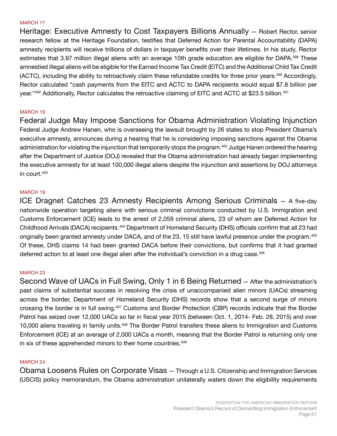#### MARCH 17

Heritage: Executive Amnesty to Cost Taxpayers Billions Annually — Robert Rector, senior research fellow at the Heritage Foundation, testifies that Deferred Action for Parental Accountability (DAPA) amnesty recipients will receive trillions of dollars in taxpayer benefits over their lifetimes. In his study, Rector estimates that 3.97 million illegal aliens with an average 10th grade education are eligible for DAPA.<sup>398</sup> These amnestied illegal aliens will be eligible for the Earned Income Tax Credit (EITC) and the Additional Child Tax Credit (ACTC), including the ability to retroactively claim these refundable credits for three prior years.399 Accordingly, Rector calculated "cash payments from the EITC and ACTC to DAPA recipients would equal \$7.8 billion per year."400 Additionally, Rector calculates the retroactive claiming of EITC and ACTC at \$23.5 billion.<sup>401</sup>

### MARCH 19

Federal Judge May Impose Sanctions for Obama Administration Violating Injunction Federal Judge Andrew Hanen, who is overseeing the lawsuit brought by 26 states to stop President Obama's executive amnesty, announces during a hearing that he is considering imposing sanctions against the Obama administration for violating the injunction that temporarily stops the program.<sup>402</sup> Judge Hanen ordered the hearing after the Department of Justice (DOJ) revealed that the Obama administration had already began implementing the executive amnesty for at least 100,000 illegal aliens despite the injunction and assertions by DOJ attorneys in court.403

#### MARCH 19

ICE Dragnet Catches 23 Amnesty Recipients Among Serious Criminals — A five-day nationwide operation targeting aliens with serious criminal convictions conducted by U.S. Immigration and Customs Enforcement (ICE) leads to the arrest of 2,059 criminal aliens, 23 of whom are Deferred Action for Childhood Arrivals (DACA) recipients.<sup>404</sup> Department of Homeland Security (DHS) officials confirm that all 23 had originally been granted amnesty under DACA, and of the 23, 15 still have lawful presence under the program.405 Of these, DHS claims 14 had been granted DACA before their convictions, but confirms that it had granted deferred action to at least one illegal alien after the individual's conviction in a drug case.<sup>406</sup>

#### MARCH 23

Second Wave of UACs in Full Swing, Only 1 in 6 Being Returned — After the administration's past claims of substantial success in resolving the crisis of unaccompanied alien minors (UACs) streaming across the border, Department of Homeland Security (DHS) records show that a second surge of minors crossing the border is in full swing.<sup>407</sup> Customs and Border Protection (CBP) records indicate that the Border Patrol has seized over 12,000 UACs so far in fiscal year 2015 (between Oct. 1, 2014- Feb. 28, 2015) and over 10,000 aliens traveling in family units.<sup>408</sup> The Border Patrol transfers these aliens to Immigration and Customs Enforcement (ICE) at an average of 2,000 UACs a month, meaning that the Border Patrol is returning only one in six of these apprehended minors to their home countries.<sup>409</sup>

#### MARCH 24

Obama Loosens Rules on Corporate Visas — Through a U.S. Citizenship and Immigration Services (USCIS) policy memorandum, the Obama administration unilaterally waters down the eligibility requirements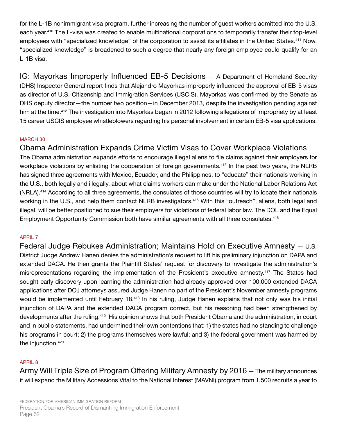for the L-1B nonimmigrant visa program, further increasing the number of guest workers admitted into the U.S. each year.<sup>410</sup> The L-visa was created to enable multinational corporations to temporarily transfer their top-level employees with "specialized knowledge" of the corporation to assist its affiliates in the United States.<sup>411</sup> Now, "specialized knowledge" is broadened to such a degree that nearly any foreign employee could qualify for an L-1B visa.

IG: Mayorkas Improperly Influenced EB-5 Decisions — A Department of Homeland Security (DHS) Inspector General report finds that Alejandro Mayorkas improperly influenced the approval of EB-5 visas as director of U.S. Citizenship and Immigration Services (USCIS). Mayorkas was confirmed by the Senate as DHS deputy director—the number two position—in December 2013, despite the investigation pending against him at the time.<sup>412</sup> The investigation into Mayorkas began in 2012 following allegations of impropriety by at least 15 career USCIS employee whistleblowers regarding his personal involvement in certain EB-5 visa applications.

# MARCH 30

Obama Administration Expands Crime Victim Visas to Cover Workplace Violations The Obama administration expands efforts to encourage illegal aliens to file claims against their employers for workplace violations by enlisting the cooperation of foreign governments.<sup>413</sup> In the past two years, the NLRB has signed three agreements with Mexico, Ecuador, and the Philippines, to "educate" their nationals working in the U.S., both legally and illegally, about what claims workers can make under the National Labor Relations Act (NRLA).<sup>414</sup> According to all three agreements, the consulates of those countries will try to locate their nationals working in the U.S., and help them contact NLRB investigators.<sup>415</sup> With this "outreach", aliens, both legal and illegal, will be better positioned to sue their employers for violations of federal labor law. The DOL and the Equal Employment Opportunity Commission both have similar agreements with all three consulates.<sup>416</sup>

# APRIL 7

Federal Judge Rebukes Administration; Maintains Hold on Executive Amnesty — U.S. District Judge Andrew Hanen denies the administration's request to lift his preliminary injunction on DAPA and extended DACA. He then grants the Plaintiff States' request for discovery to investigate the administration's misrepresentations regarding the implementation of the President's executive amnesty.<sup>417</sup> The States had sought early discovery upon learning the administration had already approved over 100,000 extended DACA applications after DOJ attorneys assured Judge Hanen no part of the President's November amnesty programs would be implemented until February 18.<sup>418</sup> In his ruling, Judge Hanen explains that not only was his initial injunction of DAPA and the extended DACA program correct, but his reasoning had been strengthened by developments after the ruling.<sup>419</sup> His opinion shows that both President Obama and the administration, in court and in public statements, had undermined their own contentions that: 1) the states had no standing to challenge his programs in court; 2) the programs themselves were lawful; and 3) the federal government was harmed by the injunction.<sup>420</sup>

# APRIL 8

Army Will Triple Size of Program Offering Military Amnesty by 2016 — The military announces it will expand the Military Accessions Vital to the National Interest (MAVNI) program from 1,500 recruits a year to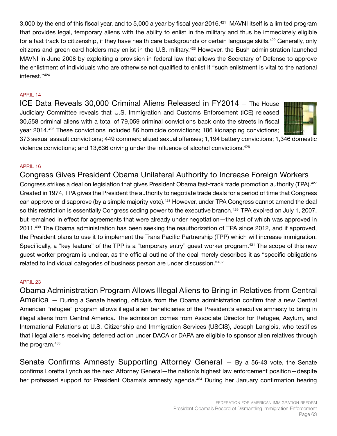3,000 by the end of this fiscal year, and to 5,000 a year by fiscal year 2016.<sup>421</sup> MAVNI itself is a limited program that provides legal, temporary aliens with the ability to enlist in the military and thus be immediately eligible for a fast track to citizenship, if they have health care backgrounds or certain language skills.<sup>422</sup> Generally, only citizens and green card holders may enlist in the U.S. military.423 However, the Bush administration launched MAVNI in June 2008 by exploiting a provision in federal law that allows the Secretary of Defense to approve the enlistment of individuals who are otherwise not qualified to enlist if "such enlistment is vital to the national interest."<sup>424</sup>

# APRIL 14

ICE Data Reveals 30,000 Criminal Aliens Released in FY2014 — The House Judiciary Committee reveals that U.S. Immigration and Customs Enforcement (ICE) released 30,558 criminal aliens with a total of 79,059 criminal convictions back onto the streets in fiscal year 2014.<sup>425</sup> These convictions included 86 homicide convictions; 186 kidnapping convictions;



373 sexual assault convictions; 449 commercialized sexual offenses; 1,194 battery convictions; 1,346 domestic violence convictions; and 13,636 driving under the influence of alcohol convictions.<sup>426</sup>

# APRIL 16

Congress Gives President Obama Unilateral Authority to Increase Foreign Workers Congress strikes a deal on legislation that gives President Obama fast-track trade promotion authority (TPA).<sup>427</sup> Created in 1974, TPA gives the President the authority to negotiate trade deals for a period of time that Congress can approve or disapprove (by a simple majority vote).<sup>428</sup> However, under TPA Congress cannot amend the deal so this restriction is essentially Congress ceding power to the executive branch.<sup>429</sup> TPA expired on July 1, 2007, but remained in effect for agreements that were already under negotiation—the last of which was approved in 2011.430 The Obama administration has been seeking the reauthorization of TPA since 2012, and if approved, the President plans to use it to implement the Trans Pacific Partnership (TPP) which will increase immigration. Specifically, a "key feature" of the TPP is a "temporary entry" guest worker program.431 The scope of this new guest worker program is unclear, as the official outline of the deal merely describes it as "specific obligations related to individual categories of business person are under discussion."432

## APRIL 23

Obama Administration Program Allows Illegal Aliens to Bring in Relatives from Central America — During a Senate hearing, officials from the Obama administration confirm that a new Central American "refugee" program allows illegal alien beneficiaries of the President's executive amnesty to bring in illegal aliens from Central America. The admission comes from Associate Director for Refugee, Asylum, and International Relations at U.S. Citizenship and Immigration Services (USCIS), Joseph Langlois, who testifies that illegal aliens receiving deferred action under DACA or DAPA are eligible to sponsor alien relatives through the program.<sup>433</sup>

Senate Confirms Amnesty Supporting Attorney General — By a 56-43 vote, the Senate confirms Loretta Lynch as the next Attorney General—the nation's highest law enforcement position—despite her professed support for President Obama's amnesty agenda.<sup>434</sup> During her January confirmation hearing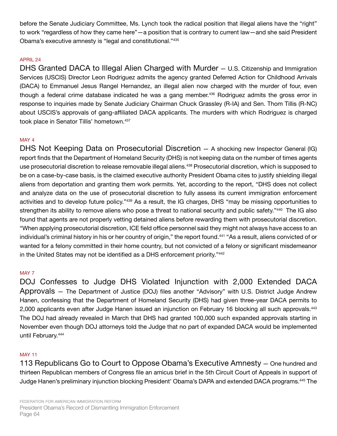before the Senate Judiciary Committee, Ms. Lynch took the radical position that illegal aliens have the "right" to work "regardless of how they came here"—a position that is contrary to current law—and she said President Obama's executive amnesty is "legal and constitutional."435

# APRIL 24

DHS Granted DACA to Illegal Alien Charged with Murder — U.S. Citizenship and Immigration Services (USCIS) Director Leon Rodriguez admits the agency granted Deferred Action for Childhood Arrivals (DACA) to Emmanuel Jesus Rangel Hernandez, an illegal alien now charged with the murder of four, even though a federal crime database indicated he was a gang member.<sup>436</sup> Rodriguez admits the gross error in response to inquiries made by Senate Judiciary Chairman Chuck Grassley (R-IA) and Sen. Thom Tillis (R-NC) about USCIS's approvals of gang-affiliated DACA applicants. The murders with which Rodriguez is charged took place in Senator Tillis' hometown.<sup>437</sup>

# MAY 4

DHS Not Keeping Data on Prosecutorial Discretion — A shocking new Inspector General (IG) report finds that the Department of Homeland Security (DHS) is not keeping data on the number of times agents use prosecutorial discretion to release removable illegal aliens.<sup>438</sup> Prosecutorial discretion, which is supposed to be on a case-by-case basis, is the claimed executive authority President Obama cites to justify shielding illegal aliens from deportation and granting them work permits. Yet, according to the report, "DHS does not collect and analyze data on the use of prosecutorial discretion to fully assess its current immigration enforcement activities and to develop future policy."439 As a result, the IG charges, DHS "may be missing opportunities to strengthen its ability to remove aliens who pose a threat to national security and public safety."<sup>440</sup> The IG also found that agents are not properly vetting detained aliens before rewarding them with prosecutorial discretion. "When applying prosecutorial discretion, ICE field office personnel said they might not always have access to an individual's criminal history in his or her country of origin," the report found.<sup>441</sup> "As a result, aliens convicted of or wanted for a felony committed in their home country, but not convicted of a felony or significant misdemeanor in the United States may not be identified as a DHS enforcement priority."<sup>442</sup>

# MAY 7

DOJ Confesses to Judge DHS Violated Injunction with 2,000 Extended DACA Approvals — The Department of Justice (DOJ) files another "Advisory" with U.S. District Judge Andrew Hanen, confessing that the Department of Homeland Security (DHS) had given three-year DACA permits to 2,000 applicants even after Judge Hanen issued an injunction on February 16 blocking all such approvals.<sup>443</sup> The DOJ had already revealed in March that DHS had granted 100,000 such expanded approvals starting in November even though DOJ attorneys told the Judge that no part of expanded DACA would be implemented until February.<sup>444</sup>

# MAY 11

113 Republicans Go to Court to Oppose Obama's Executive Amnesty — One hundred and thirteen Republican members of Congress file an amicus brief in the 5th Circuit Court of Appeals in support of Judge Hanen's preliminary injunction blocking President' Obama's DAPA and extended DACA programs.445 The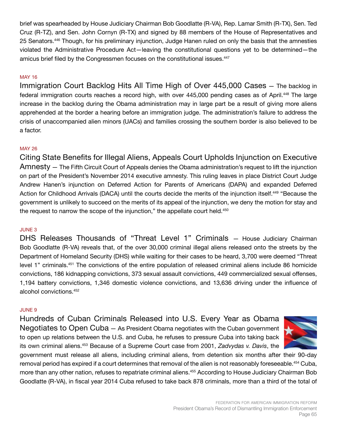brief was spearheaded by House Judiciary Chairman Bob Goodlatte (R-VA), Rep. Lamar Smith (R-TX), Sen. Ted Cruz (R-TZ), and Sen. John Cornyn (R-TX) and signed by 88 members of the House of Representatives and 25 Senators.<sup>446</sup> Though, for his preliminary injunction, Judge Hanen ruled on only the basis that the amnesties violated the Administrative Procedure Act—leaving the constitutional questions yet to be determined—the amicus brief filed by the Congressmen focuses on the constitutional issues.<sup>447</sup>

# MAY 16

Immigration Court Backlog Hits All Time High of Over 445,000 Cases — The backlog in federal immigration courts reaches a record high, with over 445,000 pending cases as of April.<sup>448</sup> The large increase in the backlog during the Obama administration may in large part be a result of giving more aliens apprehended at the border a hearing before an immigration judge. The administration's failure to address the crisis of unaccompanied alien minors (UACs) and families crossing the southern border is also believed to be a factor.

## MAY 26

Citing State Benefits for Illegal Aliens, Appeals Court Upholds Injunction on Executive Amnesty — The Fifth Circuit Court of Appeals denies the Obama administration's request to lift the injunction on part of the President's November 2014 executive amnesty. This ruling leaves in place District Court Judge Andrew Hanen's injunction on Deferred Action for Parents of Americans (DAPA) and expanded Deferred Action for Childhood Arrivals (DACA) until the courts decide the merits of the injunction itself.<sup>449</sup> "Because the government is unlikely to succeed on the merits of its appeal of the injunction, we deny the motion for stay and the request to narrow the scope of the injunction," the appellate court held.<sup>450</sup>

## JUNE 3

DHS Releases Thousands of "Threat Level 1" Criminals — House Judiciary Chairman Bob Goodlatte (R-VA) reveals that, of the over 30,000 criminal illegal aliens released onto the streets by the Department of Homeland Security (DHS) while waiting for their cases to be heard, 3,700 were deemed "Threat level 1" criminals.451 The convictions of the entire population of released criminal aliens include 86 homicide convictions, 186 kidnapping convictions, 373 sexual assault convictions, 449 commercialized sexual offenses, 1,194 battery convictions, 1,346 domestic violence convictions, and 13,636 driving under the influence of alcohol convictions.452

#### JUNE 9

Hundreds of Cuban Criminals Released into U.S. Every Year as Obama Negotiates to Open Cuba — As President Obama negotiates with the Cuban government to open up relations between the U.S. and Cuba, he refuses to pressure Cuba into taking back its own criminal aliens.453 Because of a Supreme Court case from 2001, *Zadvydas v. Davis*, the



government must release all aliens, including criminal aliens, from detention six months after their 90-day removal period has expired if a court determines that removal of the alien is not reasonably foreseeable.<sup>454</sup> Cuba, more than any other nation, refuses to repatriate criminal aliens.<sup>455</sup> According to House Judiciary Chairman Bob Goodlatte (R-VA), in fiscal year 2014 Cuba refused to take back 878 criminals, more than a third of the total of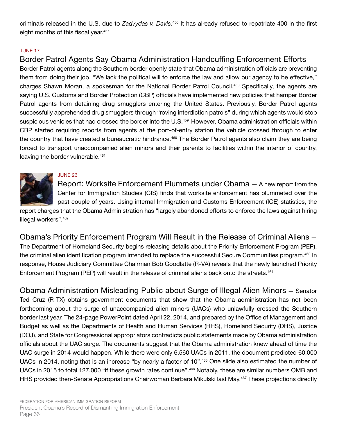criminals released in the U.S. due to *Zadvydas v. Davis*. 456 It has already refused to repatriate 400 in the first eight months of this fiscal year.<sup>457</sup>

# JUNE 17

# Border Patrol Agents Say Obama Administration Handcuffing Enforcement Efforts

Border Patrol agents along the Southern border openly state that Obama administration officials are preventing them from doing their job. "We lack the political will to enforce the law and allow our agency to be effective," charges Shawn Moran, a spokesman for the National Border Patrol Council.458 Specifically, the agents are saying U.S. Customs and Border Protection (CBP) officials have implemented new policies that hamper Border Patrol agents from detaining drug smugglers entering the United States. Previously, Border Patrol agents successfully apprehended drug smugglers through "roving interdiction patrols" during which agents would stop suspicious vehicles that had crossed the border into the U.S.<sup>459</sup> However, Obama administration officials within CBP started requiring reports from agents at the port-of-entry station the vehicle crossed through to enter the country that have created a bureaucratic hindrance.<sup>460</sup> The Border Patrol agents also claim they are being forced to transport unaccompanied alien minors and their parents to facilities within the interior of country, leaving the border vulnerable.<sup>461</sup>

# JUNE 23

Report: Worksite Enforcement Plummets under Obama — A new report from the Center for Immigration Studies (CIS) finds that worksite enforcement has plummeted over the past couple of years. Using internal Immigration and Customs Enforcement (ICE) statistics, the

report charges that the Obama Administration has "largely abandoned efforts to enforce the laws against hiring illegal workers".<sup>462</sup>

Obama's Priority Enforcement Program Will Result in the Release of Criminal Aliens — The Department of Homeland Security begins releasing details about the Priority Enforcement Program (PEP), the criminal alien identification program intended to replace the successful Secure Communities program.463 In response, House Judiciary Committee Chairman Bob Goodlatte (R-VA) reveals that the newly launched Priority Enforcement Program (PEP) will result in the release of criminal aliens back onto the streets.<sup>464</sup>

Obama Administration Misleading Public about Surge of Illegal Alien Minors — Senator Ted Cruz (R-TX) obtains government documents that show that the Obama administration has not been forthcoming about the surge of unaccompanied alien minors (UACs) who unlawfully crossed the Southern border last year. The 24-page PowerPoint dated April 22, 2014, and prepared by the Office of Management and Budget as well as the Departments of Health and Human Services (HHS), Homeland Security (DHS), Justice (DOJ), and State for Congressional appropriators contradicts public statements made by Obama administration officials about the UAC surge. The documents suggest that the Obama administration knew ahead of time the UAC surge in 2014 would happen. While there were only 6,560 UACs in 2011, the document predicted 60,000 UACs in 2014, noting that is an increase "by nearly a factor of 10".465 One slide also estimated the number of UACs in 2015 to total 127,000 "if these growth rates continue".<sup>466</sup> Notably, these are similar numbers OMB and HHS provided then-Senate Appropriations Chairwoman Barbara Mikulski last May.<sup>467</sup> These projections directly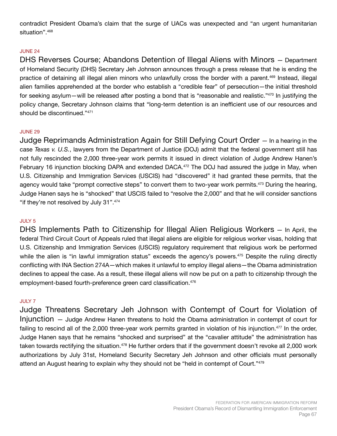contradict President Obama's claim that the surge of UACs was unexpected and "an urgent humanitarian situation".<sup>468</sup>

## JUNE 24

DHS Reverses Course; Abandons Detention of Illegal Aliens with Minors — Department of Homeland Security (DHS) Secretary Jeh Johnson announces through a press release that he is ending the practice of detaining all illegal alien minors who unlawfully cross the border with a parent.<sup>469</sup> Instead, illegal alien families apprehended at the border who establish a "credible fear" of persecution—the initial threshold for seeking asylum—will be released after posting a bond that is "reasonable and realistic."<sup>470</sup> In justifying the policy change, Secretary Johnson claims that "long-term detention is an inefficient use of our resources and should be discontinued."471

#### JUNE 29

Judge Reprimands Administration Again for Still Defying Court Order — In a hearing in the case *Texas v. U.S.*, lawyers from the Department of Justice (DOJ) admit that the federal government still has not fully rescinded the 2,000 three-year work permits it issued in direct violation of Judge Andrew Hanen's February 16 injunction blocking DAPA and extended DACA.<sup>472</sup> The DOJ had assured the judge in May, when U.S. Citizenship and Immigration Services (USCIS) had "discovered" it had granted these permits, that the agency would take "prompt corrective steps" to convert them to two-year work permits.<sup>473</sup> During the hearing, Judge Hanen says he is "shocked" that USCIS failed to "resolve the 2,000" and that he will consider sanctions "if they're not resolved by July 31".474

## JULY 5

DHS Implements Path to Citizenship for Illegal Alien Religious Workers — In April, the federal Third Circuit Court of Appeals ruled that illegal aliens are eligible for religious worker visas, holding that U.S. Citizenship and Immigration Services (USCIS) regulatory requirement that religious work be performed while the alien is "in lawful immigration status" exceeds the agency's powers.<sup>475</sup> Despite the ruling directly conflicting with INA Section 274A—which makes it unlawful to employ illegal aliens—the Obama administration declines to appeal the case. As a result, these illegal aliens will now be put on a path to citizenship through the employment-based fourth-preference green card classification.<sup>476</sup>

#### JULY 7

Judge Threatens Secretary Jeh Johnson with Contempt of Court for Violation of Injunction — Judge Andrew Hanen threatens to hold the Obama administration in contempt of court for failing to rescind all of the 2,000 three-year work permits granted in violation of his injunction.<sup>477</sup> In the order, Judge Hanen says that he remains "shocked and surprised" at the "cavalier attitude" the administration has taken towards rectifying the situation.<sup>478</sup> He further orders that if the government doesn't revoke all 2,000 work authorizations by July 31st, Homeland Security Secretary Jeh Johnson and other officials must personally attend an August hearing to explain why they should not be "held in contempt of Court."479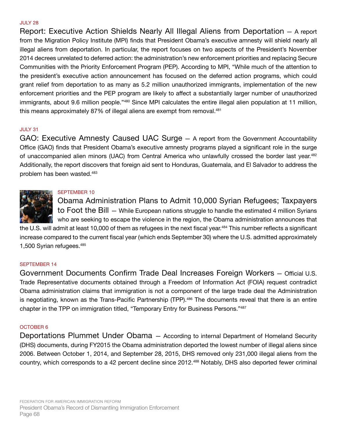#### JULY 28

Report: Executive Action Shields Nearly All Illegal Aliens from Deportation — A report from the Migration Policy Institute (MPI) finds that President Obama's executive amnesty will shield nearly all illegal aliens from deportation. In particular, the report focuses on two aspects of the President's November 2014 decrees unrelated to deferred action: the administration's new enforcement priorities and replacing Secure Communities with the Priority Enforcement Program (PEP). According to MPI, "While much of the attention to the president's executive action announcement has focused on the deferred action programs, which could grant relief from deportation to as many as 5.2 million unauthorized immigrants, implementation of the new enforcement priorities and the PEP program are likely to affect a substantially larger number of unauthorized immigrants, about 9.6 million people."<sup>480</sup> Since MPI calculates the entire illegal alien population at 11 million, this means approximately 87% of illegal aliens are exempt from removal.<sup>481</sup>

## JULY 31

GAO: Executive Amnesty Caused UAC Surge — A report from the Government Accountability Office (GAO) finds that President Obama's executive amnesty programs played a significant role in the surge of unaccompanied alien minors (UAC) from Central America who unlawfully crossed the border last year.<sup>482</sup> Additionally, the report discovers that foreign aid sent to Honduras, Guatemala, and El Salvador to address the problem has been wasted.483

# SEPTEMBER 10

Obama Administration Plans to Admit 10,000 Syrian Refugees; Taxpayers to Foot the Bill — While European nations struggle to handle the estimated 4 million Syrians who are seeking to escape the violence in the region, the Obama administration announces that

the U.S. will admit at least 10,000 of them as refugees in the next fiscal year.<sup>484</sup> This number reflects a significant increase compared to the current fiscal year (which ends September 30) where the U.S. admitted approximately 1,500 Syrian refugees.<sup>485</sup>

## SEPTEMBER 14

Government Documents Confirm Trade Deal Increases Foreign Workers — Official U.S. Trade Representative documents obtained through a Freedom of Information Act (FOIA) request contradict Obama administration claims that immigration is not a component of the large trade deal the Administration is negotiating, known as the Trans-Pacific Partnership (TPP).<sup>486</sup> The documents reveal that there is an entire chapter in the TPP on immigration titled, "Temporary Entry for Business Persons."<sup>487</sup>

## OCTOBER 6

Deportations Plummet Under Obama — According to internal Department of Homeland Security (DHS) documents, during FY2015 the Obama administration deported the lowest number of illegal aliens since 2006. Between October 1, 2014, and September 28, 2015, DHS removed only 231,000 illegal aliens from the country, which corresponds to a 42 percent decline since 2012.488 Notably, DHS also deported fewer criminal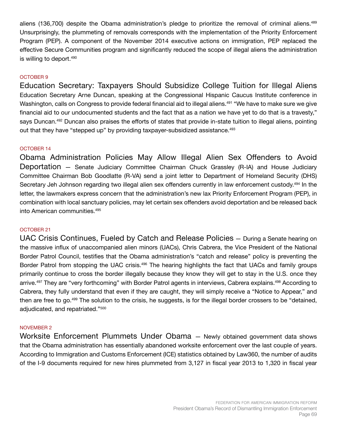aliens (136,700) despite the Obama administration's pledge to prioritize the removal of criminal aliens.<sup>489</sup> Unsurprisingly, the plummeting of removals corresponds with the implementation of the Priority Enforcement Program (PEP). A component of the November 2014 executive actions on immigration, PEP replaced the effective Secure Communities program and significantly reduced the scope of illegal aliens the administration is willing to deport.<sup>490</sup>

#### OCTOBER 9

Education Secretary: Taxpayers Should Subsidize College Tuition for Illegal Aliens Education Secretary Arne Duncan, speaking at the Congressional Hispanic Caucus Institute conference in Washington, calls on Congress to provide federal financial aid to illegal aliens.<sup>491</sup> "We have to make sure we give financial aid to our undocumented students and the fact that as a nation we have yet to do that is a travesty," says Duncan.<sup>492</sup> Duncan also praises the efforts of states that provide in-state tuition to illegal aliens, pointing out that they have "stepped up" by providing taxpayer-subsidized assistance.<sup>493</sup>

#### OCTOBER 14

Obama Administration Policies May Allow Illegal Alien Sex Offenders to Avoid Deportation — Senate Judiciary Committee Chairman Chuck Grassley (R-IA) and House Judiciary Committee Chairman Bob Goodlatte (R-VA) send a joint letter to Department of Homeland Security (DHS) Secretary Jeh Johnson regarding two illegal alien sex offenders currently in law enforcement custody.<sup>494</sup> In the letter, the lawmakers express concern that the administration's new lax Priority Enforcement Program (PEP), in combination with local sanctuary policies, may let certain sex offenders avoid deportation and be released back into American communities.495

#### OCTOBER 21

UAC Crisis Continues, Fueled by Catch and Release Policies — During a Senate hearing on the massive influx of unaccompanied alien minors (UACs), Chris Cabrera, the Vice President of the National Border Patrol Council, testifies that the Obama administration's "catch and release" policy is preventing the Border Patrol from stopping the UAC crisis.<sup>496</sup> The hearing highlights the fact that UACs and family groups primarily continue to cross the border illegally because they know they will get to stay in the U.S. once they arrive.<sup>497</sup> They are "very forthcoming" with Border Patrol agents in interviews, Cabrera explains.<sup>498</sup> According to Cabrera, they fully understand that even if they are caught, they will simply receive a "Notice to Appear," and then are free to go.<sup>499</sup> The solution to the crisis, he suggests, is for the illegal border crossers to be "detained, adjudicated, and repatriated."500

#### NOVEMBER 2

Worksite Enforcement Plummets Under Obama — Newly obtained government data shows that the Obama administration has essentially abandoned worksite enforcement over the last couple of years. According to Immigration and Customs Enforcement (ICE) statistics obtained by Law360, the number of audits of the I-9 documents required for new hires plummeted from 3,127 in fiscal year 2013 to 1,320 in fiscal year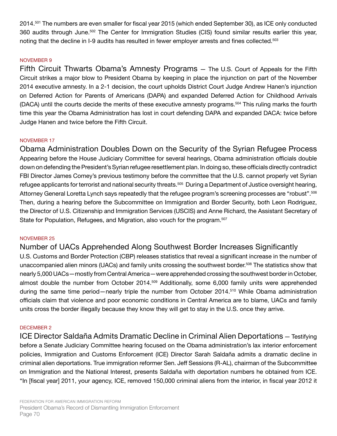2014.501 The numbers are even smaller for fiscal year 2015 (which ended September 30), as ICE only conducted 360 audits through June.<sup>502</sup> The Center for Immigration Studies (CIS) found similar results earlier this year, noting that the decline in I-9 audits has resulted in fewer employer arrests and fines collected.<sup>503</sup>

#### NOVEMBER 9

Fifth Circuit Thwarts Obama's Amnesty Programs — The U.S. Court of Appeals for the Fifth Circuit strikes a major blow to President Obama by keeping in place the injunction on part of the November 2014 executive amnesty. In a 2-1 decision, the court upholds District Court Judge Andrew Hanen's injunction on Deferred Action for Parents of Americans (DAPA) and expanded Deferred Action for Childhood Arrivals (DACA) until the courts decide the merits of these executive amnesty programs.504 This ruling marks the fourth time this year the Obama Administration has lost in court defending DAPA and expanded DACA: twice before Judge Hanen and twice before the Fifth Circuit.

#### NOVEMBER 17

Obama Administration Doubles Down on the Security of the Syrian Refugee Process Appearing before the House Judiciary Committee for several hearings, Obama administration officials double down on defending the President's Syrian refugee resettlement plan. In doing so, these officials directly contradict FBI Director James Comey's previous testimony before the committee that the U.S. cannot properly vet Syrian refugee applicants for terrorist and national security threats.<sup>505</sup> During a Department of Justice oversight hearing, Attorney General Loretta Lynch says repeatedly that the refugee program's screening processes are "robust".<sup>506</sup> Then, during a hearing before the Subcommittee on Immigration and Border Security, both Leon Rodriguez, the Director of U.S. Citizenship and Immigration Services (USCIS) and Anne Richard, the Assistant Secretary of State for Population, Refugees, and Migration, also vouch for the program.<sup>507</sup>

#### NOVEMBER 25

### Number of UACs Apprehended Along Southwest Border Increases Significantly

U.S. Customs and Border Protection (CBP) releases statistics that reveal a significant increase in the number of unaccompanied alien minors (UACs) and family units crossing the southwest border.<sup>508</sup> The statistics show that nearly 5,000 UACs—mostly from Central America—were apprehended crossing the southwest border in October, almost double the number from October 2014.<sup>509</sup> Additionally, some 6,000 family units were apprehended during the same time period—nearly triple the number from October 2014.<sup>510</sup> While Obama administration officials claim that violence and poor economic conditions in Central America are to blame, UACs and family units cross the border illegally because they know they will get to stay in the U.S. once they arrive.

#### DECEMBER 2

ICE Director Saldaña Admits Dramatic Decline in Criminal Alien Deportations — Testifying before a Senate Judiciary Committee hearing focused on the Obama administration's lax interior enforcement policies, Immigration and Customs Enforcement (ICE) Director Sarah Saldaña admits a dramatic decline in criminal alien deportations. True immigration reformer Sen. Jeff Sessions (R-AL), chairman of the Subcommittee on Immigration and the National Interest, presents Saldaña with deportation numbers he obtained from ICE. "In [fiscal year] 2011, your agency, ICE, removed 150,000 criminal aliens from the interior, in fiscal year 2012 it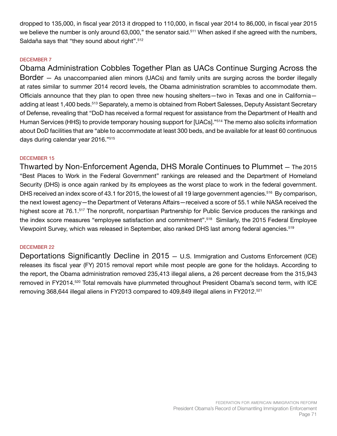dropped to 135,000, in fiscal year 2013 it dropped to 110,000, in fiscal year 2014 to 86,000, in fiscal year 2015 we believe the number is only around 63,000," the senator said.<sup>511</sup> When asked if she agreed with the numbers, Saldaña says that "they sound about right".512

#### DECEMBER 7

Obama Administration Cobbles Together Plan as UACs Continue Surging Across the Border — As unaccompanied alien minors (UACs) and family units are surging across the border illegally at rates similar to summer 2014 record levels, the Obama administration scrambles to accommodate them. Officials announce that they plan to open three new housing shelters—two in Texas and one in California adding at least 1,400 beds.<sup>513</sup> Separately, a memo is obtained from Robert Salesses, Deputy Assistant Secretary of Defense, revealing that "DoD has received a formal request for assistance from the Department of Health and Human Services (HHS) to provide temporary housing support for [UACs]."514 The memo also solicits information about DoD facilities that are "able to accommodate at least 300 beds, and be available for at least 60 continuous days during calendar year 2016."515

#### DECEMBER 15

Thwarted by Non-Enforcement Agenda, DHS Morale Continues to Plummet — The 2015 "Best Places to Work in the Federal Government" rankings are released and the Department of Homeland Security (DHS) is once again ranked by its employees as the worst place to work in the federal government. DHS received an index score of 43.1 for 2015, the lowest of all 19 large government agencies.<sup>516</sup> By comparison, the next lowest agency—the Department of Veterans Affairs—received a score of 55.1 while NASA received the highest score at 76.1.<sup>517</sup> The nonprofit, nonpartisan Partnership for Public Service produces the rankings and the index score measures "employee satisfaction and commitment".<sup>518</sup> Similarly, the 2015 Federal Employee Viewpoint Survey, which was released in September, also ranked DHS last among federal agencies.519

#### DECEMBER 22

Deportations Significantly Decline in 2015 — U.S. Immigration and Customs Enforcement (ICE) releases its fiscal year (FY) 2015 removal report while most people are gone for the holidays. According to the report, the Obama administration removed 235,413 illegal aliens, a 26 percent decrease from the 315,943 removed in FY2014.520 Total removals have plummeted throughout President Obama's second term, with ICE removing 368,644 illegal aliens in FY2013 compared to 409,849 illegal aliens in FY2012.521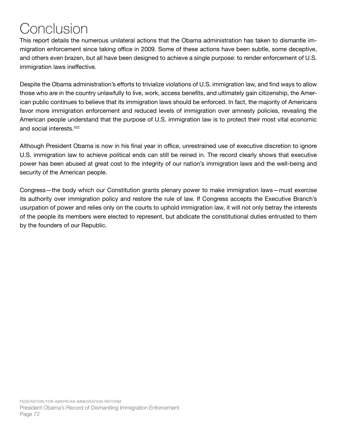## Conclusion

This report details the numerous unilateral actions that the Obama administration has taken to dismantle immigration enforcement since taking office in 2009. Some of these actions have been subtle, some deceptive, and others even brazen, but all have been designed to achieve a single purpose: to render enforcement of U.S. immigration laws ineffective.

Despite the Obama administration's efforts to trivialize violations of U.S. immigration law, and find ways to allow those who are in the country unlawfully to live, work, access benefits, and ultimately gain citizenship, the American public continues to believe that its immigration laws should be enforced. In fact, the majority of Americans favor more immigration enforcement and reduced levels of immigration over amnesty policies, revealing the American people understand that the purpose of U.S. immigration law is to protect their most vital economic and social interests.522

Although President Obama is now in his final year in office, unrestrained use of executive discretion to ignore U.S. immigration law to achieve political ends can still be reined in. The record clearly shows that executive power has been abused at great cost to the integrity of our nation's immigration laws and the well-being and security of the American people.

Congress—the body which our Constitution grants plenary power to make immigration laws—must exercise its authority over immigration policy and restore the rule of law. If Congress accepts the Executive Branch's usurpation of power and relies only on the courts to uphold immigration law, it will not only betray the interests of the people its members were elected to represent, but abdicate the constitutional duties entrusted to them by the founders of our Republic.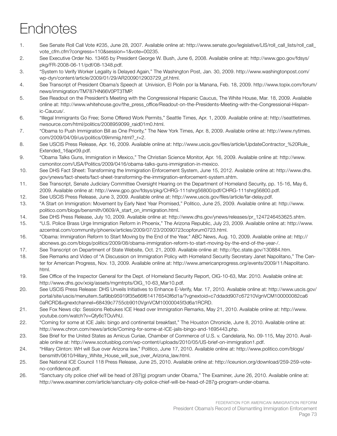# Endnotes

- 1. See Senate Roll Call Vote #235, June 28, 2007. Available online at: http://www.senate.gov/legislative/LIS/roll\_call\_lists/roll\_call\_ vote\_cfm.cfm?congress=110&session=1&vote=00235.
- 2. See Executive Order No. 13465 by President George W. Bush, June 6, 2008. Available online at: http://www.gpo.gov/fdsys/ pkg/FR-2008-06-11/pdf/08-1348.pdf.
- 3. "System to Verify Worker Legality is Delayed Again," The Washington Post, Jan. 30, 2009. http://www.washingtonpost.com/ wp-dyn/content/article/2009/01/29/AR2009012903729\_pf.html.
- 4. See Transcript of President Obama's Speech at Univision, El Piolin por la Manana, Feb. 18, 2009. http://www.topix.com/forum/ news/immigration/TM787HN66V0PT3TMP.
- 5. See Readout on the President's Meeting with the Congressional Hispanic Caucus, The White House, Mar. 18, 2009. Available online at: http://www.whitehouse.gov/the\_press\_office/Readout-on-the-Presidents-Meeting-with-the-Congressional-Hispanic-Caucus/.
- 6. "Illegal Immigrants Go Free; Some Offered Work Permits," Seattle Times, Apr. 1, 2009. Available online at: http://seattletimes. nwsource.com/html/politics/2008959099\_raid01m0.html.
- 7. "Obama to Push Immigration Bill as One Priority," The New York Times, Apr. 8, 2009. Available online at: http://www.nytimes. com/2009/04/09/us/politics/09immig.html?\_r=2.
- 8. See USCIS Press Release, Apr. 16, 2009. Available online at: http://www.uscis.gov/files/article/UpdateContractor %20Rule Extended\_16apr09.pdf.
- 9. "Obama Talks Guns, Immigration in Mexico," The Christian Science Monitor, Apr. 16, 2009. Available online at: http://www. csmonitor.com/USA/Politics/2009/0416/obama-talks-guns-immigration-in-mexico.
- 10. See DHS Fact Sheet: Transforming the Immigration Enforcement System, June 15, 2012. Available online at: http://www.dhs. gov/ynews/fact-sheets/fact-sheet-transforming-the-immigration-enforcement-system.shtm.
- 11. See Transcript, Senate Judiciary Committee Oversight Hearing on the Department of Homeland Security, pp. 15-16, May 6, 2009. Available online at: http://www.gpo.gov/fdsys/pkg/CHRG-111shrg56800/pdf/CHRG-111shrg56800.pdf.
- 12. See USCIS Press Release, June 3, 2009. Available online at: http://www.uscis.gov/files/article/far-delay.pdf.
- 13. "A Start on Immigration: Movement by Early Next Year Promised," Politico, June 25, 2009. Available online at: http://www. politico.com/blogs/bensmith/0609/A\_start\_on\_immigration.html.
- 14. See DHS Press Release, July 10, 2009. Available online at: http://www.dhs.gov/ynews/releases/pr\_1247246453625.shtm.
- 15. "U.S. Police Brass Urge Immigration Reform in Phoenix," The Arizona Republic, July 23, 2009. Available online at: http://www. azcentral.com/community/phoenix/articles/2009/07/23/20090723copforum0723.html.
- 16. "Obama: Immigration Reform to Start Moving by the End of the Year," ABC News, Aug. 10, 2009. Available online at: http:// abcnews.go.com/blogs/politics/2009/08/obama-immigration-reform-to-start-moving-by-the-end-of-the-year-/.
- 17. See Transcript on Department of State Website, Oct. 21, 2009. Available online at: http://fpc.state.gov/130884.htm.
- 18. See Remarks and Video of "A Discussion on Immigration Policy with Homeland Security Secretary Janet Napolitano," The Center for American Progress, Nov. 13, 2009. Available online at: http://www.americanprogress.org/events/2009/11/Napolitano. html.
- 19. See Office of the Inspector General for the Dept. of Homeland Security Report, OIG-10-63, Mar. 2010. Available online at: http://www.dhs.gov/xoig/assets/mgmtrpts/OIG\_10-63\_Mar10.pdf.
- 20. See USCIS Press Release: DHS Unveils Initiatives to Enhance E-Verify, Mar. 17, 2010. Available online at: http://www.uscis.gov/ portal/site/uscis/menuitem.5af9bb95919f35e66f614176543f6d1a/?vgnextoid=c7ddadd907c67210VgnVCM100000082ca6 0aRCRD&vgnextchannel=68439c7755cb9010VgnVCM10000045f3d6a1RCRD.
- 21. See Fox News clip: Sessions Rebukes ICE Head over Immigration Remarks, May 21, 2010. Available online at: http://www. youtube.com/watch?v=Qfy6cTOuVhU.
- 22. "Coming for some at ICE Jails: bingo and continental breakfast," The Houston Chronicle, June 8, 2010. Available online at: http://www.chron.com/news/article/Coming-for-some-at-ICE-jails-bingo-and-1695443.php.
- 23. See Brief for the United States as Amicus Curiae, Chamber of Commerce of U.S. v. Candelaria, No. 09-115, May 2010. Available online at: http://www.scotusblog.com/wp-content/uploads/2010/05/US-brief-on-immigration1.pdf.
- 24. "Hillary Clinton: WH will Sue over Arizona law," Politico, June 17, 2010. Available online at: http://www.politico.com/blogs/ bensmith/0610/Hillary White House will sue over Arizona law.html.
- 25. See National ICE Council 118 Press Release, June 25, 2010. Available online at: http://iceunion.org/download/259-259-voteno-confidence.pdf.
- 26. "Sanctuary city police chief will be head of 287(g) program under Obama," The Examiner, June 26, 2010. Available online at: http://www.examiner.com/article/sanctuary-city-police-chief-will-be-head-of-287g-program-under-obama.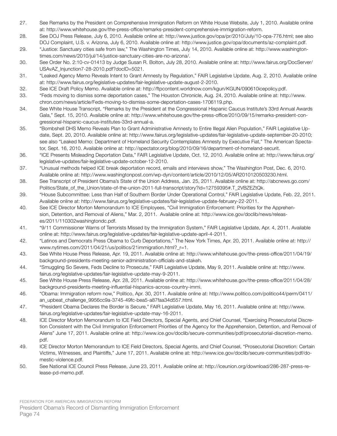- 27. See Remarks by the President on Comprehensive Immigration Reform on White House Website, July 1, 2010. Available online at: http://www.whitehouse.gov/the-press-office/remarks-president-comprehensive-immigration-reform.
- 28. See DOJ Press Release, July 6, 2010. Available online at: http://www.justice.gov/opa/pr/2010/July/10-opa-776.html; see also DOJ Complaint, U.S. v. Arizona, July 6, 2010. Available online at: http://www.justice.gov/opa/documents/az-complaint.pdf.
- 29. "Justice: Sanctuary cities safe from law," The Washington Times, July 14, 2010. Available online at: http://www.washingtontimes.com/news/2010/jul/14/justice-sanctuary-cities-are-no-arizona/.
- 30. See Order No. 2:10-cv-01413 by Judge Susan R. Bolton, July 28, 2010. Available online at: http://www.fairus.org/DocServer/ USAvAZ\_Injunction7-28-2010.pdf?docID=5021.
- 31. "Leaked Agency Memo Reveals Intent to Grant Amnesty by Regulation," FAIR Legislative Update, Aug. 2, 2010. Available online at: http://www.fairus.org/legislative-updates/fair-legislative-update-august-2-2010.
- 32. See ICE Draft Policy Memo. Available online at: http://ftpcontent.worldnow.com/kgun/KGUN/090610icepolicy.pdf.
- 33. "Feds moving to dismiss some deportation cases," The Houston Chronicle, Aug. 24, 2010. Available online at: http://www. chron.com/news/article/Feds-moving-to-dismiss-some-deportation-cases-1706119.php.
- 34. See White House Transcript, "Remarks by the President at the Congressional Hispanic Caucus Institute's 33rd Annual Awards Gala," Sept. 15, 2010. Available online at: http://www.whitehouse.gov/the-press-office/2010/09/15/remarks-president-congressional-hispanic-caucus-institutes-33rd-annual-a.
- 35. "Bombshell DHS Memo Reveals Plan to Grant Administrative Amnesty to Entire Illegal Alien Population," FAIR Legislative Update, Sept. 20, 2010. Available online at: http://www.fairus.org/legislative-updates/fair-legislative-update-september-20-2010; see also "Leaked Memo: Department of Homeland Security Contemplates Amnesty by Executive Fiat," The American Spectator, Sept. 16, 2010. Available online at: http://spectator.org/blog/2010/09/16/department-of-homeland-securit.
- 36. "ICE Presents Misleading Deportation Data," FAIR Legislative Update, Oct. 12, 2010. Available online at: http://www.fairus.org/ legislative-updates/fair-legislative-update-october-12-2010.
- 37. "Unusual methods helped ICE break deportation record, emails and interviews show," The Washington Post, Dec. 6, 2010. Available online at: http://www.washingtonpost.com/wp-dyn/content/article/2010/12/05/AR2010120503230.html.
- 38. See Transcript of President Obama's State of the Union Address, Jan. 25, 2011. Available online at: http://abcnews.go.com/ Politics/State\_of\_the\_Union/state-of-the-union-2011-full-transcript/story?id=12759395#.T\_2VBZEZtQk.
- 39. "House Subcommittee: Less than Half of Southern Border Under Operational Control," FAIR Legislative Update, Feb. 22, 2011. Available online at: http://www.fairus.org/legislative-updates/fair-legislative-update-february-22-2011.
- 40. See ICE Director Morton Memorandum to ICE Employees, "Civil Immigration Enforcement: Priorities for the Apprehension, Detention, and Removal of Aliens," Mar. 2, 2011. Available online at: http://www.ice.gov/doclib/news/releases/2011/110302washingtondc.pdf.
- 41. "9/11 Commissioner Warns of Terrorists Missed by the Immigration System," FAIR Legislative Update, Apr. 4, 2011. Available online at: http://www.fairus.org/legislative-updates/fair-legislative-update-april-4-2011.
- 42. "Latinos and Democrats Press Obama to Curb Deportations," The New York Times, Apr. 20, 2011. Available online at: http:// www.nytimes.com/2011/04/21/us/politics/21immigration.html? r=1.
- 43. See White House Press Release, Apr. 19, 2011. Available online at: http://www.whitehouse.gov/the-press-office/2011/04/19/ background-presidents-meeting-senior-administration-officials-and-stakeh.
- 44. "Smuggling So Severe, Feds Decline to Prosecute," FAIR Legislative Update, May 9, 2011. Available online at: http://www. fairus.org/legislative-updates/fair-legislative-update-may-9-2011.
- 45. See White House Press Release, Apr. 28, 2011. Available online at: http://www.whitehouse.gov/the-press-office/2011/04/28/ background-presidents-meeting-influential-hispanics-across-country-immi.
- 46. "Obama: Immigration reform now," Politico, Apr. 30, 2011. Available online at: http://www.politico.com/politico44/perm/0411/ an\_upbeat\_challenge\_9956cc9a-3745-49fc-bea5-a87faa34d557.html.
- 47. "President Obama Declares the Border is Secure," FAIR Legislative Update, May 16, 2011. Available online at: http://www. fairus.org/legislative-updates/fair-legislative-update-may-16-2011.
- 48. ICE Director Morton Memorandum to ICE Field Directors, Special Agents, and Chief Counsel, "Exercising Prosecutorial Discretion Consistent with the Civil Immigration Enforcement Priorities of the Agency for the Apprehension, Detention, and Removal of Aliens" June 17, 2011. Available online at: http://www.ice.gov/doclib/secure-communities/pdf/prosecutorial-discretion-memo. pdf.
- 49. ICE Director Morton Memorandum to ICE Field Directors, Special Agents, and Chief Counsel, "Prosecutorial Discretion: Certain Victims, Witnesses, and Plaintiffs," June 17, 2011. Available online at: http://www.ice.gov/doclib/secure-communities/pdf/domestic-violence.pdf.
- 50. See National ICE Council Press Release, June 23, 2011. Available online at: http://iceunion.org/download/286-287-press-release-pd-memo.pdf.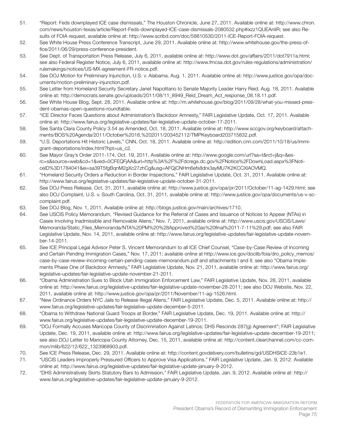- 51. "Report: Feds downplayed ICE case dismissals," The Houston Chronicle, June 27, 2011. Available online at: http://www.chron. com/news/houston-texas/article/Report-Feds-downplayed-ICE-case-dismissals-2080532.php#ixzz1QUEAniIR; see also Results of FOIA request, available online at: http://www.scribd.com/doc/58810530/2011-ICE-Report-FOIA-request.
- 52. See White House Press Conference Transcript, June 29, 2011. Available online at: http://www.whitehouse.gov/the-press-office/2011/06/29/press-conference-president.
- 53. See Dept. of Transportation Press Release, July 6, 2011, available online at: http://www.dot.gov/affairs/2011/dot7911a.html; see also Federal Register Notice, July 6, 2011, available online at: http://www.fmcsa.dot.gov/rules-regulations/administration/ rulemakings/notices/US-MX-agreement-FR-notice.pdf.
- 54. See DOJ Motion for Preliminary Injunction, U.S. v. Alabama, Aug. 1, 2011. Available online at: http://www.justice.gov/opa/documents/motion-preliminary-injunction.pdf.
- 55. See Letter from Homeland Security Secretary Janet Napolitano to Senate Majority Leader Harry Reid, Aug. 18, 2011. Available online at: http://democrats.senate.gov/uploads/2011/08/11\_8949\_Reid\_Dream\_Act\_response\_08.18.11.pdf.
- 56. See White House Blog, Sept. 28, 2011. Available online at: http://m.whitehouse.gov/blog/2011/09/28/what-you-missed-president-obamas-open-questions-roundtable.
- 57. "ICE Director Faces Questions about Administration's Backdoor Amnesty," FAIR Legislative Update, Oct. 17, 2011. Available online at: http://www.fairus.org/legislative-updates/fair-legislative-update-october-17-2011.
- 58. See Santa Clara County Policy 3.54 as Amended, Oct. 18, 2011. Available online at: http://www.sccgov.org/keyboard/attachments/BOS%20Agenda/2011/October%2018,%202011/203452112/TMPKeyboard203715832.pdf.
- 59. "U.S. Deportations Hit Historic Levels," CNN, Oct. 18, 2011. Available online at: http://edition.cnn.com/2011/10/18/us/immigrant-deportations/index.html?hpt=us\_c2.
- 60. See Mayor Gray's Order 2011-174, Oct. 19, 2011. Available online at: http://www.google.com/url?sa=t&rct=j&q=&esrc=s&source=web&cd=1&ved=0CFEQFjAA&url=http%3A%2F%2Fdcregs.dc.gov%2FNotice%2FDownLoad.aspx%3FNoticeID%3D1784041&ei=sa39T5fgBqnM2gXc27zhCg&usg=AFQjCNHm6efs8drx3ayMU7K2KCCXIAOVMQ.
- 61. "Homeland Security Orders a Reduction in Border Inspections," FAIR Legislative Update, Oct. 31, 2011. Available online at: http://www.fairus.org/legislative-updates/fair-legislative-update-october-31-2011.
- 62. See DOJ Press Release, Oct. 31, 2011, available online at: http://www.justice.gov/opa/pr/2011/October/11-ag-1429.html; see also DOJ Complaint, U.S. v. South Carolina, Oct. 31, 2011, available online at: http://www.justice.gov/opa/documents/us-v-sccomplaint.pdf.
- 63. See DOJ Blog, Nov. 1, 2011. Available online at: http://blogs.justice.gov/main/archives/1710.
- 64. See USCIS Policy Memorandum, "Revised Guidance for the Referral of Cases and Issuance of Notices to Appear (NTAs) in Cases Involving Inadmissible and Removable Aliens," Nov. 7, 2011, available online at: http://www.uscis.gov/USCIS/Laws/ Memoranda/Static\_Files\_Memoranda/NTA%20PM%20%28Approved%20as%20final%2011-7-11%29.pdf; see also FAIR Legislative Update, Nov. 14, 2011, available online at: http://www.fairus.org/legislative-updates/fair-legislative-update-november-14-2011.
- 65. See ICE Principal Legal Advisor Peter S. Vincent Memorandum to all ICE Chief Counsel, "Case-by-Case Review of Incoming and Certain Pending Immigration Cases," Nov. 17, 2011; available online at http://www.ice.gov/doclib/foia/dro\_policy\_memos/ case-by-case-review-incoming-certain-pending-cases-memorandum.pdf and attachments I and II; see also "Obama Implements Phase One of Backdoor Amnesty," FAIR Legislative Update, Nov. 21, 2011, available online at: http://www.fairus.org/ legislative-updates/fair-legislative-update-november-21-2011.
- 66. "Obama Administration Sues to Block Utah Immigration Enforcement Law," FAIR Legislative Update, Nov. 28, 2011, available online at: http://www.fairus.org/legislative-updates/fair-legislative-update-november-28-2011; see also DOJ Website, Nov. 22, 2011, available online at: http://www.justice.gov/opa/pr/2011/November/11-ag-1526.html.
- 67. "New Ordinance Orders NYC Jails to Release Illegal Aliens," FAIR Legislative Update, Dec. 5, 2011. Available online at: http:// www.fairus.org/legislative-updates/fair-legislative-update-december-5-2011.
- 68. "Obama to Withdraw National Guard Troops at Border," FAIR Legislative Update, Dec. 19, 2011. Available online at: http:// www.fairus.org/legislative-updates/fair-legislative-update-december-19-2011.
- 69. "DOJ Formally Accuses Maricopa County of Discrimination Against Latinos; DHS Rescinds 287(g) Agreement"; FAIR Legislative Update, Dec. 19, 2011, available online at: http://www.fairus.org/legislative-updates/fair-legislative-update-december-19-2011; see also DOJ Letter to Maricopa County Attorney, Dec. 15, 2011, available online at: http://content.clearchannel.com/cc-common/mlib/622/12/622\_1323968903.pdf.
- 70. See ICE Press Release, Dec. 29, 2011. Available online at: http://content.govdelivery.com/bulletins/gd/USDHSICE-23b1e1.
- 71. "USCIS Leaders Improperly Pressured Officers to Approve Visa Applications," FAIR Legislative Update, Jan. 9, 2012. Available online at: http://www.fairus.org/legislative-updates/fair-legislative-update-january-9-2012.
- 72. "DHS Administratively Skirts Statutory Bars to Admission," FAIR Legislative Update, Jan. 9, 2012. Available online at: http:// www.fairus.org/legislative-updates/fair-legislative-update-january-9-2012.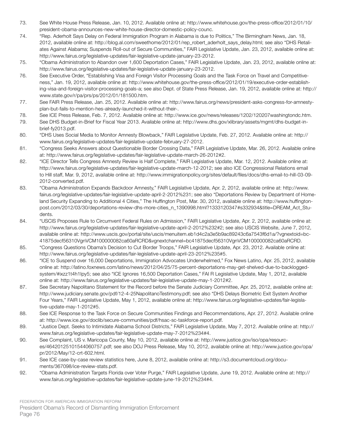- 73. See White House Press Release, Jan. 10, 2012. Available online at: http://www.whitehouse.gov/the-press-office/2012/01/10/ president-obama-announces-new-white-house-director-domestic-policy-counc.
- 74. "Rep. Aderholt Says Delay on Federal Immigration Program in Alabama is due to Politics," The Birmingham News, Jan. 18, 2012, available online at: http://blog.al.com/sweethome/2012/01/rep\_robert\_aderholt\_says\_delay.html; see also "DHS Retaliates Against Alabama; Suspends Roll-out of Secure Communities," FAIR Legislative Update, Jan. 23, 2012, available online at: http://www.fairus.org/legislative-updates/fair-legislative-update-january-23-2012.
- 75. "Obama Administration to Abandon over 1,600 Deportation Cases," FAIR Legislative Update, Jan. 23, 2012, available online at: http://www.fairus.org/legislative-updates/fair-legislative-update-january-23-2012.
- 76. See Executive Order, "Establishing Visa and Foreign Visitor Processing Goals and the Task Force on Travel and Competitiveness," Jan. 19, 2012, available online at: http://www.whitehouse.gov/the-press-office/2012/01/19/executive-order-establishing-visa-and-foreign-visitor-processing-goals-a; see also Dept. of State Press Release, Jan. 19, 2012, available online at: http:// www.state.gov/r/pa/prs/ps/2012/01/181500.htm.
- 77. See FAIR Press Release, Jan. 25, 2012. Available online at: http://www.fairus.org/news/president-asks-congress-for-amnestyplan-but-fails-to-mention-hes-already-launched-it-without-their-.
- 78. See ICE Press Release, Feb. 7, 2012. Available online at: http://www.ice.gov/news/releases/1202/120207washingtondc.htm.
- 79. See DHS Budget-in-Brief for Fiscal Year 2013. Available online at: http://www.dhs.gov/xlibrary/assets/mgmt/dhs-budget-inbrief-fy2013.pdf.
- 80. "DHS Uses Social Media to Monitor Amnesty Blowback," FAIR Legislative Update, Feb. 27, 2012. Available online at: http:// www.fairus.org/legislative-updates/fair-legislative-update-february-27-2012.
- 81. "Congress Seeks Answers about Questionable Border Crossing Data," FAIR Legislative Update, Mar. 26, 2012. Available online at: http://www.fairus.org/legislative-updates/fair-legislative-update-march-26-2012#2.
- 82. "ICE Director Tells Congress Amnesty Review is Half Complete," FAIR Legislative Update, Mar. 12, 2012. Available online at: http://www.fairus.org/legislative-updates/fair-legislative-update-march-12-2012; see also ICE Congressional Relations email to Hill staff, Mar. 9, 2012, available online at: http://www.immigrationpolicy.org/sites/default/files/docs/dhs-email-to-hill-03-09- 2012-converted.pdf.
- 83. "Obama Administration Expands Backdoor Amnesty," FAIR Legislative Update, Apr. 2, 2012, available online at: http://www. fairus.org/legislative-updates/fair-legislative-update-april-2-2012%231; see also "Deportations Review by Department of Homeland Security Expanding to Additional 4 Cities," The Huffington Post, Mar. 30, 2012, available online at: http://www.huffingtonpost.com/2012/03/30/deportations-review-dhs-more-cities\_n\_1390998.html?1333120347#s332934&title=DREAM\_Act\_Students.
- 84. "USCIS Proposes Rule to Circumvent Federal Rules on Admission," FAIR Legislative Update, Apr. 2, 2012, available online at: http://www.fairus.org/legislative-updates/fair-legislative-update-april-2-2012%232#2; see also USCIS Website, June 7, 2012, available online at: http://www.uscis.gov/portal/site/uscis/menuitem.eb1d4c2a3e5b9ac89243c6a7543f6d1a/?vgnextoid=bc-41875decf56310VgnVCM100000082ca60aRCRD&vgnextchannel=bc41875decf56310VgnVCM100000082ca60aRCRD.
- 85. "Congress Questions Obama's Decision to Cut Border Troops," FAIR Legislative Update, Apr. 23, 2012. Available online at: http://www.fairus.org/legislative-updates/fair-legislative-update-april-23-2012%235#5.
- 86. "ICE to Suspend over 16,000 Deportations, Immigration Advocates Underwhelmed," Fox News Latino, Apr. 25, 2012, available online at: http://latino.foxnews.com/latino/news/2012/04/25/75-percent-deportations-may-get-shelved-due-to-backloggedsystem/#ixzz1t4h1Ipy5; see also "ICE Ignores 16,500 Deportation Cases," FAI R Legislative Update, May 1, 2012, available online at: http://www.fairus.org/legislative-updates/fair-legislative-update-may-1-2012#2.
- 87. See Secretary Napolitano Statement for the Record before the Senate Judiciary Committee, Apr. 25, 2012, available online at: http://www.judiciary.senate.gov/pdf/12-4-25NapolitanoTestimony.pdf; see also "DHS Delays Biometric Exit System Another Four Years," FAIR Legislative Update, May 1, 2012, available online at: http://www.fairus.org/legislative-updates/fair-legislative-update-may-1-2012#5.
- 88. See ICE Response to the Task Force on Secure Communities Findings and Recommendations, Apr. 27, 2012. Available online at: http://www.ice.gov/doclib/secure-communities/pdf/hsac-sc-taskforce-report.pdf.
- 89. "Justice Dept. Seeks to Intimidate Alabama School Districts," FAIR Legislative Update, May 7, 2012. Available online at: http:// www.fairus.org/legislative-updates/fair-legislative-update-may-7-2012%234#4.
- 90. See Complaint, US v. Maricopa County, May 10, 2012, available online at: http://www.justice.gov/iso/opa/resources/46420125101544060757.pdf; see also DOJ Press Release, May 10, 2012, available online at: http://www.justice.gov/opa/ pr/2012/May/12-crt-602.html.
- 91. See ICE case-by-case review statistics here, June 8, 2012, available online at: http://s3.documentcloud.org/documents/367098/ice-review-stats.pdf.
- 92. "Obama Administration Targets Florida over Voter Purge," FAIR Legislative Update, June 19, 2012. Available online at: http:// www.fairus.org/legislative-updates/fair-legislative-update-june-19-2012%234#4.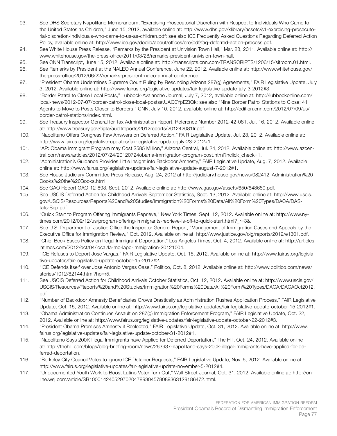- 93. See DHS Secretary Napolitano Memorandum, "Exercising Prosecutorial Discretion with Respect to Individuals Who Came to the United States as Children," June 15, 2012, available online at: http://www.dhs.gov/xlibrary/assets/s1-exercising-prosecutorial-discretion-individuals-who-came-to-us-as-children.pdf; see also ICE Frequently Asked Questions Regarding Deferred Action Policy, available online at: http://www.ice.gov/doclib/about/offices/ero/pdf/faq-deferred-action-process.pdf.
- 94. See White House Press Release, "Remarks by the President at Univision Town Hall," Mar. 28, 2011. Available online at: http:// www.whitehouse.gov/the-press-office/2011/03/28/remarks-president-univision-town-hall.
- 95. See CNN Transcript, June 15, 2012. Available online at: http://transcripts.cnn.com/TRANSCRIPTS/1206/15/sitroom.01.html.
- 96. See Remarks by President at the NALEO Annual Conference, June 22, 2012. Available online at: http://www.whitehouse.gov/ the-press-office/2012/06/22/remarks-president-naleo-annual-conference.
- 97. "President Obama Undermines Supreme Court Ruling by Rescinding Arizona 287(g) Agreements," FAIR Legislative Update, July 3, 2012. Available online at: http://www.fairus.org/legislative-updates/fair-legislative-update-july-3-2012#3.
- 98. "Border Patrol to Close Local Posts," Lubbock-Avalanche Journal, July 7, 2012, available online at: http://lubbockonline.com/ local-news/2012-07-07/border-patrol-close-local-posts#.UAQ0YpEZtQk; see also "Nine Border Patrol Stations to Close; 41 Agents to Move to Posts Closer to Borders," CNN, July 10, 2012, available online at: http://edition.cnn.com/2012/07/09/us/ border-patrol-stations/index.html.
- 99. See Treasury Inspector General for Tax Administration Report, Reference Number 2012-42-081, Jul. 16, 2012. Available online at: http://www.treasury.gov/tigta/auditreports/2012reports/201242081fr.pdf.
- 100. "Napolitano Offers Congress Few Answers on Deferred Action," FAIR Legislative Update, Jul. 23, 2012. Available online at: http://www.fairus.org/legislative-updates/fair-legislative-update-july-23-2012#1.
- 101. "AP: Obama Immigrant Program may Cost \$585 Million," Arizona Central, Jul. 24, 2012. Available online at: http://www.azcentral.com/news/articles/2012/07/24/20120724obama-immigration-program-cost.html?nclick\_check=1.
- 102. "Administration's Guidance Provides Little Insight into Backdoor Amnesty," FAIR Legislative Update, Aug. 7, 2012. Available online at: http://www.fairus.org/legislative-updates/fair-legislative-update-august-7-2012#1.
- 103. See House Judiciary Committee Press Release, Aug. 24, 2012 at http://judiciary.house.gov/news/082412\_Administration%20 Cooks%20the%20Books.html.
- 104. See GAO Report GAO-12-893, Sept. 2012. Available online at: http://www.gao.gov/assets/650/648689.pdf.
- 105. See USCIS Deferred Action for Childhood Arrivals September Statistics, Sept. 13, 2012. Available online at: http://www.uscis. gov/USCIS/Resources/Reports%20and%20Studies/Immigration%20Forms%20Data/All%20Form%20Types/DACA/DAStats-Sep.pdf.
- 106. "Quick Start to Program Offering Immigrants Reprieve," New York Times, Sept. 12, 2012. Available online at: http://www.nytimes.com/2012/09/12/us/program-offering-immigrants-reprieve-is-off-to-quick-start.html?\_r=3&.
- 107. See U.S. Department of Justice Office the Inspector General Report, "Management of Immigration Cases and Appeals by the Executive Office for Immigration Review," Oct. 2012. Available online at: http://www.justice.gov/oig/reports/2012/e1301.pdf.
- 108. "Chief Beck Eases Policy on Illegal Immigrant Deportation," Los Angeles Times, Oct. 4, 2012. Available online at: http://articles. latimes.com/2012/oct/04/local/la-me-lapd-immigration-20121004.
- 109. "ICE Refuses to Deport Jose Vargas," FAIR Legislative Update, Oct. 15, 2012. Available online at: http://www.fairus.org/legislative-updates/fair-legislative-update-october-15-2012#2.
- 110. "ICE Defends itself over Jose Antonio Vargas Case," Politico, Oct. 8, 2012. Available online at: http://www.politico.com/news/ stories/1012/82144.html?hp=r5.
- 111. See USCIS Deferred Action for Childhood Arrivals October Statistics, Oct. 12, 2012. Available online at: http://www.uscis.gov/ USCIS/Resources/Reports%20and%20Studies/Immigration%20Forms%20Data/All%20Form%20Types/DACA/DACAOct2012. pdf.
- 112. "Number of Backdoor Amnesty Beneficiaries Grows Drastically as Administration Rushes Application Process," FAIR Legislative Update, Oct. 15, 2012. Available online at: http://www.fairus.org/legislative-updates/fair-legislative-update-october-15-2012#1.
- 113. "Obama Administration Continues Assault on 287(g) Immigration Enforcement Program," FAIR Legislative Update, Oct. 22, 2012. Available online at: http://www.fairus.org/legislative-updates/fair-legislative-update-october-22-2012#3.
- 114. "President Obama Promises Amnesty if Reelected," FAIR Legislative Update, Oct. 31, 2012. Available online at: http://www. fairus.org/legislative-updates/fair-legislative-update-october-31-2012#1.
- 115. "Napolitano Says 200K Illegal Immigrants have Applied for Deferred Deportation," The Hill, Oct. 24, 2012. Available online at: http://thehill.com/blogs/blog-briefing-room/news/263937-napolitano-says-200k-illegal-immigrants-have-applied-for-deferred-deportation.
- 116. "Berkeley City Council Votes to Ignore ICE Detainer Requests," FAIR Legislative Update, Nov. 5, 2012. Available online at: http://www.fairus.org/legislative-updates/fair-legislative-update-november-5-2012#4.
- 117. "Undocumented Youth Work to Boost Latino Voter Turn Out," Wall Street Journal, Oct. 31, 2012. Available online at: http://online.wsj.com/article/SB10001424052970204789304578089363129186472.html.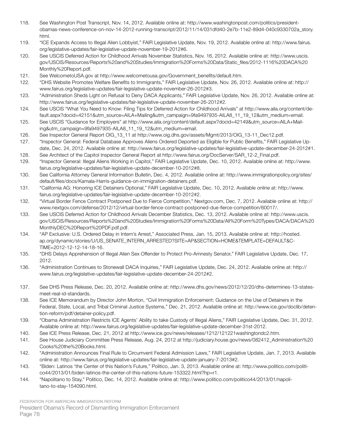- 118. See Washington Post Transcript, Nov. 14, 2012. Available online at: http://www.washingtonpost.com/politics/presidentobamas-news-conference-on-nov-14-2012-running-transcript/2012/11/14/031dfd40-2e7b-11e2-89d4-040c9330702a\_story. html.
- 119. "ICE Expands Access to Illegal Alien Lobbyist," FAIR Legislative Update, Nov. 19, 2012. Available online at: http://www.fairus. org/legislative-updates/fair-legislative-update-november-19-2012#6.
- 120. See USCIS Deferred Action for Childhood Arrivals November Statistics, Nov. 16, 2012. Available online at: http://www.uscis. gov/USCIS/Resources/Reports%20and%20Studies/Immigration%20Forms%20Data/Static\_files/2012-1116%20DACA%20 Monthly%20Report.pdf.
- 121. See WelcometoUSA.gov at http://www.welcometousa.gov/Government\_benefits/default.htm.
- 122. "DHS Website Promotes Welfare Benefits to Immigrants," FAIR Legislative Update, Nov. 26, 2012. Available online at: http:// www.fairus.org/legislative-updates/fair-legislative-update-november-26-2012#3.
- 123. "Administration Sheds Light on Refusal to Deny DACA Applicants," FAIR Legislative Update, Nov. 26, 2012. Available online at: http://www.fairus.org/legislative-updates/fair-legislative-update-november-26-2012#2.
- 124. See USCIS "What You Need to Know: Filing Tips for Deferred Action for Childhood Arrivals" at http://www.aila.org/content/default.aspx?docid=42151&utm\_source=AILA+Mailing&utm\_campaign=9fa9497935-AILA8\_11\_19\_12&utm\_medium=email.
- 125. See USCIS "Guidance for Employers" at http://www.aila.org/content/default.aspx?docid=42149&utm\_source=AILA+Mailing&utm\_campaign=9fa9497935-AILA8\_11\_19\_12&utm\_medium=email.
- 126. See Inspector General Report OIG\_13\_11 at http://www.oig.dhs.gov/assets/Mgmt/2013/OIG\_13-11\_Dec12.pdf.
- 127. "Inspector General: Federal Database Approves Aliens Ordered Deported as Eligible for Public Benefits," FAIR Legislative Update, Dec. 24, 2012. Available online at: http://www.fairus.org/legislative-updates/fair-legislative-update-december-24-2012#1.
- 128. See Architect of the Capitol Inspector General Report at http://www.fairus.org/DocServer/SAR\_12-2\_Final.pdf.
- 129. "Inspector General: Illegal Aliens Working in Capitol," FAIR Legislative Update, Dec. 10, 2012. Available online at: http://www. fairus.org/legislative-updates/fair-legislative-update-december-10-2012#8.
- 130. See California Attorney General Information Bulletin, Dec. 4, 2012. Available online at: http://www.immigrationpolicy.org/sites/ default/files/docs/Kamala-Harris-guidance-on-immigration-detainers.pdf.
- 131. "California AG: Honoring ICE Detainers Optional," FAIR Legislative Update, Dec. 10, 2012. Available online at: http://www. fairus.org/legislative-updates/fair-legislative-update-december-10-2012#2.
- 132. "Virtual Border Fence Contract Postponed Due to Fierce Competition," Nextgov.com, Dec. 7, 2012. Available online at: http:// www.nextgov.com/defense/2012/12/virtual-border-fence-contract-postponed-due-fierce-competition/60017/.
- 133. See USCIS Deferred Action for Childhood Arrivals December Statistics, Dec. 13, 2012. Available online at: http://www.uscis. gov/USCIS/Resources/Reports%20and%20Studies/Immigration%20Forms%20Data/All%20Form%20Types/DACA/DACA%20 MonthlyDEC%20Report%20PDF.pdf.pdf.
- 134. "AP Exclusive: U.S. Ordered Delay in Intern's Arrest," Associated Press, Jan. 15, 2013. Available online at: http://hosted. ap.org/dynamic/stories/U/US\_SENATE\_INTERN\_ARRESTED?SITE=AP&SECTION=HOME&TEMPLATE=DEFAULT&C-TIME=2012-12-12-14-18-16.
- 135. "DHS Delays Apprehension of Illegal Alien Sex Offender to Protect Pro-Amnesty Senator," FAIR Legislative Update, Dec. 17, 2012.
- 136. "Administration Continues to Stonewall DACA Inquiries," FAIR Legislative Update, Dec. 24, 2012. Available online at: http:// www.fairus.org/legislative-updates/fair-legislative-update-december-24-2012#2.
- 137. See DHS Press Release, Dec. 20, 2012. Available online at: http://www.dhs.gov/news/2012/12/20/dhs-determines-13-statesmeet-real-id-standards.
- 138. See ICE Memorandum by Director John Morton, "Civil Immigration Enforcement: Guidance on the Use of Detainers in the Federal, State, Local, and Tribal Criminal Justice Systems," Dec. 21, 2012. Available online at: http://www.ice.gov/doclib/detention-reform/pdf/detainer-policy.pdf.
- 139. "Obama Administration Restricts ICE Agents' Ability to take Custody of Illegal Aliens," FAIR Legislative Update, Dec. 31, 2012. Available online at: http://www.fairus.org/legislative-updates/fair-legislative-update-december-31st-2012.
- 140. See ICE Press Release, Dec. 21, 2012 at http://www.ice.gov/news/releases/1212/121221washingtondc2.htm.
- 141. See House Judiciary Committee Press Release, Aug. 24, 2012 at http://judiciary.house.gov/news/082412\_Administration%20 Cooks%20the%20Books.html.
- 142. "Administration Announces Final Rule to Circumvent Federal Admission Laws," FAIR Legislative Update, Jan. 7, 2013. Available online at: http://www.fairus.org/legislative-updates/fair-legislative-update-january-7-2013#2.
- 143. "Biden: Latinos 'the Center of this Nation's Future," Politico, Jan. 3, 2013. Available online at: http://www.politico.com/politico44/2013/01/biden-latinos-the-center-of-this-nations-future-153322.html?hp=r1.
- 144. "Napolitano to Stay," Politico, Dec. 14, 2012. Available online at: http://www.politico.com/politico44/2013/01/napolitano-to-stay-154090.html.

FEDERATION FOR AMERICAN IMMIGRATION REFORM President Obama's Record of Dismantling Immigration Enforcement Page 78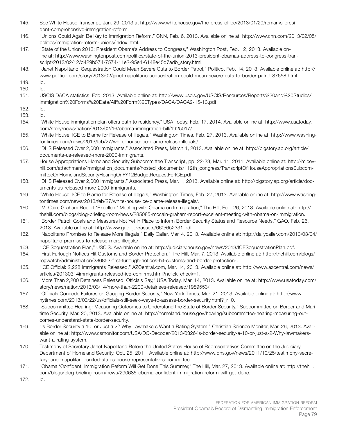- 145. See White House Transcript, Jan. 29, 2013 at http://www.whitehouse.gov/the-press-office/2013/01/29/remarks-president-comprehensive-immigration-reform.
- 146. "Unions Could Again Be Key to Immigration Reform," CNN, Feb. 6, 2013. Available online at: http://www.cnn.com/2013/02/05/ politics/immigration-reform-unions/index.html.
- 147. "State of the Union 2013: President Obama's Address to Congress," Washington Post, Feb. 12, 2013. Available online at: http://www.washingtonpost.com/politics/state-of-the-union-2013-president-obamas-address-to-congress-transcript/2013/02/12/d429b574-7574-11e2-95e4-6148e45d7adb\_story.html.
- 148. "Janet Napolitano: Sequestration Could Mean Severe Cuts to Border Patrol," Politico, Feb. 14, 2013. Available online at: http:// www.politico.com/story/2013/02/janet-napolitano-sequestration-could-mean-severe-cuts-to-border-patrol-87658.html.
- 149. Id.
- 150. Id.
- 151. USCIS DACA statistics, Feb. 2013. Available online at: http://www.uscis.gov/USCIS/Resources/Reports%20and%20Studies/ Immigration%20Forms%20Data/All%20Form%20Types/DACA/DACA2-15-13.pdf.

152. Id.

- 153. Id.
- 154. "White House immigration plan offers path to residency," USA Today, Feb. 17, 2014. Available online at: http://www.usatoday. com/story/news/nation/2013/02/16/obama-immigration-bill/1925017/.
- 155. "White House: ICE to Blame for Release of Illegals," Washington Times, Feb. 27, 2013. Available online at: http://www.washingtontimes.com/news/2013/feb/27/white-house-ice-blame-release-illegals/.
- 156. "DHS Released Over 2,000 Immigrants," Associated Press, March 1, 2013. Available online at: http://bigstory.ap.org/article/ documents-us-released-more-2000-immigrants.
- 157. House Appropriations Homeland Security Subcommittee Transcript, pp. 22-23, Mar. 11, 2011. Available online at: http://micevhill.com/attachments/immigration\_documents/hosted\_documents/112th\_congress/TranscriptOfHouseAppropriationsSubcommitteeOnHomelandSecurityHearingOnFY12BudgetRequestForICE.pdf.
- 158. "DHS Released Over 2,000 Immigrants," Associated Press, Mar. 1, 2013. Available online at: http://bigstory.ap.org/article/documents-us-released-more-2000-immigrants.
- 159. "White House: ICE to Blame for Release of Illegals," Washington Times, Feb. 27, 2013. Available online at: http://www.washingtontimes.com/news/2013/feb/27/white-house-ice-blame-release-illegals/.
- 160. "McCain, Graham Report 'Excellent' Meeting with Obama on Immigration," The Hill, Feb. 26, 2013. Available online at: http:// thehill.com/blogs/blog-briefing-room/news/285085-mccain-graham-report-excellent-meeting-with-obama-on-immigration.
- 161. "Border Patrol: Goals and Measures Not Yet in Place to Inform Border Security Status and Resource Needs," GAO, Feb. 26, 2013. Available online at: http://www.gao.gov/assets/660/652331.pdf.
- 162. "Napolitano Promises to Release More Illegals," Daily Caller, Mar. 4, 2013. Available online at: http://dailycaller.com/2013/03/04/ napolitano-promises-to-release-more-illegals/.
- 163. "ICE Sequestration Plan," USCIS. Available online at: http://judiciary.house.gov/news/2013/ICESequestrationPlan.pdf.
- 164. "First Furlough Notices Hit Customs and Border Protection," The Hill, Mar. 7, 2013. Available online at: http://thehill.com/blogs/ regwatch/administration/286853-first-furlough-notices-hit-customs-and-border-protection-.
- 165. "ICE Official: 2,228 Immigrants Released," AZCentral.com, Mar. 14, 2013. Available online at: http://www.azcentral.com/news/ articles/20130314immigrants-released-ice-confirms.html?nclick\_check=1.
- 166. "More Than 2,200 Detainees Released, Officials Say," USA Today, Mar. 14, 2013. Available online at: http://www.usatoday.com/ story/news/nation/2013/03/14/more-than-2200-detainees-released/1989553/.
- 167. "Officials Concede Failures on Gauging Border Security," New York Times, Mar. 21, 2013. Available online at: http://www. nytimes.com/2013/03/22/us/officials-still-seek-ways-to-assess-border-security.html?\_r=0.
- 168. "Subcommittee Hearing: Measuring Outcomes to Understand the State of Border Security," Subcommittee on Border and Maritime Security, Mar. 20, 2013. Available online at: http://homeland.house.gov/hearing/subcommittee-hearing-measuring-outcomes-understand-state-border-security.
- 169. "Is Border Security a 10, or Just a 2? Why Lawmakers Want a Rating System," Christian Science Monitor, Mar. 26, 2013. Available online at: http://www.csmonitor.com/USA/DC-Decoder/2013/0326/Is-border-security-a-10-or-just-a-2-Why-lawmakerswant-a-rating-system.
- 170. Testimony of Secretary Janet Napolitano Before the United States House of Representatives Committee on the Judiciary, Department of Homeland Security, Oct. 25, 2011. Available online at: http://www.dhs.gov/news/2011/10/25/testimony-secretary-janet-napolitano-united-states-house-representatives-committee.
- 171. "Obama 'Confident' Immigration Reform Will Get Done This Summer," The Hill, Mar. 27, 2013. Available online at: http://thehill. com/blogs/blog-briefing-room/news/290685-obama-confident-immigration-reform-will-get-done.
- 172. Id.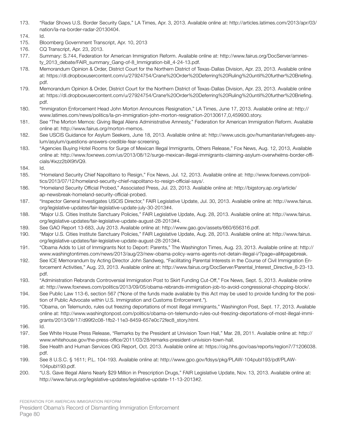- 173. "Radar Shows U.S. Border Security Gaps," LA Times, Apr. 3, 2013. Available online at: http://articles.latimes.com/2013/apr/03/ nation/la-na-border-radar-20130404.
- 174. Id.
- 175. Bloomberg Government Transcript, Apr. 10, 2013
- 176. CQ Transcript, Apr. 23, 2013.
- 177. Summary: S.744, Federation for American Immigration Reform. Available online at: http://www.fairus.org/DocServer/amnesty\_2013\_debate/FAIR\_summary\_Gang-of-8\_Immigration-bill\_4-24-13.pdf.
- 178. Memorandum Opinion & Order, District Court for the Northern District of Texas-Dallas Division, Apr. 23, 2013. Available online at: https://dl.dropboxusercontent.com/u/27924754/Crane%20Order%20Deferring%20Ruling%20until%20further%20Briefing. pdf.
- 179. Memorandum Opinion & Order, District Court for the Northern District of Texas-Dallas Division, Apr. 23, 2013. Available online at: https://dl.dropboxusercontent.com/u/27924754/Crane%20Order%20Deferring%20Ruling%20until%20further%20Briefing. pdf.
- 180. "Immigration Enforcement Head John Morton Announces Resignation," LA Times, June 17, 2013. Available online at: http:// www.latimes.com/news/politics/la-pn-immigration-john-morton-resignation-20130617,0,459930.story.
- 181. See "The Morton Memos: Giving Illegal Aliens Administrative Amnesty," Federation for American Immigration Reform. Available online at: http://www.fairus.org/morton-memos.
- 182. See USCIS Guidance for Asylum Seekers, June 18, 2013. Available online at: http://www.uscis.gov/humanitarian/refugees-asylum/asylum/questions-answers-credible-fear-screening.
- 183. "Agencies Buying Hotel Rooms for Surge of Mexican Illegal Immigrants, Others Release," Fox News, Aug. 12, 2013, Available online at: http://www.foxnews.com/us/2013/08/12/surge-mexican-illegal-immigrants-claiming-asylum-overwhelms-border-officials/#ixzz2blX9tVQ9.
- 184. Id.
- 185. "Homeland Security Chief Napolitano to Resign," Fox News, Jul. 12, 2013. Available online at: http://www.foxnews.com/politics/2013/07/12/homeland-security-chief-napolitano-to-resign-official-says/.
- 186. "Homeland Security Official Probed," Associated Press, Jul. 23, 2013. Available online at: http://bigstory.ap.org/article/ ap-newsbreak-homeland-security-official-probed.
- 187. "Inspector General Investigates USCIS Director," FAIR Legislative Update, Jul. 30, 2013. Available online at: http://www.fairus. org/legislative-updates/fair-legislative-update-july-30-2013#4.
- 188. "Major U.S. Cities Institute Sanctuary Policies," FAIR Legislative Update, Aug. 28, 2013. Available online at: http://www.fairus. org/legislative-updates/fair-legislative-update-august-28-2013#4.
- 189. See GAO Report 13-683, July 2013. Available online at: http://www.gao.gov/assets/660/656316.pdf.
- 190. "Major U.S. Cities Institute Sanctuary Policies," FAIR Legislative Update, Aug. 28, 2013. Available online at: http://www.fairus. org/legislative-updates/fair-legislative-update-august-28-2013#4.
- 191. "Obama Adds to List of Immigrants Not to Deport: Parents," The Washington Times, Aug. 23, 2013. Available online at: http:// www.washingtontimes.com/news/2013/aug/23/new-obama-policy-warns-agents-not-detain-illegal-i/?page=all#pagebreak.
- 192. See ICE Memorandum by Acting Director John Sandweg, "Facilitating Parental Interests in the Course of Civil Immigration Enforcement Activities," Aug. 23, 2013. Available online at: http://www.fairus.org/DocServer/Parental Interest Directive 8-23-13. pdf.
- 193. "Administration Rebrands Controversial Immigration Post to Skirt Funding Cut-Off," Fox News, Sept. 5, 2013. Available online at: http://www.foxnews.com/politics/2013/09/05/obama-rebrands-immigration-job-to-avoid-congressional-chopping-block/.
- 194. See Public Law 113-6, section 567 ("None of the funds made available by this Act may be used to provide funding for the position of Public Advocate within U.S. Immigration and Customs Enforcement.").
- 195. "Obama, on Telemundo, rules out freezing deportations of most illegal immigrants," Washington Post, Sept. 17, 2013. Available online at: http://www.washingtonpost.com/politics/obama-on-telemundo-rules-out-freezing-deportations-of-most-illegal-immigrants/2013/09/17/d99f2c08-1fb2-11e3-8459-657e0c72fec8\_story.html.
- 196. Id.
- 197. See White House Press Release, "Remarks by the President at Univision Town Hall," Mar. 28, 2011. Available online at: http:// www.whitehouse.gov/the-press-office/2011/03/28/remarks-president-univision-town-hall.
- 198. See Health and Human Services OIG Report, Oct. 2013. Available online at: https://oig.hhs.gov/oas/reports/region7/71206038. pdf.
- 199. See 8 U.S.C. § 1611; P.L. 104-193. Available online at: http://www.gpo.gov/fdsys/pkg/PLAW-104publ193/pdf/PLAW-104publ193.pdf.
- 200. "U.S. Gave Illegal Aliens Nearly \$29 Million in Prescription Drugs," FAIR Legislative Update, Nov. 13, 2013. Available online at: http://www.fairus.org/legislative-updates/legislative-update-11-13-2013#2.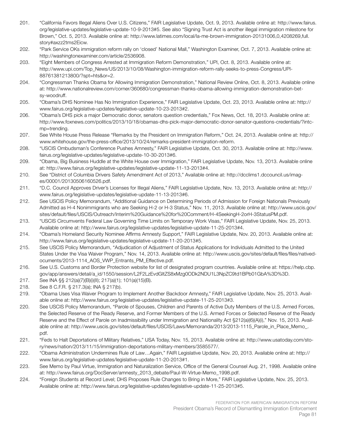- 201. "California Favors Illegal Aliens Over U.S. Citizens," FAIR Legislative Update, Oct. 9, 2013. Available online at: http://www.fairus. org/legislative-updates/legislative-update-10-9-2013#5. See also "Signing Trust Act is another illegal immigration milestone for Brown," Oct. 5, 2013. Available online at: http://www.latimes.com/local/la-me-brown-immigration-20131006,0,4208269,full. story#axzz2tms2Eicw.
- 202. "Park Service OKs immigration reform rally on 'closed' National Mall," Washington Examiner, Oct. 7, 2013. Available online at: http://washingtonexaminer.com/article/2536908.
- 203. "Eight Members of Congress Arrested at Immigration Reform Demonstration," UPI, Oct. 8, 2013. Available online at: http://www.upi.com/Top\_News/US/2013/10/08/Washington-immigration-reform-rally-seeks-to-press-Congress/UPI-88761381213800/?spt=hts&or=2.
- 204. "Congressman Thanks Obama for Allowing Immigration Demonstration," National Review Online, Oct. 8, 2013. Available online at: http://www.nationalreview.com/corner/360680/congressman-thanks-obama-allowing-immigration-demonstration-betsy-woodruff.
- 205. "Obama's DHS Nominee Has No Immigration Experience," FAIR Legislative Update, Oct. 23, 2013. Available online at: http:// www.fairus.org/legislative-updates/legislative-update-10-23-2013#2.
- 206. "Obama's DHS pick a major Democratic donor, senators question credentials," Fox News, Oct. 18, 2013. Available online at: http://www.foxnews.com/politics/2013/10/18/obamas-dhs-pick-major-democratic-donor-senator-questions-credentials/?intcmp=trending.
- 207. See White House Press Release "Remarks by the President on Immigration Reform," Oct. 24, 2013. Available online at: http:// www.whitehouse.gov/the-press-office/2013/10/24/remarks-president-immigration-reform.
- 208. "USCIS Ombudsman's Conference Pushes Amnesty," FAIR Legislative Update, Oct. 30, 2013. Available online at: http://www. fairus.org/legislative-updates/legislative-update-10-30-2013#6.
- 209. "Obama, Big Business Huddle at the White House over Immigration," FAIR Legislative Update, Nov. 13, 2013. Available online at: http://www.fairus.org/legislative-updates/legislative-update-11-13-2013#4.
- 210. See "District of Columbia Drivers Safety Amendment Act of 2013," Available online at: http://dcclims1.dccouncil.us/images/00001/20130506160526.pdf.
- 211. "D.C. Council Approves Driver's Licenses for Illegal Aliens," FAIR Legislative Update, Nov. 13, 2013. Available online at: http:// www.fairus.org/legislative-updates/legislative-update-11-13-2013#6.
- 212. See USCIS Policy Memorandum, "Additional Guidance on Determining Periods of Admission for Foreign Nationals Previously Admitted as H-4 Nonimmigrants who are Seeking H-2 or H-3 Status," Nov. 11, 2013. Available online at: http://www.uscis.gov/ sites/default/files/USCIS/Outreach/Interim%20Guidance%20for%20Comment/H-4SeekingH-2orH-3StatusPM.pdf.
- 213. "USCIS Circumvents Federal Law Governing Time Limits on Temporary Work Visas," FAIR Legislative Update, Nov. 25, 2013. Available online at: http://www.fairus.org/legislative-updates/legislative-update-11-25-2013#4.
- 214. "Obama's Homeland Security Nominee Affirms Amnesty Support," FAIR Legislative Update, Nov. 20, 2013. Available online at: http://www.fairus.org/legislative-updates/legislative-update-11-20-2013#5.
- 215. See USCIS Policy Memorandum, "Adjudication of Adjustment of Status Applications for Individuals Admitted to the United States Under the Visa Waiver Program," Nov. 14, 2013. Available online at: http://www.uscis.gov/sites/default/files/files/nativedocuments/2013-1114\_AOS\_VWP\_Entrants\_PM\_Effective.pdf.
- 216. See U.S. Customs and Border Protection website for list of designated program countries. Available online at: https://help.cbp. gov/app/answers/detail/a\_id/1550/session/L2F2LzEvdGltZS8xMzg0ODk2NDU1L3NpZC9td1BPb01GbA%3D%3D.
- 217. See INA §§ 212(a)(7)(B)(i)(II); 217(a)(1); 101(a)(15)(B).
- 218. See 8 C.F.R. § 217.3(a); INA § 217(b).
- 219. "Obama Uses Visa Waiver Program to Implement Another Backdoor Amnesty," FAIR Legislative Update, Nov. 25, 2013. Available online at: http://www.fairus.org/legislative-updates/legislative-update-11-25-2013#3.
- 220. See USCIS Policy Memorandum, "Parole of Spouses, Children and Parents of Active Duty Members of the U.S. Armed Forces, the Selected Reserve of the Ready Reserve, and Former Members of the U.S. Armed Forces or Selected Reserve of the Ready Reserve and the Effect of Parole on Inadmissibility under Immigration and Nationality Act §212(a)(6)(A)(i)," Nov. 15, 2013. Available online at: http://www.uscis.gov/sites/default/files/USCIS/Laws/Memoranda/2013/2013-1115\_Parole\_in\_Place\_Memo\_. pdf.
- 221. "Feds to Halt Deportations of Military Relatives," USA Today, Nov. 15, 2013. Available online at: http://www.usatoday.com/story/news/nation/2013/11/15/immigration-deportations-military-members/3585577/.
- 222. "Obama Administration Undermines Rule of Law…Again," FAIR Legislative Update, Nov. 20, 2013. Available online at: http:// www.fairus.org/legislative-updates/legislative-update-11-20-2013#1.
- 223. See Memo by Paul Virtue, Immigration and Naturalization Service, Office of the General Counsel Aug. 21, 1998. Available online at: http://www.fairus.org/DocServer/amnesty\_2013\_debate/Paul-W-Virtue-Memo\_1998.pdf.
- 224. "Foreign Students at Record Level; DHS Proposes Rule Changes to Bring in More," FAIR Legislative Update, Nov. 25, 2013. Available online at: http://www.fairus.org/legislative-updates/legislative-update-11-25-2013#5.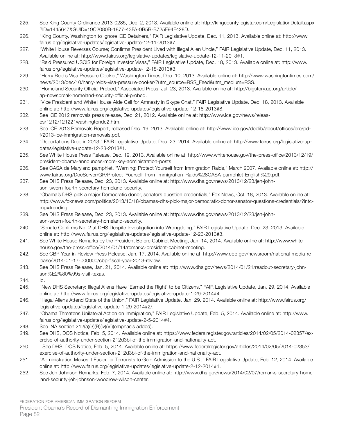- 225. See King County Ordinance 2013-0285, Dec. 2, 2013. Available online at: http://kingcounty.legistar.com/LegislationDetail.aspx- ?ID=1445647&GUID=19C2080B-1877-43FA-9B5B-B725F94F428D.
- 226. "King County, Washington to Ignore ICE Detainers," FAIR Legislative Update, Dec. 11, 2013. Available online at: http://www. fairus.org/legislative-updates/legislative-update-12-11-2013#7.
- 227. "White House Reverses Course; Confirms President Lived with Illegal Alien Uncle," FAIR Legislative Update, Dec. 11, 2013. Available online at: http://www.fairus.org/legislative-updates/legislative-update-12-11-2013#1.
- 228. "Reid Pressured USCIS for Foreign Investor Visas," FAIR Legislative Update, Dec. 18, 2013. Available online at: http://www. fairus.org/legislative-updates/legislative-update-12-18-2013#3.
- 229. "Harry Reid's Visa Pressure Cooker," Washington Times, Dec. 10, 2013. Available online at: http://www.washingtontimes.com/ news/2013/dec/10/harry-reids-visa-pressure-cooker/?utm\_source=RSS\_Feed&utm\_medium=RSS.
- 230. "Homeland Security Official Probed," Associated Press, Jul. 23, 2013. Available online at: http://bigstory.ap.org/article/ ap-newsbreak-homeland-security-official-probed.
- 231. "Vice President and White House Aide Call for Amnesty in Skype Chat," FAIR Legislative Update, Dec. 18, 2013. Available online at: http://www.fairus.org/legislative-updates/legislative-update-12-18-2013#8.
- 232. See ICE 2012 removals press release, Dec. 21, 2012. Available online at: http://www.ice.gov/news/releases/1212/121221washingtondc2.htm.
- 233. See ICE 2013 Removals Report, released Dec. 19, 2013. Available online at: http://www.ice.gov/doclib/about/offices/ero/pdf/2013-ice-immigration-removals.pdf.
- 234. "Deportations Drop in 2013," FAIR Legislative Update, Dec. 23, 2014. Available online at: http://www.fairus.org/legislative-updates/legislative-update-12-23-2013#1.
- 235. See White House Press Release, Dec. 19, 2013. Available online at: http://www.whitehouse.gov/the-press-office/2013/12/19/ president-obama-announces-more-key-administration-posts.
- 236. See CASA de Maryland pamphlet, "Warning: Protect Yourself from Immigration Raids," March 2007. Available online at: http:// www.fairus.org/DocServer/GR/Protect\_Yourself\_from\_Immigration\_Raids%28CASA-pamphlet-English%29.pdf.
- 237. See DHS Press Release, Dec. 23, 2013. Available online at: http://www.dhs.gov/news/2013/12/23/jeh-johnson-sworn-fourth-secretary-homeland-security.
- 238. "Obama's DHS pick a major Democratic donor, senators question credentials," Fox News, Oct. 18, 2013. Available online at: http://www.foxnews.com/politics/2013/10/18/obamas-dhs-pick-major-democratic-donor-senator-questions-credentials/?intcmp=trending.
- 239. See DHS Press Release, Dec. 23, 2013. Available online at: http://www.dhs.gov/news/2013/12/23/jeh-johnson-sworn-fourth-secretary-homeland-security.
- 240. "Senate Confirms No. 2 at DHS Despite Investigation into Wrongdoing," FAIR Legislative Update, Dec. 23, 2013. Available online at: http://www.fairus.org/legislative-updates/legislative-update-12-23-2013#3.
- 241. See White House Remarks by the President Before Cabinet Meeting, Jan. 14, 2014. Available online at: http://www.whitehouse.gov/the-press-office/2014/01/14/remarks-president-cabinet-meeting.
- 242. See CBP Year-in-Review Press Release, Jan. 17, 2014. Available online at: http://www.cbp.gov/newsroom/national-media-release/2014-01-17-000000/cbp-fiscal-year-2013-review.
- 243. See DHS Press Release, Jan. 21, 2014. Available online at: http://www.dhs.gov/news/2014/01/21/readout-secretary-johnson%E2%80%99s-visit-texas.
- 244. Id.
- 245. "New DHS Secretary: Illegal Aliens Have 'Earned the Right' to be Citizens," FAIR Legislative Update, Jan. 29, 2014. Available online at: http://www.fairus.org/legislative-updates/legislative-update-1-29-2014#4.
- 246. "Illegal Aliens Attend State of the Union," FAIR Legislative Update, Jan. 29, 2014. Available online at: http://www.fairus.org/ legislative-updates/legislative-update-1-29-2014#2/.
- 247. "Obama Threatens Unilateral Action on Immigration," FAIR Legislative Update, Feb. 5, 2014. Available online at: http://www. fairus.org/legislative-updates/legislative-update-2-5-2014#4.
- 248. See INA section 212(a)(3)(B)(iv)(VI)(emphasis added).
- 249. See DHS, DOS Notice, Feb. 5, 2014. Available online at: https://www.federalregister.gov/articles/2014/02/05/2014-02357/exercise-of-authority-under-section-212d3bi-of-the-immigration-and-nationality-act.
- 250. See DHS, DOS Notice, Feb. 5, 2014. Available online at: https://www.federalregister.gov/articles/2014/02/05/2014-02353/ exercise-of-authority-under-section-212d3bi-of-the-immigration-and-nationality-act.
- 251. "Administration Makes it Easier for Terrorists to Gain Admission to the U.S.," FAIR Legislative Update, Feb. 12, 2014. Available online at: http://www.fairus.org/legislative-updates/legislative-update-2-12-2014#1.
- 252. See Jeh Johnson Remarks, Feb. 7, 2014. Available online at: http://www.dhs.gov/news/2014/02/07/remarks-secretary-homeland-security-jeh-johnson-woodrow-wilson-center.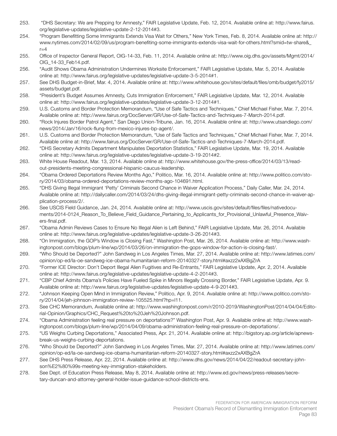- 253. "DHS Secretary: We are Prepping for Amnesty," FAIR Legislative Update, Feb. 12, 2014. Available online at: http://www.fairus. org/legislative-updates/legislative-update-2-12-2014#3.
- 254. "Program Benefitting Some Immigrants Extends Visa Wait for Others," New York Times, Feb. 8, 2014. Available online at: http:// www.nytimes.com/2014/02/09/us/program-benefiting-some-immigrants-extends-visa-wait-for-others.html?smid=tw-share&\_  $r=4$
- 255. Office of Inspector General Report, OIG-14-33, Feb. 11, 2014. Available online at: http://www.oig.dhs.gov/assets/Mgmt/2014/ OIG\_14-33\_Feb14.pdf.
- 256. "Audit Shows Obama Administration Undermines Worksite Enforcement," FAIR Legislative Update, Mar. 5, 2014. Available online at: http://www.fairus.org/legislative-updates/legislative-update-3-5-2014#1.
- 257. See DHS Budget-in-Brief, Mar. 4, 2014. Available online at: http://www.whitehouse.gov/sites/default/files/omb/budget/fy2015/ assets/budget.pdf.
- 258. "President's Budget Assumes Amnesty, Cuts Immigration Enforcement," FAIR Legislative Update, Mar. 12, 2014. Available online at: http://www.fairus.org/legislative-updates/legislative-update-3-12-2014#1.
- 259. U.S. Customs and Border Protection Memorandum, "Use of Safe Tactics and Techniques," Chief Michael Fisher, Mar. 7, 2014. Available online at: http://www.fairus.org/DocServer/GR/Use-of-Safe-Tactics-and-Techniques-7-March-2014.pdf.
- 260. "Rock Injures Border Patrol Agent," San Diego Union-Tribune, Jan. 16, 2014. Available online at: http://www.utsandiego.com/ news/2014/Jan/16/rock-flung-from-mexico-injures-bp-agent/.
- 261. U.S. Customs and Border Protection Memorandum, "Use of Safe Tactics and Techniques," Chief Michael Fisher, Mar. 7, 2014. Available online at: http://www.fairus.org/DocServer/GR/Use-of-Safe-Tactics-and-Techniques-7-March-2014.pdf.
- 262. "DHS Secretary Admits Department Manipulates Deportation Statistics," FAIR Legislative Update, Mar. 19, 2014. Available online at: http://www.fairus.org/legislative-updates/legislative-update-3-19-2014#2.
- 263. White House Readout, Mar. 13, 2014. Available online at: http://www.whitehouse.gov/the-press-office/2014/03/13/readout-presidents-meeting-congressional-hispanic-caucus-leadership.
- 264. "Obama Ordered Deportations Review Months Ago," Politico, Mar. 16, 2014. Available online at: http://www.politico.com/story/2014/03/obama-ordered-deportations-review-months-ago-104691.html.
- 265. "DHS Giving Illegal Immigrant 'Petty' Criminals Second Chance in Waiver Application Process," Daily Caller, Mar. 24, 2014. Available online at: http://dailycaller.com/2014/03/24/dhs-giving-illegal-immigrant-petty-criminals-second-chance-in-waiver-application-process/2/.
- 266. See USCIS Field Guidance, Jan. 24, 2014. Available online at: http://www.uscis.gov/sites/default/files/files/nativedocuments/2014-0124\_Reason\_To\_Believe\_Field\_Guidance\_Pertaining\_to\_Applicants\_for\_Provisional\_Unlawful\_Presence\_Waivers-final.pdf.
- 267. "Obama Admin Reviews Cases to Ensure No Illegal Alien is Left Behind," FAIR Legislative Update, Mar. 26, 2014. Available online at: http://www.fairus.org/legislative-updates/legislative-update-3-26-2014#3.
- 268. "On Immigration, the GOP's Window is Closing Fast," Washington Post, Mar. 26, 2014. Available online at: http://www.washingtonpost.com/blogs/plum-line/wp/2014/03/26/on-immigration-the-gops-window-for-action-is-closing-fast/.
- 269. "Who Should be Deported?" John Sandweg in Los Angeles Times, Mar. 27, 2014. Available online at: http://www.latimes.com/ opinion/op-ed/la-oe-sandweg-ice-obama-humanitarian-reform-20140327-story.html#axzz2xAXBgZrA
- 270. "Former ICE Director: Don't Deport Illegal Alien Fugitives and Re-Entrants," FAIR Legislative Update, Apr. 2, 2014. Available online at: http://www.fairus.org/legislative-updates/legislative-update-4-2-2014#3.
- 271. "CBP Chief Admits Obama's Policies Have Fueled Spike in Minors Illegally Crossing Border," FAIR Legislative Update, Apr. 9. Available online at: http://www.fairus.org/legislative-updates/legislative-update-4-9-2014#3.
- 272. "Johnson Keeping Open Mind in Immigration Review," Politico, Apr. 9, 2014. Available online at: http://www.politico.com/story/2014/04/jeh-johnson-immigration-review-105525.html?hp=l11.
- 273. See CHC Memorandum, Available online at: http://www.washingtonpost.com/r/2010-2019/WashingtonPost/2014/04/04/Editorial-Opinion/Graphics/CHC\_Request%20to%20Jeh%20Johnson.pdf.
- 274. "Obama Administration feeling real pressure on deportations?" Washington Post, Apr. 9. Available online at: http://www.washingtonpost.com/blogs/plum-line/wp/2014/04/09/obama-administration-feeling-real-pressure-on-deportations/.
- 275. "US Weighs Curbing Deportations," Associated Press, Apr. 21, 2014. Available online at: http://bigstory.ap.org/article/apnewsbreak-us-weighs-curbing-deportations.
- 276. "Who Should be Deported?" John Sandweg in Los Angeles Times, Mar. 27, 2014. Available online at: http://www.latimes.com/ opinion/op-ed/la-oe-sandweg-ice-obama-humanitarian-reform-20140327-story.html#axzz2xAXBgZrA
- 277. See DHS Press Release, Apr. 22, 2014. Available online at: http://www.dhs.gov/news/2014/04/22/readout-secretary-johnson%E2%80%99s-meeting-key-immigration-stakeholders.
- 278. See Dept. of Education Press Release, May 8, 2014. Available online at: http://www.ed.gov/news/press-releases/secretary-duncan-and-attorney-general-holder-issue-guidance-school-districts-ens.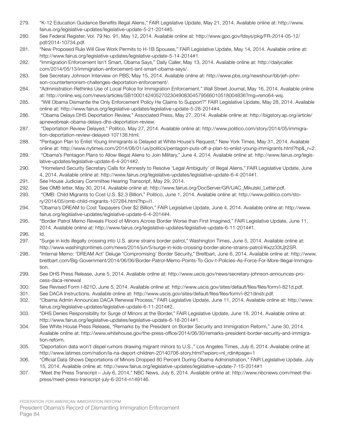- 279. "K-12 Education Guidance Benefits Illegal Aliens," FAIR Legislative Update, May 21, 2014. Available online at: http://www. fairus.org/legislative-updates/legislative-update-5-21-2014#5.
- 280. See Federal Register, Vol. 79 No. 91, May 12, 2014. Available online at: http://www.gpo.gov/fdsys/pkg/FR-2014-05-12/ pdf/2014-10734.pdf.
- 281. "New Proposed Rule Will Give Work Permits to H-1B Spouses," FAIR Legislative Update, May 14, 2014. Available online at: http://www.fairus.org/legislative-updates/legislative-update-5-14-2014#1.
- 282. "Immigration Enforcement Isn't Smart, Obama Says," Daily Caller, May 13, 2014. Available online at: http://dailycaller. com/2014/05/13/immigration-enforcement-isnt-smart-obama-says/.
- 283. See Secretary Johnson Interview on PBS, May 15, 2014. Available online at: http://www.pbs.org/newshour/bb/jeh-johnson-counterterrorism-challenges-deportation-enforcement/.
- 284. "Administration Rethinks Use of Local Police for Immigration Enforcement," Wall Street Journal, May 16, 2014. Available online at: http://online.wsj.com/news/articles/SB10001424052702304908304579566010518004836?mg=reno64-wsj.
- 285. "Will Obama Dismantle the Only Enforcement Policy He Claims to Support?" FAIR Legislative Update, May 28, 2014. Available online at: http://www.fairus.org/legislative-updates/legislative-update-5-28-2014#4.
- 286. "Obama Delays DHS Deportation Review," Associated Press, May 27, 2014. Available online at: http://bigstory.ap.org/article/ apnewsbreak-obama-delays-dhs-deportation-review.
- 287. "Deportation Review Delayed," Politico, May 27, 2014. Available online at: http://www.politico.com/story/2014/05/immigration-deportation-review-delayed-107138.html.
- 288. "Pentagon Plan to Enlist Young Immigrants is Delayed at White House's Request," New York Times, May 31, 2014. Available online at: http://www.nytimes.com/2014/06/01/us/politics/pentagon-puts-off-a-plan-to-enlist-young-immigrants.html?hp&\_r=2.
- 289. "Obama's Pentagon Plans to Allow Illegal Aliens to Join Military," June 4, 2014. Available online at: http://www.fairus.org/legislative-updates/legislative-update-6-4-2014#2.
- 290. "Homeland Security Secretary Calls for Amnesty to Resolve 'Legal Ambiguity' of Illegal Aliens," FAIR Legislative Update, June 4, 2014. Available online at: http://www.fairus.org/legislative-updates/legislative-update-6-4-2014#1.
- 291. See House Judiciary Committee Hearing Transcript, May 29, 2014.
- 292. See OMB letter, May 30, 2014. Available online at: http://www.fairus.org/DocServer/GR/UAC\_Mikulski\_Letter.pdf.
- 293. "OMB: Child Migrants to Cost U.S. \$2.3 Billion," Politico, June 1, 2014. Available online at: http://www.politico.com/story/2014/05/omb-child-migrants-107284.html?hp=l1.
- 294. "Obama's DREAM to Cost Taxpayers Over \$2 Billion," FAIR Legislative Update, June 4, 2014. Available online at: http://www. fairus.org/legislative-updates/legislative-update-6-4-2014#4.
- 295. "Border Patrol Memo Reveals Flood of Minors Across Border Worse than First Imagined," FAIR Legislative Update, June 11, 2014. Available online at: http://www.fairus.org/legislative-updates/legislative-update-6-11-2014#1.
- 296. Id.
- 297. "Surge in kids illegally crossing into U.S. alone strains border patrol," Washington Times, June 5, 2014. Available online at: http://www.washingtontimes.com/news/2014/jun/5/surge-in-kids-crossing-border-alone-strains-patrol/#ixzz33tJjt2SR.
- 298. "Internal Memo: 'DREAM Act' Deluge 'Compromising' Border Security," Breitbart, June 6, 2014. Available online at: http://www. breitbart.com/Big-Government/2014/06/06/Border-Patrol-Memo-Points-To-Gov-t-Policies-As-Force-For-More-Illegal-Immigration.
- 299. See DHS Press Release, June 5, 2014. Available online at: http://www.uscis.gov/news/secretary-johnson-announces-process-daca-renewal
- 300. See Revised Form I-821D, June 5, 2014. Available online at: http://www.uscis.gov/sites/default/files/files/form/i-821d.pdf.
- 301. See DACA Instructions. Available online at: http://www.uscis.gov/sites/default/files/files/form/i-821dinstr.pdf.
- 302. "Obama Admin Announces DACA Renewal Process," FAIR Legislative Update, June 11, 2014. Available online at: http://www. fairus.org/legislative-updates/legislative-update-6-11-2014#2.
- 303. "DHS Denies Responsibility for Surge of Minors at the Border," FAIR Legislative Update, June 18, 2014. Available online at: http://www.fairus.org/legislative-updates/legislative-update-6-18-2014#1.
- 304. See White House Press Release, "Remarks by the President on Border Security and Immigration Reform," June 30, 2014. Available online at: http://www.whitehouse.gov/the-press-office/2014/06/30/remarks-president-border-security-and-immigration-reform.
- 305. "Deportation data won't dispel rumors drawing migrant minors to U.S.," Los Angeles Times, July 6, 2014. Available online at: http://www.latimes.com/nation/la-na-deport-children-20140706-story.html?wpisrc=nl\_rdin#page=1
- 306. "Official Data Shows Deportations of Minors Dropped 80 Percent During Obama Administration," FAIR Legislative Update, July 15, 2014. Available online at: http://www.fairus.org/legislative-updates/legislative-update-7-15-2014#1
- 307. "Meet the Press Transcript July 6, 2014," NBC News, July 6, 2014. Available online at: http://www.nbcnews.com/meet-thepress/meet-press-transcript-july-6-2014-n149146.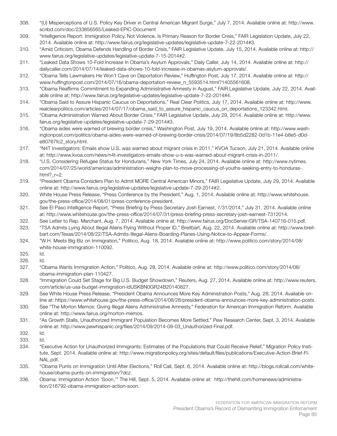- 308. "(U) Misperceptions of U.S. Policy Key Driver in Central American Migrant Surge," July 7, 2014. Available online at: http://www. scribd.com/doc/233856565/Leaked-EPIC-Document
- 309. "Intelligence Report: Immigration Policy, Not Violence, Is Primary Reason for Border Crisis," FAIR Legislation Update, July 22, 2014. Available online at: http://www.fairus.org/legislative-updates/legislative-update-7-22-2014#3.
- 310. "Amid Criticism, Obama Defends Handling of Border Crisis," FAIR Legislative Update, July 15, 2014. Available online at: http:// www.fairus.org/legislative-updates/legislative-update-7-15-2014#2.
- 311. "Leaked Data Shows 10-Fold Increase In Obama's Asylum Approvals," Daily Caller, July 14, 2014. Available online at: http:// dailycaller.com/2014/07/14/leaked-data-shows-10-fold-increase-in-obamas-asylum-approvals/.
- 312. "Obama Tells Lawmakers He Won't Cave on Deportation Review," Huffington Post, July 17, 2014. Available online at: http:// www.huffingtonpost.com/2014/07/16/obama-deportation-review\_n\_5593514.html?1405561608.
- 313. "Obama Reaffirms Commitment to Expanding Administrative Amnesty in August," FAIR Legislative Update, July 22, 2014. Available online at: http://www.fairus.org/legislative-updates/legislative-update-7-22-2014#4.
- 314. "Obama Said to Assure Hispanic Caucus on Deportations," Real Clear Politics, July 17, 2014. Available online at: http://www. realclearpolitics.com/articles/2014/07/17/obama\_said\_to\_assure\_hispanic\_caucus\_on\_deportations\_123342.html.
- 315. "Obama Administration Warned About Border Crisis," FAIR Legislative Update, July 29, 2014. Available online at: http://www. fairus.org/legislative-updates/legislative-update-7-29-2014#3.
- 316. "Obama aides were warned of brewing border crisis," Washington Post, July 19, 2014. Available online at: http://www.washingtonpost.com/politics/obama-aides-were-warned-of-brewing-border-crisis/2014/07/19/8b5d2282-0d1b-11e4-b8e5-d0de80767fc2\_story.html.
- 317. "N4T Investigators: Emails show U.S. was warned about migrant crisis in 2011," KVOA Tucson, July 21, 2014. Available online at: http://www.kvoa.com/news/n4t-investigators-emails-show-u-s-was-warned-about-migrant-crisis-in-2011/.
- 318. "U.S. Considering Refugee Status for Hondurans," New York Times, July 24, 2014. Available online at: http://www.nytimes. com/2014/07/25/world/americas/administration-weighs-plan-to-move-processing-of-youths-seeking-entry-to-honduras-. html?\_r=2.
- 319. "President Obama Considers Plan to Admit MORE Central American Minors," FAIR Legislative Update, July 29, 2014. Available online at: http://www.fairus.org/legislative-updates/legislative-update-7-29-2014#2.
- 320. White House Press Release, "Press Conference by the President," Aug. 1, 2014. Available online at: http://www.whitehouse. gov/the-press-office/2014/08/01/press-conference-president.
- 321. See El Paso Intelligence Report, "Press Briefing by Press Secretary Josh Earnest, 7/31/2014," July 31, 2014. Available online at: http://www.whitehouse.gov/the-press-office/2014/07/31/press-briefing-press-secretary-josh-earnest-7312014.
- 322. See Letter to Rep. Marchant, Aug. 7, 2014. Available online at: http://www.fairus.org/DocServer/GR/TSA-140716-015.pdf.
- 323. "TSA Admits Lying About Illegal Aliens Flying Without Proper ID," Breitbart, Aug. 22, 2014. Available online at: http://www.breitbart.com/Texas/2014/08/22/TSA-Admits-Illegal-Aliens-Boarding-Planes-Using-Notice-to-Appear-Forms/.
- 324. "W.H. Meets Big Biz on Immigration," Politico, Aug. 18, 2014. Available online at: http://www.politico.com/story/2014/08/ white-house-immigration-110092.
- 325. Id.
- 326. Id.
- 327. "Obama Wants Immigration Action," Politico, Aug. 28, 2014. Available online at: http://www.politico.com/story/2014/08/ obama-immigration-plan-110427.
- 328. "Immigration Could Set Stage for Big U.S. Budget Showdown," Reuters, Aug. 27, 2014. Available online at: http://www.reuters. com/article/us-usa-budget-immigration-idUSKBN0GR24B20140827.
- 329. See White House Press Release, "President Obama Announces More Key Administration Posts," Aug. 28, 2014. Available online at: https://www.whitehouse.gov/the-press-office/2014/08/28/president-obama-announces-more-key-administration-posts.
- 330. See "The Morton Memos: Giving Illegal Aliens Administrative Amnesty," Federation for American Immigration Reform. Available online at: http://www.fairus.org/morton-memos.
- 331. "As Growth Stalls, Unauthorized Immigrant Population Becomes More Settled," Pew Research Center, Sept. 3, 2014. Available online at: http://www.pewhispanic.org/files/2014/09/2014-09-03\_Unauthorized-Final.pdf.
- 332. Id.
- 333. Id.
- 334. "Executive Action for Unauthorized Immigrants: Estimates of the Populations that Could Receive Relief," Migration Policy Institute, Sept. 2014. Available online at: http://www.migrationpolicy.org/sites/default/files/publications/Executive-Action-Brief-FI-NAL.pdf.
- 335. "Obama Punts on Immigration Until After Elections," Roll Call, Sept. 6, 2014. Available online at: http://blogs.rollcall.com/whitehouse/obama-punts-on-immigration/?dcz.
- 336. Obama: Immigration Action 'Soon,'" The Hill, Sept. 5, 2014. Available online at: http://thehill.com/homenews/administration/216792-obama-immigration-action-soon.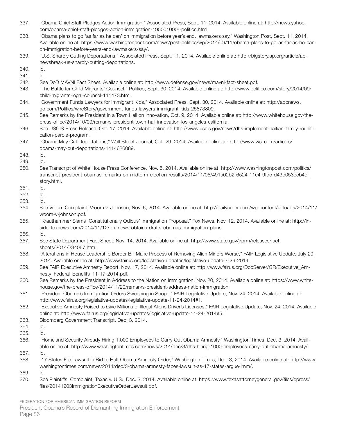- 337. "Obama Chief Staff Pledges Action Immigration," Associated Press, Sept. 11, 2014. Available online at: http://news.yahoo. com/obama-chief-staff-pledges-action-immigration-195001000--politics.html.
- 338. "Obama plans to go 'as far as he can' on immigration before year's end, lawmakers say," Washington Post, Sept. 11, 2014. Available online at: https://www.washingtonpost.com/news/post-politics/wp/2014/09/11/obama-plans-to-go-as-far-as-he-canon-immigration-before-years-end-lawmakers-say/.
- 339. "U.S. Sharply Cutting Deportations," Associated Press, Sept. 11, 2014. Available online at: http://bigstory.ap.org/article/apnewsbreak-us-sharply-cutting-deportations.

340. Id.

- 341. Id.
- 342. See DoD MAVNI Fact Sheet. Available online at: http://www.defense.gov/news/mavni-fact-sheet.pdf.
- 343. "The Battle for Child Migrants' Counsel," Politico, Sept. 30, 2014. Available online at: http://www.politico.com/story/2014/09/ child-migrants-legal-counsel-111473.html.
- 344. "Government Funds Lawyers for Immigrant Kids," Associated Press, Sept. 30, 2014. Available online at: http://abcnews. go.com/Politics/wireStory/government-funds-lawyers-immigrant-kids-25873809.
- 345. See Remarks by the President in a Town Hall on Innovation, Oct. 9, 2014. Available online at: http://www.whitehouse.gov/thepress-office/2014/10/09/remarks-president-town-hall-innovation-los-angeles-california.
- 346. See USCIS Press Release, Oct. 17, 2014. Available online at: http://www.uscis.gov/news/dhs-implement-haitian-family-reunification-parole-program.
- 347. "Obama May Cut Deportations," Wall Street Journal, Oct. 29, 2014. Available online at: http://www.wsj.com/articles/ obama-may-cut-deportations-1414626089.
- 348. Id.
- 349. Id.
- 350. See Transcript of White House Press Conference, Nov. 5, 2014. Available online at: http://www.washingtonpost.com/politics/ transcript-president-obamas-remarks-on-midterm-election-results/2014/11/05/491a02b2-6524-11e4-9fdc-d43b053ecb4d\_ story.html.
- 351. Id.
- 352. Id.
- 353. Id.
- 354. See Vroom Complaint, Vroom v. Johnson, Nov. 6, 2014. Available online at: http://dailycaller.com/wp-content/uploads/2014/11/ vroom-v-johnson.pdf.
- 355. "Krauthammer Slams 'Constitutionally Odious' Immigration Proposal," Fox News, Nov. 12, 2014. Available online at: http://insider.foxnews.com/2014/11/12/fox-news-obtains-drafts-obamas-immigration-plans.
- 356. Id.
- 357. See State Department Fact Sheet, Nov. 14, 2014. Available online at: http://www.state.gov/j/prm/releases/factsheets/2014/234067.htm.
- 358. "Alterations in House Leadership Border Bill Make Process of Removing Alien Minors Worse," FAIR Legislative Update, July 29, 2014. Available online at: http://www.fairus.org/legislative-updates/legislative-update-7-29-2014.
- 359. See FAIR Executive Amnesty Report, Nov. 17, 2014. Available online at: http://www.fairus.org/DocServer/GR/Executive\_Amnesty Federal Benefits 11-17-2014.pdf.
- 360. See Remarks by the President in Address to the Nation on Immigration, Nov. 20, 2014. Available online at: https://www.whitehouse.gov/the-press-office/2014/11/20/remarks-president-address-nation-immigration.
- 361. "President Obama's Immigration Orders Sweeping in Scope," FAIR Legislative Update, Nov. 24, 2014. Available online at: http://www.fairus.org/legislative-updates/legislative-update-11-24-2014#1.
- 362. "Executive Amnesty Poised to Give Millions of Illegal Aliens Driver's Licenses," FAIR Legislative Update, Nov. 24, 2014. Available online at: http://www.fairus.org/legislative-updates/legislative-update-11-24-2014#5.
- 363. Bloomberg Government Transcript, Dec. 3, 2014.
- 364. Id.
- 365. Id.
- 366. "Homeland Security Already Hiring 1,000 Employees to Carry Out Obama Amnesty," Washington Times, Dec. 3, 2014. Available online at: http://www.washingtontimes.com/news/2014/dec/3/dhs-hiring-1000-employees-carry-out-obama-amnesty/.
- 367. Id.
- 368. "17 States File Lawsuit in Bid to Halt Obama Amnesty Order," Washington Times, Dec. 3, 2014. Available online at: http://www. washingtontimes.com/news/2014/dec/3/obama-amnesty-faces-lawsuit-as-17-states-argue-imm/.

369. Id.

370. See Plaintiffs' Complaint, Texas v. U.S., Dec. 3, 2014. Available online at: https://www.texasattorneygeneral.gov/files/epress/ files/20141203ImmigrationExecutiveOrderLawsuit.pdf.

FEDERATION FOR AMERICAN IMMIGRATION REFORM President Obama's Record of Dismantling Immigration Enforcement Page 86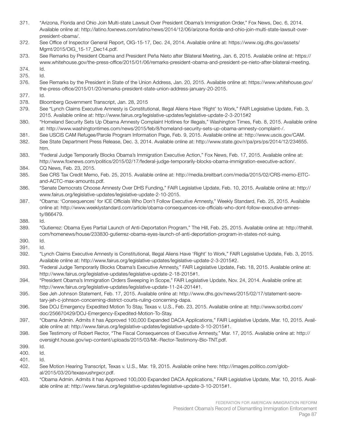- 371. "Arizona, Florida and Ohio Join Multi-state Lawsuit Over President Obama's Immigration Order," Fox News, Dec. 6, 2014. Available online at: http://latino.foxnews.com/latino/news/2014/12/06/arizona-florida-and-ohio-join-multi-state-lawsuit-overpresident-obama/.
- 372. See Office of Inspector General Report, OIG-15-17, Dec. 24, 2014. Available online at: https://www.oig.dhs.gov/assets/ Mgmt/2015/OIG\_15-17\_Dec14.pdf.
- 373. See Remarks by President Obama and President Peña Nieto after Bilateral Meeting, Jan. 6, 2015. Available online at: https:// www.whitehouse.gov/the-press-office/2015/01/06/remarks-president-obama-and-president-pe-nieto-after-bilateral-meeting.
- 374. Id.
- 375. Id.
- 376. See Remarks by the President in State of the Union Address, Jan. 20, 2015. Available online at: https://www.whitehouse.gov/ the-press-office/2015/01/20/remarks-president-state-union-address-january-20-2015.
- 377. Id.
- 378. Bloomberg Government Transcript, Jan. 28, 2015
- 379. See "Lynch Claims Executive Amnesty is Constitutional, Illegal Aliens Have 'Right' to Work," FAIR Legislative Update, Feb. 3, 2015. Available online at: http://www.fairus.org/legislative-updates/legislative-update-2-3-2015#2
- 380. "Homeland Security Sets Up Obama Amnesty Complaint Hotlines for Illegals," Washington Times, Feb. 8, 2015. Available online at: http://www.washingtontimes.com/news/2015/feb/8/homeland-security-sets-up-obama-amnesty-complaint-/.
- 381. See USCIS CAM Refugee/Parole Program Information Page, Feb. 9, 2015. Available online at: http://www.uscis.gov/CAM.
- 382. See State Department Press Release, Dec. 3, 2014. Available online at: http://www.state.gov/r/pa/prs/ps/2014/12/234655. htm.
- 383. "Federal Judge Temporarily Blocks Obama's Immigration Executive Action," Fox News, Feb. 17, 2015. Available online at: http://www.foxnews.com/politics/2015/02/17/federal-judge-temporarily-blocks-obama-immigration-executive-action/.
- 384. CQ News, Feb. 23, 2015.
- 385. See CRS Tax Credit Memo, Feb. 25, 2015. Available online at: http://media.breitbart.com/media/2015/02/CRS-memo-EITCand-ACTC-max-amounts.pdf.
- 386. "Senate Democrats Choose Amnesty Over DHS Funding," FAIR Legislative Update, Feb. 10, 2015. Available online at: http:// www.fairus.org/legislative-updates/legislative-update-2-10-2015.
- 387. "Obama: 'Consequences' for ICE Officials Who Don't Follow Executive Amnesty," Weekly Standard, Feb. 25, 2015. Available online at: http://www.weeklystandard.com/article/obama-consequences-ice-officials-who-dont-follow-executive-amnesty/866479.
- 388. Id.
- 389. "Gutierrez: Obama Eyes Partial Launch of Anti-Deportation Program," The Hill, Feb. 25, 2015. Available online at: http://thehill. com/homenews/house/233830-gutierrez-obama-eyes-launch-of-anti-deportation-program-in-states-not-suing.
- 390. Id.
- 391. Id.
- 392. "Lynch Claims Executive Amnesty is Constitutional, Illegal Aliens Have 'Right' to Work," FAIR Legislative Update, Feb. 3, 2015. Available online at: http://www.fairus.org/legislative-updates/legislative-update-2-3-2015#2.
- 393. "Federal Judge Temporarily Blocks Obama's Executive Amnesty," FAIR Legislative Update, Feb. 18, 2015. Available online at: http://www.fairus.org/legislative-updates/legislative-update-2-18-2015#1.
- 394. "President Obama's Immigration Orders Sweeping in Scope," FAIR Legislative Update, Nov. 24, 2014. Available online at: http://www.fairus.org/legislative-updates/legislative-update-11-24-2014#1.
- 395. See Jeh Johnson Statement, Feb. 17, 2015. Available online at: http://www.dhs.gov/news/2015/02/17/statement-secretary-jeh-c-johnson-concerning-district-courts-ruling-concerning-dapa.
- 396. See DOJ Emergency Expedited Motion To Stay, Texas v. U.S., Feb. 23, 2015. Available online at: http://www.scribd.com/ doc/256670429/DOJ-Emergency-Expedited-Motion-To-Stay.
- 397. "Obama Admin. Admits it has Approved 100,000 Expanded DACA Applications," FAIR Legislative Update, Mar. 10, 2015. Available online at: http://www.fairus.org/legislative-updates/legislative-update-3-10-2015#1.
- 398. See Testimony of Robert Rector, "The Fiscal Consequences of Executive Amnesty," Mar. 17, 2015. Available online at: http:// oversight.house.gov/wp-content/uploads/2015/03/Mr.-Rector-Testimony-Bio-TNT.pdf.
- 399. Id.
- 400. Id.
- 401. Id.
- 402. See Motion Hearing Transcript, Texas v. U.S., Mar. 19, 2015. Available online here: http://images.politico.com/global/2015/03/20/texasvushrgxcr.pdf.
- 403. "Obama Admin. Admits it has Approved 100,000 Expanded DACA Applications," FAIR Legislative Update, Mar. 10, 2015. Available online at: http://www.fairus.org/legislative-updates/legislative-update-3-10-2015#1.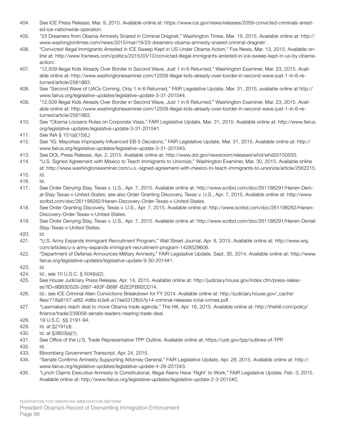- 404. See ICE Press Release, Mar. 9, 2015. Available online at: https://www.ice.gov/news/releases/2059-convicted-criminals-arrested-ice-nationwide-operation.
- 405. "23 Dreamers from Obama Amnesty Snared in Criminal Dragnet," Washington Times, Mar. 19, 2015. Available online at: http:// www.washingtontimes.com/news/2015/mar/19/23-dreamers-obama-amnesty-snared-criminal-dragnet/.
- 406. "Convicted Illegal Immigrants Arrested in ICE Sweep Kept in US Under Obama Action," Fox News, Mar. 13, 2015. Available online at: http://www.foxnews.com/politics/2015/03/13/convicted-illegal-immigrants-arrested-in-ice-sweep-kept-in-us-by-obamaaction/.
- 407. "12,509 Illegal Kids Already Over Border in Second Wave, Just 1 in 6 Returned," Washington Examiner, Mar. 23, 2015. Available online at: http://www.washingtonexaminer.com/12509-illegal-kids-already-over-border-in-second-wave-just-1-in-6-returned/article/2561883.
- 408. See "Second Wave of UACs Coming, Only 1 in 6 Returned," FAIR Legislative Update, Mar. 31, 2015, available online at http:// www.fairus.org/legislative-updates/legislative-update-3-31-2015#4.
- 409. "12,509 Illegal Kids Already Over Border in Second Wave, Just 1 in 6 Returned," Washington Examiner, Mar. 23, 2015. Available online at: http://www.washingtonexaminer.com/12509-illegal-kids-already-over-border-in-second-wave-just-1-in-6-returned/article/2561883.
- 410. See "Obama Loosens Rules on Corporate Visas," FAIR Legislative Update, Mar. 31, 2015. Available online at: http://www.fairus. org/legislative-updates/legislative-update-3-31-2015#1.
- 411. See INA § 101(a)(15)(L)
- 412. See "IG: Mayorkas Improperly Influenced EB-5 Decisions," FAIR Legislative Update, Mar. 31, 2015. Available online at: http:// www.fairus.org/legislative-updates/legislative-update-3-31-2015#3.
- 413. See DOL Press Release, Apr. 2, 2015. Available online at: http://www.dol.gov/newsroom/releases/whd/whd20150550.
- 414. "U.S. Signed Agreement with Mexico to Teach Immigrants to Unionize," Washington Examiner, Mar. 30, 2015. Available online at: http://www.washingtonexaminer.com/u.s.-signed-agreement-with-mexico-to-teach-immigrants-to-unionize/article/2562215.
- 415. Id.
- 416. Id.
- 417. See Order Denying Stay, Texas v. U.S., Apr. 7, 2015. Available online at: http://www.scribd.com/doc/261198291/Hanen-Denial-Stay-Texas-v-United-States; see also Order Granting Discovery, Texas v. U.S., Apr. 7, 2015. Available online at: http://www. scribd.com/doc/261198282/Hanen-Discovery-Order-Texas-v-United-States.
- 418. See Order Granting Discovery, Texas v. U.S., Apr. 7, 2015. Available online at: http://www.scribd.com/doc/261198282/Hanen-Discovery-Order-Texas-v-United-States.
- 419. See Order Denying Stay, Texas v. U.S., Apr. 7, 2015. Available online at: http://www.scribd.com/doc/261198291/Hanen-Denial-Stay-Texas-v-United-States.
- 420. Id.
- 421. "U.S. Army Expands Immigrant Recruitment Program," Wall Street Journal, Apr. 8, 2015. Available online at: http://www.wsj. com/articles/u-s-army-expands-immigrant-recruitment-program-1428529606.
- 422. "Department of Defense Announces Military Amnesty," FAIR Legislative Update, Sept. 30, 2014. Available online at: http://www. fairus.org/legislative-updates/legislative-update-9-30-2014#1.
- 423. Id.
- 424. Id.; see 10 U.S.C. § 504(b)(2).
- 425. See House Judiciary Press Release, Apr. 14, 2015. Available online at: http://judiciary.house.gov/index.cfm/press-releases?ID=9B83D528-2887-483F-B88F-B2E2FB92CD14.
- 426. Id.; see ICE Criminal Alien Convictions Breakdown for FY 2014. Available online at: http://judiciary.house.gov/\_cache/ files/718a8157-af82-4d6e-b3e8-a17ee3312fb5/fy14-criminal-releases-total-crimes.pdf.
- 427. "Lawmakers reach deal to move Obama trade agenda," The Hill, Apr. 16, 2015. Available online at: http://thehill.com/policy/ finance/trade/239058-senate-leaders-nearing-trade-deal.
- 428. 19 U.S.C. §§ 2191-94.
- 429. Id. at §2191(d).
- 430. Id. at §3803(a)(1).
- 431. See Office of the U.S. Trade Representative TPP Outline. Available online at: https://ustr.gov/tpp/outlines-of-TPP.
- 432. Id.
- 433. Bloomberg Government Transcript, Apr. 24, 2015.
- 434. "Senate Confirms Amnesty Supporting Attorney General," FAIR Legislative Update, Apr. 28, 2015. Available online at: http:// www.fairus.org/legislative-updates/legislative-update-4-28-2015#3.
- 435. "Lynch Claims Executive Amnesty Is Constitutional, Illegal Aliens Have 'Right' to Work," FAIR Legislative Update, Feb. 3, 2015. Available online at: http://www.fairus.org/legislative-updates/legislative-update-2-3-2015#2.

FEDERATION FOR AMERICAN IMMIGRATION REFORM

President Obama's Record of Dismantling Immigration Enforcement Page 88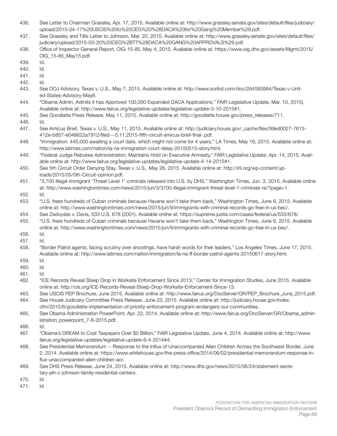- 436. See Letter to Chairman Grassley, Apr. 17, 2015. Available online at: http://www.grassley.senate.gov/sites/default/files/judiciary/ upload/2015-04-17%20USCIS%20to%20CEG%20%28DACA%20for%20Gang%20Member%29.pdf.
- 437. See Grassley and Tillis Letter to Johnson, Mar. 20, 2015. Available online at: http://www.grassley.senate.gov/sites/default/files/ judiciary/upload/2015-03-20%20CEG%2BTT%28DACA%20GANG%20APPROVALS%29.pdf.
- 438. Office of Inspector General Report, OIG-15-85, May 4, 2015. Available online at: https://www.oig.dhs.gov/assets/Mgmt/2015/ OIG\_15-85\_May15.pdf.
- 439. Id.
- 440. Id.
- 441. Id.
- 442. Id.
- 443. See DOJ Advisory, Texas v. U.S., May 7, 2015. Available online at: http://www.scribd.com/doc/264593994/Texas-v-United-States-Advisory-May8.
- 444. "Obama Admin. Admits it has Approved 100,000 Expanded DACA Applications," FAIR Legislative Update, Mar. 10, 2015). Available online at: http://www.fairus.org/legislative-updates/legislative-update-3-10-2015#1.
- 445. See Goodlatte Press Release, May 11, 2015. Available online at: http://goodlatte.house.gov/press\_releases/711.
- 446. Id.
- 447. See Amicus Brief, Texas v. U.S., May 11, 2015. Available online at: http://judiciary.house.gov/\_cache/files/99ed0027-7613- 412e-b857-e048622a7912/filed---5.11.2015-fifth-circuit-amicus-brief-final-.pdf.
- 448. "Immigration: 445,000 awaiting a court date, which might not come for 4 years," LA Times, May 16, 2015. Available online at: http://www.latimes.com/nation/la-na-immigration-court-delay-20150515-story.html.
- 449. "Federal Judge Rebukes Administration; Maintains Hold on Executive Amnesty," FAIR Legislative Update, Apr. 14, 2015. Available online at: http://www.fairus.org/legislative-updates/legislative-update-4-14-2015#1.
- 450. See 5th Circuit Order Denying Stay, Texas v. U.S., May 26, 2015. Available online at: http://irli.org/wp-content/uploads/2015/05/5th-Circuit-opinion.pdf.
- 451. "3,700 illegal immigrant 'Threat Level 1' criminals released into U.S. by DHS," Washington Times, Jun. 3, 2015. Available online at: http://www.washingtontimes.com/news/2015/jun/3/3700-illegal-immigrant-threat-level-1-criminals-re/?page=1.
- 452. Id.
- 453. "U.S. frees hundreds of Cuban criminals because Havana won't take them back," Washington Times, June 9, 2015. Available online at: http://www.washingtontimes.com/news/2015/jun/9/immigrants-with-criminal-records-go-free-in-us-bec/.
- 454. See Zadvydas v. Davis, 533 U.S. 678 (2001). Available online at: https://supreme.justia.com/cases/federal/us/533/678/.
- 455. "U.S. frees hundreds of Cuban criminals because Havana won't take them back," Washington Times, June 9, 2015. Available online at: http://www.washingtontimes.com/news/2015/jun/9/immigrants-with-criminal-records-go-free-in-us-bec/.
- 456. Id.
- 457. Id.
- 458. "Border Patrol agents, facing scrutiny over shootings, have harsh words for their leaders," Los Angeles Times, June 17, 2015. Available online at: http://www.latimes.com/nation/immigration/la-na-ff-border-patrol-agents-20150617-story.html.
- 459. Id.
- 460. Id.
- 461. Id.
- 462. "ICE Records Reveal Steep Drop in Worksite Enforcement Since 2013," Center for Immigration Studies, June 2015. Available online at: http://cis.org/ICE-Records-Reveal-Steep-Drop-Worksite-Enforcement-Since-13.
- 463. See USCIS PEP Brochure, June 2015. Available online at: http://www.fairus.org/DocServer/GR/PEP\_Brochure\_June\_2015.pdf.
- 464. See House Judiciary Committee Press Release, June 23, 2015. Available online at: http://judiciary.house.gov/index.
- cfm/2015/6/goodlatte-implementation-of-priority-enforcement-program-endangers-our-communities.
- 465. See Obama Administration PowerPoint, Apr. 22, 2014. Available online at: http://www.fairus.org/DocServer/GR/Obama\_administration\_powerpoint\_7-6-2015.pdf.
- 466. Id.
- 467. "Obama's DREAM to Cost Taxpayers Over \$2 Billion," FAIR Legislative Update, June 4, 2014. Available online at: http://www. fairus.org/legislative-updates/legislative-update-6-4-2014#4.
- 468. See Presidential Memorandum -- Response to the Influx of Unaccompanied Alien Children Across the Southwest Border, June 2, 2014. Available online at: https://www.whitehouse.gov/the-press-office/2014/06/02/presidential-memorandum-response-influx-unaccompanied-alien-children-acr.
- 469. See DHS Press Release, June 24, 2015. Available online at: http://www.dhs.gov/news/2015/06/24/statement-secretary-jeh-c-johnson-family-residential-centers.
- 470. Id.
- 471. Id.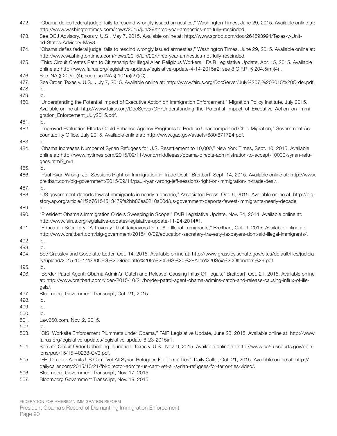| 472. | "Obama defies federal judge, fails to rescind wrongly issued amnesties," Washington Times, June 29, 2015. Available online at:<br>http://www.washingtontimes.com/news/2015/jun/29/three-year-amnesties-not-fully-rescinded.                                                                 |
|------|---------------------------------------------------------------------------------------------------------------------------------------------------------------------------------------------------------------------------------------------------------------------------------------------|
| 473. | See DOJ Advisory, Texas v. U.S., May 7, 2015. Available online at: http://www.scribd.com/doc/264593994/Texas-v-Unit-<br>ed-States-Advisory-May8.                                                                                                                                            |
| 474. | "Obama defies federal judge, fails to rescind wrongly issued amnesties," Washington Times, June 29, 2015. Available online at:<br>http://www.washingtontimes.com/news/2015/jun/29/three-year-amnesties-not-fully-rescinded.                                                                 |
| 475. | "Third Circuit Creates Path to Citizenship for Illegal Alien Religious Workers," FAIR Legislative Update, Apr. 15, 2015. Available<br>online at: http://www.fairus.org/legislative-updates/legislative-update-4-14-2015#2; see 8 C.F.R. § 204.5(m)(4).                                      |
| 476. | See INA § 203(b)(4); see also INA § 101(a)(27)(C).                                                                                                                                                                                                                                          |
| 477. | See Order, Texas v. U.S., July 7, 2015. Available online at: http://www.fairus.org/DocServer/July%207,%202015%20Order.pdf.                                                                                                                                                                  |
| 478. | ld.                                                                                                                                                                                                                                                                                         |
| 479. | Id.                                                                                                                                                                                                                                                                                         |
| 480. | "Understanding the Potential Impact of Executive Action on Immigration Enforcement," Migration Policy Institute, July 2015.<br>Available online at: http://www.fairus.org/DocServer/GR/Understanding_the_Potential_Impact_of_Executive_Action_on_Immi-<br>gration_Enforcement_July2015.pdf. |
| 481. | Id.                                                                                                                                                                                                                                                                                         |
| 482. | "Improved Evaluation Efforts Could Enhance Agency Programs to Reduce Unaccompanied Child Migration," Government Ac-<br>countability Office, July 2015. Available online at: http://www.gao.gov/assets/680/671724.pdf.                                                                       |
| 483. | Id.                                                                                                                                                                                                                                                                                         |
| 484. | "Obama Increases Number of Syrian Refugees for U.S. Resettlement to 10,000," New York Times, Sept. 10, 2015. Available<br>online at: http://www.nytimes.com/2015/09/11/world/middleeast/obama-directs-administration-to-accept-10000-syrian-refu-<br>gees.html?_r=1.                        |
| 485. | Id.                                                                                                                                                                                                                                                                                         |
| 486. | "Paul Ryan Wrong, Jeff Sessions Right on Immigration in Trade Deal," Breitbart, Sept. 14, 2015. Available online at: http://www.<br>breitbart.com/big-government/2015/09/14/paul-ryan-wrong-jeff-sessions-right-on-immigration-in-trade-deal/.                                              |
| 487. | Id.                                                                                                                                                                                                                                                                                         |
| 488. | "US government deports fewest immigrants in nearly a decade," Associated Press, Oct. 6, 2015. Available online at: http://big-<br>story.ap.org/article/1f2b76154513479fa2bb86ea0210a00d/us-government-deports-fewest-immigrants-nearly-decade.                                              |
| 489. | Id.                                                                                                                                                                                                                                                                                         |
| 490. | "President Obama's Immigration Orders Sweeping in Scope," FAIR Legislative Update, Nov. 24, 2014. Available online at:<br>http://www.fairus.org/legislative-updates/legislative-update-11-24-2014#1.                                                                                        |
| 491. | "Education Secretary: 'A Travesty' That Taxpayers Don't Aid Illegal Immigrants," Breitbart, Oct. 9, 2015. Available online at:<br>http://www.breitbart.com/big-government/2015/10/09/education-secretary-travesty-taxpayers-dont-aid-illegal-immigrants/.                                   |
| 492. | Id.                                                                                                                                                                                                                                                                                         |
| 493. | Id.                                                                                                                                                                                                                                                                                         |
| 494. | See Grassley and Goodlatte Letter, Oct. 14, 2015. Available online at: http://www.grassley.senate.gov/sites/default/files/judicia-<br>ry/upload/2015-10-14%20CEG%20Goodlatte%20to%20DHS%20%28Alien%20Sex%20Offenders%29.pdf.                                                                |
| 495. | Id.                                                                                                                                                                                                                                                                                         |
| 496. | "Border Patrol Agent: Obama Admin's 'Catch and Release' Causing Influx Of Illegals," Breitbart, Oct. 21, 2015. Available online<br>at: http://www.breitbart.com/video/2015/10/21/border-patrol-agent-obama-admins-catch-and-release-causing-influx-of-ille-                                 |
|      | gals/.                                                                                                                                                                                                                                                                                      |
| 497. | Bloomberg Government Transcript, Oct. 21, 2015.                                                                                                                                                                                                                                             |
| 498. | Id.                                                                                                                                                                                                                                                                                         |
| 499. | Id.                                                                                                                                                                                                                                                                                         |
| 500. | Id.                                                                                                                                                                                                                                                                                         |
| 501. | Law360.com, Nov. 2, 2015.                                                                                                                                                                                                                                                                   |
| 502. | Id.                                                                                                                                                                                                                                                                                         |
| 503. | "CIS: Worksite Enforcement Plummets under Obama," FAIR Legislative Update, June 23, 2015. Available online at: http://www.                                                                                                                                                                  |
|      | fairus.org/legislative-updates/legislative-update-6-23-2015#1.                                                                                                                                                                                                                              |
| 504. | See 5th Circuit Order Upholding Injunction, Texas v. U.S., Nov. 9, 2015. Available online at: http://www.ca5.uscourts.gov/opin-<br>ions/pub/15/15-40238-CV0.pdf.                                                                                                                            |
| 505. | "FBI Director Admits US Can't Vet All Syrian Refugees For Terror Ties", Daily Caller, Oct. 21, 2015. Available online at: http://<br>dailycaller.com/2015/10/21/fbi-director-admits-us-cant-vet-all-syrian-refugees-for-terror-ties-video/.                                                 |
| 506. | Bloomberg Government Transcript, Nov. 17, 2015.                                                                                                                                                                                                                                             |
| 507  | Bloomberg Government Transcript, Nov. 19, 2015                                                                                                                                                                                                                                              |

507. Bloomberg Government Transcript, Nov. 19, 2015.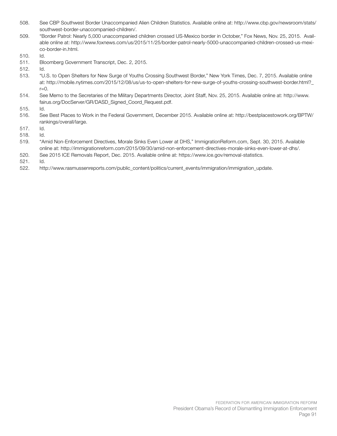- 508. See CBP Southwest Border Unaccompanied Alien Children Statistics. Available online at: http://www.cbp.gov/newsroom/stats/ southwest-border-unaccompanied-children/.
- 509. "Border Patrol: Nearly 5,000 unaccompanied children crossed US-Mexico border in October," Fox News, Nov. 25, 2015. Available online at: http://www.foxnews.com/us/2015/11/25/border-patrol-nearly-5000-unaccompanied-children-crossed-us-mexico-border-in.html.
- 510. Id.
- 511. Bloomberg Government Transcript, Dec. 2, 2015.
- 512. Id.
- 513. "U.S. to Open Shelters for New Surge of Youths Crossing Southwest Border," New York Times, Dec. 7, 2015. Available online at: http://mobile.nytimes.com/2015/12/08/us/us-to-open-shelters-for-new-surge-of-youths-crossing-southwest-border.html?\_  $r=0$ .
- 514. See Memo to the Secretaries of the Military Departments Director, Joint Staff, Nov. 25, 2015. Available online at: http://www. fairus.org/DocServer/GR/DASD\_Signed\_Coord\_Request.pdf.
- 515. Id.
- 516. See Best Places to Work in the Federal Government, December 2015. Available online at: http://bestplacestowork.org/BPTW/ rankings/overall/large.
- 517. Id.
- 518. Id.
- 519. "Amid Non-Enforcement Directives, Morale Sinks Even Lower at DHS," ImmigrationReform.com, Sept. 30, 2015. Available online at: http://immigrationreform.com/2015/09/30/amid-non-enforcement-directives-morale-sinks-even-lower-at-dhs/.
- 520. See 2015 ICE Removals Report, Dec. 2015. Available online at: https://www.ice.gov/removal-statistics.
- 521. Id.
- 522. http://www.rasmussenreports.com/public\_content/politics/current\_events/immigration/immigration\_update.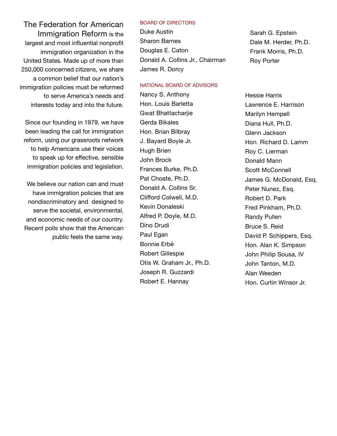The Federation for American Immigration Reform is the largest and most influential nonprofit immigration organization in the United States. Made up of more than 250,000 concerned citizens, we share a common belief that our nation's immigration policies must be reformed to serve America's needs and interests today and into the future.

Since our founding in 1979, we have been leading the call for immigration reform, using our grassroots network to help Americans use their voices to speak up for effective, sensible immigration policies and legislation.

We believe our nation can and must have immigration policies that are nondiscriminatory and designed to serve the societal, environmental, and economic needs of our country. Recent polls show that the American public feels the same way.

#### BOARD OF DIRECTORS

Duke Austin Sharon Barnes Douglas E. Caton Donald A. Collins Jr., Chairman James R. Dorcy

#### NATIONAL BOARD OF ADVISORS

Nancy S. Anthony Hon. Louis Barletta Gwat Bhattacharije Gerda Bikales Hon. Brian Bilbray J. Bayard Boyle Jr. Hugh Brien John Brock Frances Burke, Ph.D. Pat Choate, Ph.D. Donald A. Collins Sr. Clifford Colwell, M.D. Kevin Donaleski Alfred P. Doyle, M.D. Dino Drudi Paul Egan Bonnie Erbé Robert Gillespie Otis W. Graham Jr., Ph.D. Joseph R. Guzzardi Robert E. Hannay

Sarah G. Epstein Dale M. Herder, Ph.D. Frank Morris, Ph.D. Roy Porter

Hessie Harris Lawrence E. Harrison Marilyn Hempell Diana Hull, Ph.D. Glenn Jackson Hon. Richard D. Lamm Roy C. Lierman Donald Mann Scott McConnell James G. McDonald, Esq. Peter Nunez, Esq. Robert D. Park Fred Pinkham, Ph.D. Randy Pullen Bruce S. Reid David P. Schippers, Esq. Hon. Alan K. Simpson John Philip Sousa, IV John Tanton, M.D. Alan Weeden Hon. Curtin Winsor Jr.